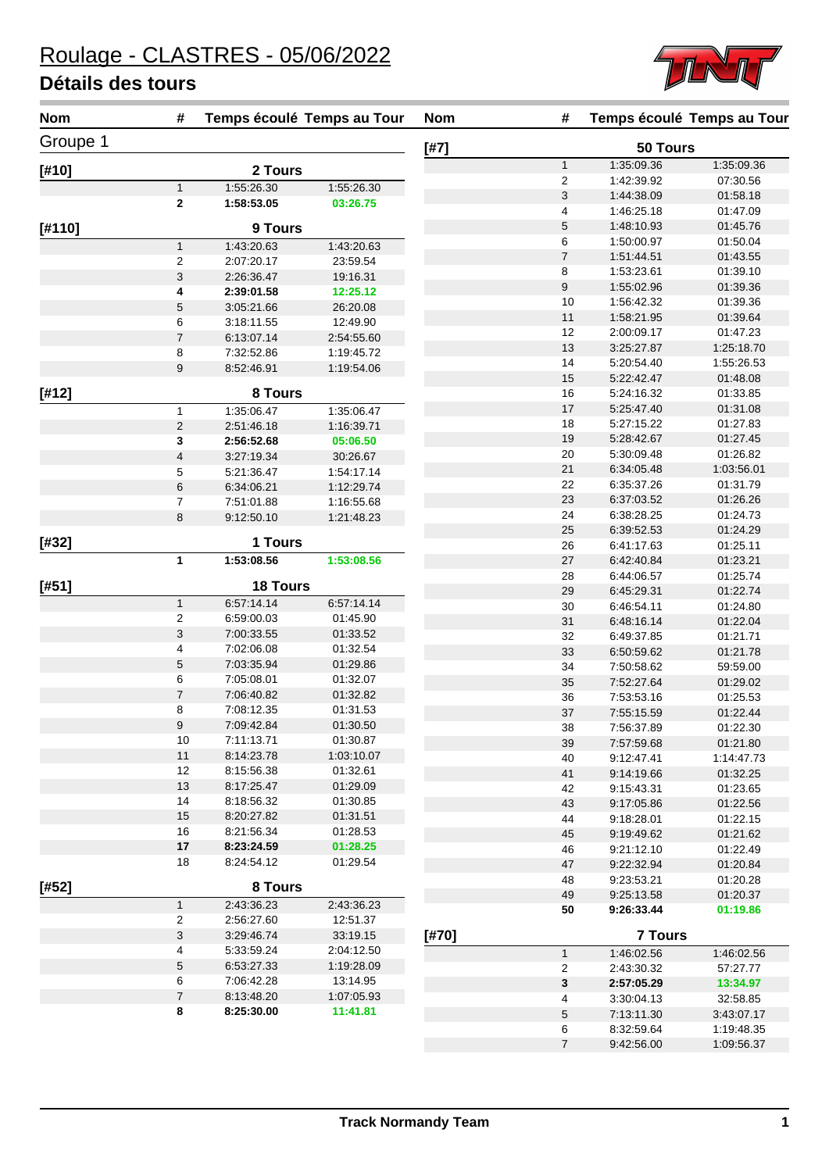**Nom # Temps écoulé Temps au Tour Nom # Temps écoulé Temps au Tour**

| <b>Nom</b> | #                   |                          | Temps écoulé Temps au Tour | <b>Nom</b> |
|------------|---------------------|--------------------------|----------------------------|------------|
| Groupe 1   |                     |                          |                            | [#7]       |
| [#10]      |                     | 2 Tours                  |                            |            |
|            | $\mathbf{1}$        | 1:55:26.30               | 1:55:26.30                 |            |
|            | 2                   | 1:58:53.05               | 03:26.75                   |            |
| [#110]     |                     | 9 Tours                  |                            |            |
|            | $\mathbf{1}$        | 1:43:20.63               | 1:43:20.63                 |            |
|            | 2                   | 2:07:20.17               | 23:59.54                   |            |
|            | 3                   | 2:26:36.47               | 19:16.31                   |            |
|            | 4                   | 2:39:01.58               | 12:25.12                   |            |
|            | $\overline{5}$      | 3:05:21.66               | 26:20.08                   |            |
|            | 6<br>$\overline{7}$ | 3:18:11.55<br>6:13:07.14 | 12:49.90<br>2:54:55.60     |            |
|            | 8                   | 7:32:52.86               | 1:19:45.72                 |            |
|            | $\mathsf g$         | 8:52:46.91               | 1:19:54.06                 |            |
|            |                     |                          |                            |            |
| $[412]$    | 1                   | 8 Tours<br>1:35:06.47    | 1:35:06.47                 |            |
|            | $\overline{c}$      | 2:51:46.18               | 1:16:39.71                 |            |
|            | 3                   | 2:56:52.68               | 05:06.50                   |            |
|            | $\overline{4}$      | 3:27:19.34               | 30:26.67                   |            |
|            | 5                   | 5:21:36.47               | 1:54:17.14                 |            |
|            | 6                   | 6:34:06.21               | 1:12:29.74                 |            |
|            | 7                   | 7:51:01.88               | 1:16:55.68                 |            |
|            | 8                   | 9:12:50.10               | 1:21:48.23                 |            |
| [#32]      |                     | 1 Tours                  |                            |            |
|            | 1                   | 1:53:08.56               | 1:53:08.56                 |            |
| [#51]      |                     | <b>18 Tours</b>          |                            |            |
|            | $\mathbf{1}$        | 6:57:14.14               | 6:57:14.14                 |            |
|            | $\overline{2}$      | 6:59:00.03               | 01:45.90                   |            |
|            | 3                   | 7:00:33.55               | 01:33.52                   |            |
|            | 4                   | 7:02:06.08               | 01:32.54                   |            |
|            | 5                   | 7:03:35.94               | 01:29.86                   |            |
|            | 6                   | 7:05:08.01               | 01:32.07                   |            |
|            | 7                   | 7:06:40.82               | 01:32.82                   |            |
|            | 8                   | 7:08:12.35               | 01:31.53                   |            |
|            | 9                   | 7:09:42.84               | 01:30.50                   |            |
|            | 10                  | 7:11:13.71               | 01:30.87                   |            |
|            | 11                  | 8:14:23.78               | 1:03:10.07                 |            |
|            | 12<br>13            | 8:15:56.38<br>8:17:25.47 | 01:32.61<br>01:29.09       |            |
|            | 14                  | 8:18:56.32               | 01:30.85                   |            |
|            | 15                  | 8:20:27.82               | 01:31.51                   |            |
|            | 16                  | 8:21:56.34               | 01:28.53                   |            |
|            | 17                  | 8:23:24.59               | 01:28.25                   |            |
|            | 18                  | 8:24:54.12               | 01:29.54                   |            |
| $[#52]$    |                     | 8 Tours                  |                            |            |
|            | 1                   | 2:43:36.23               | 2:43:36.23                 |            |
|            | $\overline{2}$      | 2:56:27.60               | 12:51.37                   |            |
|            | 3                   | 3.29.46.74               | 33:19.15                   | [#70]      |
|            | 4                   | 5:33:59.24               | 2:04:12.50                 |            |
|            | $\mathbf 5$         | 6:53:27.33               | 1:19:28.09                 |            |
|            | 6                   | 7:06:42.28               | 13:14.95                   |            |
|            | 7                   | 8:13:48.20               | 1:07:05.93                 |            |
|            | 8                   | 8:25:30.00               | 11:41.81                   |            |

| [#7]  |                | 50 Tours                 |                      |
|-------|----------------|--------------------------|----------------------|
|       | 1              | 1:35:09.36               | 1:35:09.36           |
|       | 2              | 1:42:39.92               | 07:30.56             |
|       | 3              | 1:44:38.09               | 01:58.18             |
|       | 4              | 1:46:25.18               | 01:47.09             |
|       | 5              | 1:48:10.93               | 01:45.76             |
|       | 6              | 1:50:00.97               | 01:50.04             |
|       | 7              | 1:51:44.51               | 01:43.55             |
|       | 8              | 1:53:23.61               | 01:39.10             |
|       | 9              | 1:55:02.96               | 01:39.36             |
|       | 10             | 1:56:42.32               | 01:39.36             |
|       | 11             | 1:58:21.95               | 01:39.64             |
|       | 12             | 2:00:09.17               | 01:47.23             |
|       | 13             | 3:25:27.87               | 1:25:18.70           |
|       | 14             | 5.20.54.40               | 1:55:26.53           |
|       | 15             | 5.22.42.47               | 01:48.08             |
|       | 16             | 5:24:16.32               | 01:33.85             |
|       | 17             | 5.25.47.40               | 01:31.08             |
|       | 18             | 5:27:15.22               | 01:27.83             |
|       | 19             | 5:28:42.67               | 01:27.45             |
|       | 20             | 5:30:09.48               | 01:26.82             |
|       | 21             | 6:34:05.48               | 1:03:56.01           |
|       | 22             | 6:35:37.26               | 01:31.79             |
|       | 23             | 6.37.03.52               | 01:26.26             |
|       | 24             | 6:38:28.25               | 01:24.73             |
|       | 25             | 6:39:52.53               | 01:24.29             |
|       | 26             | 6:41:17.63               | 01:25.11             |
|       | 27             | 6:42:40.84               | 01:23.21             |
|       | 28             | 6:44:06.57               | 01:25.74             |
|       | 29             | 6:45.29.31               | 01:22.74             |
|       | 30             | 6.46.54.11               | 01:24.80             |
|       | 31<br>32       | 6:48:16.14<br>6:49:37.85 | 01:22.04<br>01:21.71 |
|       | 33             | 6:50:59.62               | 01:21.78             |
|       | 34             | 7:50:58.62               | 59:59.00             |
|       | 35             | 7:52:27.64               | 01:29.02             |
|       | 36             | 7:53:53.16               | 01:25.53             |
|       | 37             | 7:55:15.59               | 01:22.44             |
|       | 38             | 7:56:37.89               | 01:22.30             |
|       | 39             | 7:57:59.68               | 01:21.80             |
|       | 40             | 9:12:47.41               | 1:14:47.73           |
|       | 41             | 9:14:19.66               | 01:32.25             |
|       | 42             | 9:15:43.31               | 01:23.65             |
|       | 43             | 9:17:05.86               | 01:22.56             |
|       | 44             | 9:18:28.01               | 01:22.15             |
|       | 45             | 9:19:49.62               | 01:21.62             |
|       | 46             | 9:21:12.10               | 01:22.49             |
|       | 47             | 9:22:32.94               | 01:20.84             |
|       | 48             | 9:23:53.21               | 01:20.28             |
|       | 49             | 9:25:13.58               | 01:20.37             |
|       | 50             | 9:26:33.44               | 01:19.86             |
|       |                |                          |                      |
| [#70] |                | <b>7 Tours</b>           |                      |
|       | $\mathbf{1}$   | 1:46:02.56               | 1:46:02.56           |
|       | 2              | 2:43:30.32               | 57:27.77             |
|       | 3              | 2:57:05.29               | 13:34.97             |
|       | 4              | 3:30:04.13               | 32:58.85             |
|       | 5              | 7:13:11.30               | 3:43:07.17           |
|       | 6              | 8:32:59.64               | 1:19:48.35           |
|       | $\overline{7}$ | 9:42:56.00               | 1:09:56.37           |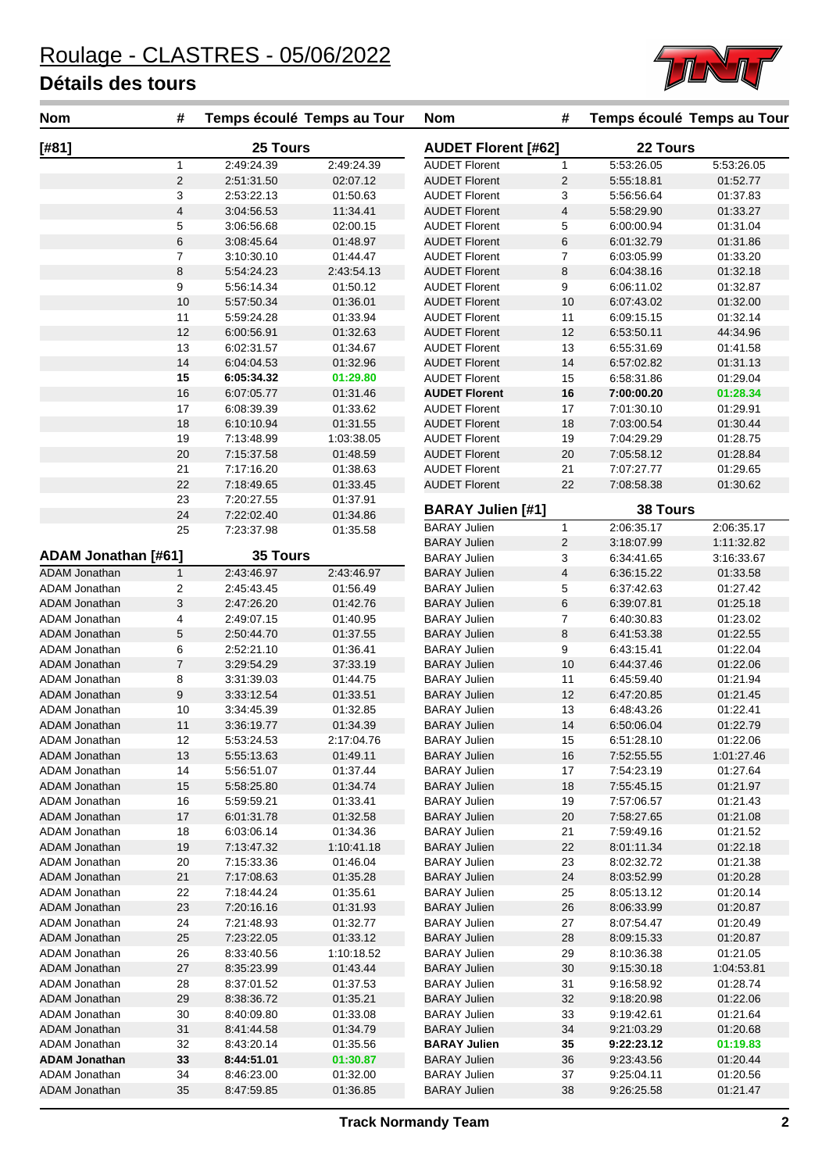

| <b>Nom</b>                            | #                       |                          | Temps écoulé Temps au Tour | <b>Nom</b>                                   | #                       |                          | Temps écoulé Temps au Tour |
|---------------------------------------|-------------------------|--------------------------|----------------------------|----------------------------------------------|-------------------------|--------------------------|----------------------------|
| [#81]                                 |                         | 25 Tours                 |                            | <b>AUDET Florent [#62]</b>                   |                         | 22 Tours                 |                            |
|                                       | $\mathbf{1}$            | 2:49:24.39               | 2:49:24.39                 | <b>AUDET Florent</b>                         | $\mathbf{1}$            | 5:53:26.05               | 5:53:26.05                 |
|                                       | $\overline{c}$          | 2:51:31.50               | 02:07.12                   | <b>AUDET Florent</b>                         | $\overline{c}$          | 5:55:18.81               | 01:52.77                   |
|                                       | 3                       | 2:53:22.13               | 01:50.63                   | <b>AUDET Florent</b>                         | 3                       | 5:56:56.64               | 01:37.83                   |
|                                       | $\overline{\mathbf{4}}$ | 3:04:56.53               | 11:34.41                   | <b>AUDET Florent</b>                         | $\overline{\mathbf{4}}$ | 5:58:29.90               | 01:33.27                   |
|                                       | 5                       | 3:06:56.68               | 02:00.15                   | <b>AUDET Florent</b>                         | 5                       | 6:00:00.94               | 01:31.04                   |
|                                       | 6                       | 3:08:45.64               | 01:48.97                   | <b>AUDET Florent</b>                         | 6                       | 6:01:32.79               | 01:31.86                   |
|                                       | $\overline{7}$          | 3:10:30.10               | 01:44.47                   | <b>AUDET Florent</b>                         | 7                       | 6:03:05.99               | 01:33.20                   |
|                                       | 8                       | 5:54:24.23               | 2:43:54.13                 | <b>AUDET Florent</b>                         | 8                       | 6:04:38.16               | 01:32.18                   |
|                                       | 9                       | 5:56:14.34               | 01:50.12                   | <b>AUDET Florent</b>                         | 9                       | 6:06:11.02               | 01:32.87                   |
|                                       | 10<br>11                | 5:57:50.34               | 01:36.01                   | <b>AUDET Florent</b>                         | 10                      | 6:07:43.02               | 01:32.00                   |
|                                       | 12                      | 5:59:24.28               | 01:33.94                   | <b>AUDET Florent</b>                         | 11<br>12                | 6:09:15.15               | 01:32.14                   |
|                                       | 13                      | 6:00:56.91<br>6:02:31.57 | 01:32.63<br>01:34.67       | <b>AUDET Florent</b><br><b>AUDET Florent</b> | 13                      | 6:53:50.11<br>6:55:31.69 | 44:34.96<br>01:41.58       |
|                                       | 14                      |                          |                            | <b>AUDET Florent</b>                         | 14                      |                          | 01:31.13                   |
|                                       | 15                      | 6:04:04.53<br>6:05:34.32 | 01:32.96<br>01:29.80       | <b>AUDET Florent</b>                         | 15                      | 6:57:02.82<br>6:58:31.86 | 01:29.04                   |
|                                       | 16                      | 6:07:05.77               | 01:31.46                   | <b>AUDET Florent</b>                         | 16                      | 7:00:00.20               | 01:28.34                   |
|                                       | 17                      | 6:08:39.39               | 01:33.62                   | <b>AUDET Florent</b>                         | 17                      | 7:01:30.10               | 01:29.91                   |
|                                       | 18                      | 6:10:10.94               | 01:31.55                   | <b>AUDET Florent</b>                         | 18                      | 7:03:00.54               | 01:30.44                   |
|                                       | 19                      | 7:13:48.99               | 1:03:38.05                 | <b>AUDET Florent</b>                         | 19                      | 7:04:29.29               | 01:28.75                   |
|                                       | 20                      | 7:15:37.58               | 01:48.59                   | <b>AUDET Florent</b>                         | 20                      | 7:05:58.12               | 01:28.84                   |
|                                       | 21                      | 7:17:16.20               | 01:38.63                   | <b>AUDET Florent</b>                         | 21                      | 7:07:27.77               | 01:29.65                   |
|                                       | 22                      | 7:18:49.65               | 01:33.45                   | <b>AUDET Florent</b>                         | 22                      | 7:08:58.38               | 01:30.62                   |
|                                       | 23                      | 7:20:27.55               | 01:37.91                   |                                              |                         |                          |                            |
|                                       | 24                      | 7:22:02.40               | 01:34.86                   | <b>BARAY Julien [#1]</b>                     |                         | 38 Tours                 |                            |
|                                       | 25                      | 7:23:37.98               | 01:35.58                   | <b>BARAY Julien</b>                          | $\mathbf{1}$            | 2:06:35.17               | 2:06:35.17                 |
|                                       |                         |                          |                            | <b>BARAY Julien</b>                          | $\overline{2}$          | 3:18:07.99               | 1:11:32.82                 |
| ADAM Jonathan [#61]                   |                         | 35 Tours                 |                            | <b>BARAY Julien</b>                          | 3                       | 6:34:41.65               | 3:16:33.67                 |
| <b>ADAM Jonathan</b>                  | $\mathbf{1}$            | 2:43:46.97               | 2:43:46.97                 | <b>BARAY Julien</b>                          | 4                       | 6:36:15.22               | 01:33.58                   |
| ADAM Jonathan                         | 2                       | 2:45:43.45               | 01:56.49                   | <b>BARAY Julien</b>                          | 5                       | 6:37:42.63               | 01:27.42                   |
| <b>ADAM Jonathan</b>                  | 3                       | 2:47:26.20               | 01:42.76                   | <b>BARAY Julien</b>                          | 6                       | 6:39:07.81               | 01:25.18                   |
| ADAM Jonathan                         | 4                       | 2:49:07.15               | 01:40.95                   | <b>BARAY Julien</b>                          | 7                       | 6:40:30.83               | 01:23.02                   |
| <b>ADAM Jonathan</b>                  | 5                       | 2:50:44.70               | 01:37.55                   | <b>BARAY Julien</b>                          | 8                       | 6:41:53.38               | 01:22.55                   |
| ADAM Jonathan                         | 6                       | 2:52:21.10               | 01:36.41                   | <b>BARAY Julien</b>                          | 9                       | 6:43:15.41               | 01:22.04                   |
| <b>ADAM Jonathan</b>                  | $\overline{7}$          | 3:29:54.29               | 37:33.19                   | <b>BARAY Julien</b>                          | 10                      | 6:44:37.46               | 01:22.06                   |
| ADAM Jonathan                         | 8                       | 3:31:39.03               | 01:44.75                   | <b>BARAY Julien</b>                          | 11                      | 6:45:59.40               | 01:21.94                   |
| <b>ADAM Jonathan</b>                  | 9                       | 3:33:12.54               | 01:33.51                   | <b>BARAY Julien</b>                          | 12                      | 6:47:20.85               | 01:21.45                   |
| ADAM Jonathan                         | 10                      | 3:34:45.39               | 01:32.85                   | <b>BARAY Julien</b>                          | 13                      | 6:48:43.26               | 01:22.41                   |
| <b>ADAM Jonathan</b>                  | 11                      | 3:36:19.77               | 01:34.39                   | <b>BARAY Julien</b>                          | 14                      | 6:50:06.04               | 01:22.79                   |
| ADAM Jonathan                         | 12                      | 5:53:24.53               | 2:17:04.76                 | <b>BARAY Julien</b>                          | 15                      | 6:51:28.10               | 01:22.06                   |
| ADAM Jonathan                         | 13                      | 5:55:13.63               | 01:49.11                   | <b>BARAY Julien</b>                          | 16                      | 7:52:55.55               | 1:01:27.46                 |
| ADAM Jonathan                         | 14                      | 5:56:51.07               | 01:37.44                   | <b>BARAY Julien</b>                          | 17                      | 7:54:23.19               | 01:27.64                   |
| <b>ADAM Jonathan</b>                  | 15                      | 5:58:25.80               | 01:34.74                   | <b>BARAY Julien</b>                          | 18                      | 7:55:45.15               | 01:21.97                   |
| ADAM Jonathan                         | 16                      | 5:59:59.21               | 01:33.41                   | <b>BARAY Julien</b>                          | 19                      | 7:57:06.57               | 01:21.43                   |
| <b>ADAM Jonathan</b>                  | 17                      | 6:01:31.78               | 01:32.58                   | <b>BARAY Julien</b>                          | 20                      | 7:58:27.65               | 01:21.08                   |
| ADAM Jonathan                         | 18                      | 6:03:06.14               | 01:34.36                   | <b>BARAY Julien</b>                          | 21                      | 7:59:49.16               | 01:21.52                   |
| ADAM Jonathan                         | 19                      | 7:13:47.32               | 1:10:41.18                 | <b>BARAY Julien</b>                          | 22                      | 8:01:11.34               | 01:22.18                   |
| ADAM Jonathan                         | 20                      | 7:15:33.36               | 01:46.04                   | <b>BARAY Julien</b>                          | 23                      | 8:02:32.72               | 01:21.38                   |
| <b>ADAM Jonathan</b>                  | 21                      | 7:17:08.63               | 01:35.28                   | <b>BARAY Julien</b>                          | 24                      | 8:03:52.99               | 01:20.28                   |
| ADAM Jonathan                         | 22                      | 7:18:44.24               | 01:35.61                   | <b>BARAY Julien</b>                          | 25                      | 8:05:13.12               | 01:20.14                   |
| <b>ADAM Jonathan</b>                  | 23                      | 7:20:16.16               | 01:31.93                   | <b>BARAY Julien</b>                          | 26                      | 8:06:33.99               | 01:20.87                   |
| ADAM Jonathan<br><b>ADAM Jonathan</b> | 24                      | 7:21:48.93               | 01:32.77                   | <b>BARAY Julien</b><br><b>BARAY Julien</b>   | 27                      | 8:07:54.47               | 01:20.49                   |
| ADAM Jonathan                         | 25                      | 7:23:22.05               | 01:33.12<br>1:10:18.52     | <b>BARAY Julien</b>                          | 28<br>29                | 8:09:15.33<br>8:10:36.38 | 01:20.87                   |
|                                       | 26<br>27                | 8:33:40.56               |                            | <b>BARAY Julien</b>                          | 30                      |                          | 01:21.05<br>1:04:53.81     |
| ADAM Jonathan<br>ADAM Jonathan        | 28                      | 8:35:23.99<br>8:37:01.52 | 01:43.44<br>01:37.53       | <b>BARAY Julien</b>                          | 31                      | 9:15:30.18<br>9:16:58.92 | 01:28.74                   |
|                                       |                         | 8:38:36.72               | 01:35.21                   | <b>BARAY Julien</b>                          | 32                      |                          | 01:22.06                   |
| ADAM Jonathan<br>ADAM Jonathan        | 29<br>30                | 8:40:09.80               | 01:33.08                   | <b>BARAY Julien</b>                          | 33                      | 9:18:20.98<br>9:19:42.61 | 01:21.64                   |
| <b>ADAM Jonathan</b>                  | 31                      | 8:41:44.58               | 01:34.79                   | <b>BARAY Julien</b>                          | 34                      | 9:21:03.29               | 01:20.68                   |
| ADAM Jonathan                         | 32                      | 8:43:20.14               | 01:35.56                   | <b>BARAY Julien</b>                          | 35                      | 9:22:23.12               | 01:19.83                   |
| <b>ADAM Jonathan</b>                  | 33                      | 8:44:51.01               | 01:30.87                   | <b>BARAY Julien</b>                          | 36                      | 9:23:43.56               | 01:20.44                   |
| ADAM Jonathan                         | 34                      | 8:46:23.00               | 01:32.00                   | <b>BARAY Julien</b>                          | 37                      | 9:25:04.11               | 01:20.56                   |
| <b>ADAM Jonathan</b>                  | 35                      | 8:47:59.85               | 01:36.85                   | <b>BARAY Julien</b>                          | 38                      | 9:26:25.58               | 01:21.47                   |
|                                       |                         |                          |                            |                                              |                         |                          |                            |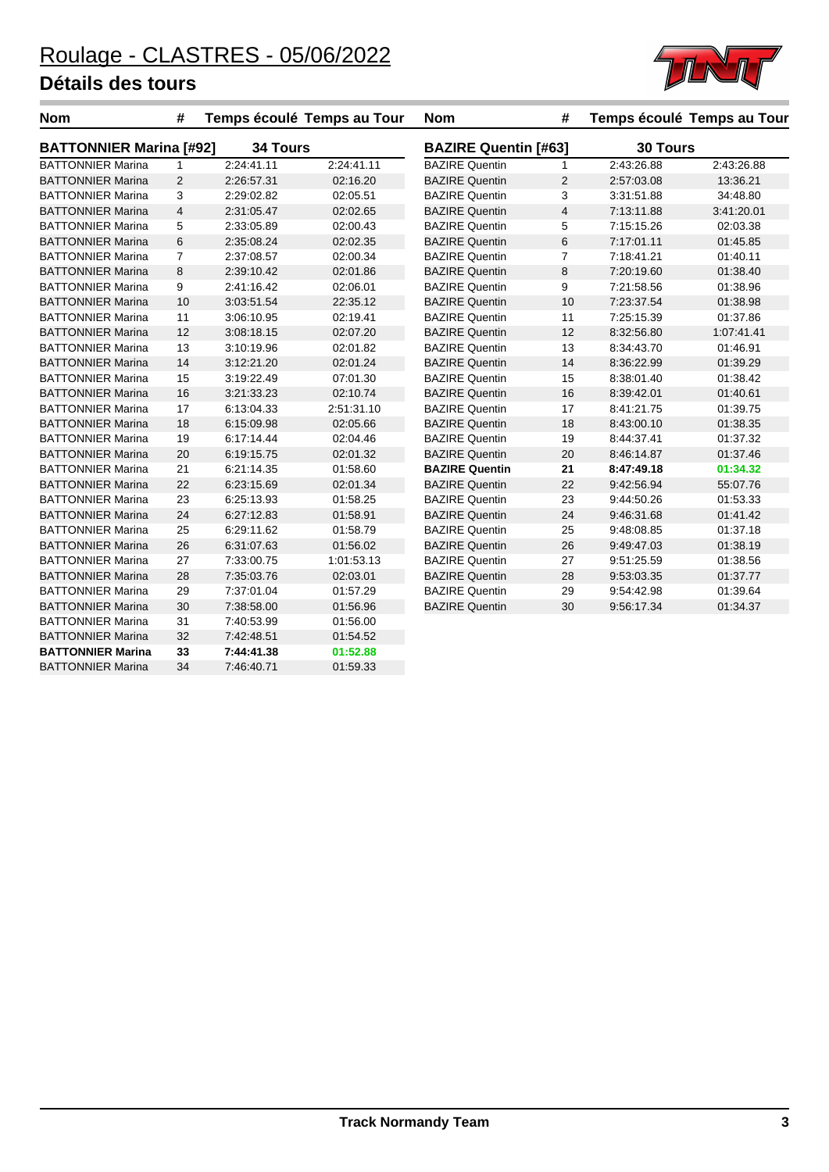

| <b>Nom</b>                     | #              |            | Temps écoulé Temps au Tour | <b>Nom</b>            | #                           |            | Temps écoulé Temps au Tour |  |  |
|--------------------------------|----------------|------------|----------------------------|-----------------------|-----------------------------|------------|----------------------------|--|--|
| <b>BATTONNIER Marina [#92]</b> |                | 34 Tours   |                            |                       | <b>BAZIRE Quentin [#63]</b> |            | 30 Tours                   |  |  |
| <b>BATTONNIER Marina</b>       | $\mathbf{1}$   | 2:24:41.11 | 2:24:41.11                 | <b>BAZIRE Quentin</b> | $\mathbf{1}$                | 2:43:26.88 | 2:43:26.88                 |  |  |
| <b>BATTONNIER Marina</b>       | $\overline{2}$ | 2:26:57.31 | 02:16.20                   | <b>BAZIRE Quentin</b> | 2                           | 2:57:03.08 | 13:36.21                   |  |  |
| <b>BATTONNIER Marina</b>       | 3              | 2:29:02.82 | 02:05.51                   | <b>BAZIRE Quentin</b> | 3                           | 3:31:51.88 | 34:48.80                   |  |  |
| <b>BATTONNIER Marina</b>       | $\overline{4}$ | 2:31:05.47 | 02:02.65                   | <b>BAZIRE Quentin</b> | $\overline{4}$              | 7:13:11.88 | 3:41:20.01                 |  |  |
| <b>BATTONNIER Marina</b>       | 5              | 2:33:05.89 | 02:00.43                   | <b>BAZIRE Quentin</b> | 5                           | 7:15:15.26 | 02:03.38                   |  |  |
| <b>BATTONNIER Marina</b>       | 6              | 2:35:08.24 | 02:02.35                   | <b>BAZIRE Quentin</b> | 6                           | 7:17:01.11 | 01:45.85                   |  |  |
| <b>BATTONNIER Marina</b>       | $\overline{7}$ | 2:37:08.57 | 02:00.34                   | <b>BAZIRE Quentin</b> | $\overline{7}$              | 7:18:41.21 | 01:40.11                   |  |  |
| <b>BATTONNIER Marina</b>       | 8              | 2:39:10.42 | 02:01.86                   | <b>BAZIRE Quentin</b> | 8                           | 7:20:19.60 | 01:38.40                   |  |  |
| <b>BATTONNIER Marina</b>       | 9              | 2:41:16.42 | 02:06.01                   | <b>BAZIRE Quentin</b> | 9                           | 7:21:58.56 | 01:38.96                   |  |  |
| <b>BATTONNIER Marina</b>       | 10             | 3:03:51.54 | 22:35.12                   | <b>BAZIRE Quentin</b> | 10                          | 7:23:37.54 | 01:38.98                   |  |  |
| <b>BATTONNIER Marina</b>       | 11             | 3:06:10.95 | 02:19.41                   | <b>BAZIRE Quentin</b> | 11                          | 7:25:15.39 | 01:37.86                   |  |  |
| <b>BATTONNIER Marina</b>       | 12             | 3:08:18.15 | 02:07.20                   | <b>BAZIRE Quentin</b> | 12                          | 8:32:56.80 | 1:07:41.41                 |  |  |
| <b>BATTONNIER Marina</b>       | 13             | 3:10:19.96 | 02:01.82                   | <b>BAZIRE Quentin</b> | 13                          | 8:34:43.70 | 01:46.91                   |  |  |
| <b>BATTONNIER Marina</b>       | 14             | 3:12:21.20 | 02:01.24                   | <b>BAZIRE Quentin</b> | 14                          | 8:36:22.99 | 01:39.29                   |  |  |
| <b>BATTONNIER Marina</b>       | 15             | 3:19:22.49 | 07:01.30                   | <b>BAZIRE Quentin</b> | 15                          | 8:38:01.40 | 01:38.42                   |  |  |
| <b>BATTONNIER Marina</b>       | 16             | 3:21:33.23 | 02:10.74                   | <b>BAZIRE Quentin</b> | 16                          | 8:39:42.01 | 01:40.61                   |  |  |
| <b>BATTONNIER Marina</b>       | 17             | 6:13:04.33 | 2:51:31.10                 | <b>BAZIRE Quentin</b> | 17                          | 8:41:21.75 | 01:39.75                   |  |  |
| <b>BATTONNIER Marina</b>       | 18             | 6:15:09.98 | 02:05.66                   | <b>BAZIRE Quentin</b> | 18                          | 8:43:00.10 | 01:38.35                   |  |  |
| <b>BATTONNIER Marina</b>       | 19             | 6:17:14.44 | 02:04.46                   | <b>BAZIRE Quentin</b> | 19                          | 8:44:37.41 | 01:37.32                   |  |  |
| <b>BATTONNIER Marina</b>       | 20             | 6:19:15.75 | 02:01.32                   | <b>BAZIRE Quentin</b> | 20                          | 8:46:14.87 | 01:37.46                   |  |  |
| <b>BATTONNIER Marina</b>       | 21             | 6:21:14.35 | 01:58.60                   | <b>BAZIRE Quentin</b> | 21                          | 8:47:49.18 | 01:34.32                   |  |  |
| <b>BATTONNIER Marina</b>       | 22             | 6:23:15.69 | 02:01.34                   | <b>BAZIRE Quentin</b> | 22                          | 9:42:56.94 | 55:07.76                   |  |  |
| <b>BATTONNIER Marina</b>       | 23             | 6:25:13.93 | 01:58.25                   | <b>BAZIRE Quentin</b> | 23                          | 9:44:50.26 | 01:53.33                   |  |  |
| <b>BATTONNIER Marina</b>       | 24             | 6:27:12.83 | 01:58.91                   | <b>BAZIRE Quentin</b> | 24                          | 9:46:31.68 | 01:41.42                   |  |  |
| <b>BATTONNIER Marina</b>       | 25             | 6:29:11.62 | 01:58.79                   | <b>BAZIRE Quentin</b> | 25                          | 9:48:08.85 | 01:37.18                   |  |  |
| <b>BATTONNIER Marina</b>       | 26             | 6:31:07.63 | 01:56.02                   | <b>BAZIRE Quentin</b> | 26                          | 9:49:47.03 | 01:38.19                   |  |  |
| <b>BATTONNIER Marina</b>       | 27             | 7:33:00.75 | 1:01:53.13                 | <b>BAZIRE Quentin</b> | 27                          | 9:51:25.59 | 01:38.56                   |  |  |
| <b>BATTONNIER Marina</b>       | 28             | 7:35:03.76 | 02:03.01                   | <b>BAZIRE Quentin</b> | 28                          | 9:53:03.35 | 01:37.77                   |  |  |
| <b>BATTONNIER Marina</b>       | 29             | 7:37:01.04 | 01:57.29                   | <b>BAZIRE Quentin</b> | 29                          | 9:54:42.98 | 01:39.64                   |  |  |
| <b>BATTONNIER Marina</b>       | 30             | 7:38:58.00 | 01:56.96                   | <b>BAZIRE Quentin</b> | 30                          | 9:56:17.34 | 01:34.37                   |  |  |
| <b>BATTONNIER Marina</b>       | 31             | 7:40:53.99 | 01:56.00                   |                       |                             |            |                            |  |  |
| <b>BATTONNIER Marina</b>       | 32             | 7:42:48.51 | 01:54.52                   |                       |                             |            |                            |  |  |
| <b>BATTONNIER Marina</b>       | 33             | 7:44:41.38 | 01:52.88                   |                       |                             |            |                            |  |  |
| <b>BATTONNIER Marina</b>       | 34             | 7:46:40.71 | 01:59.33                   |                       |                             |            |                            |  |  |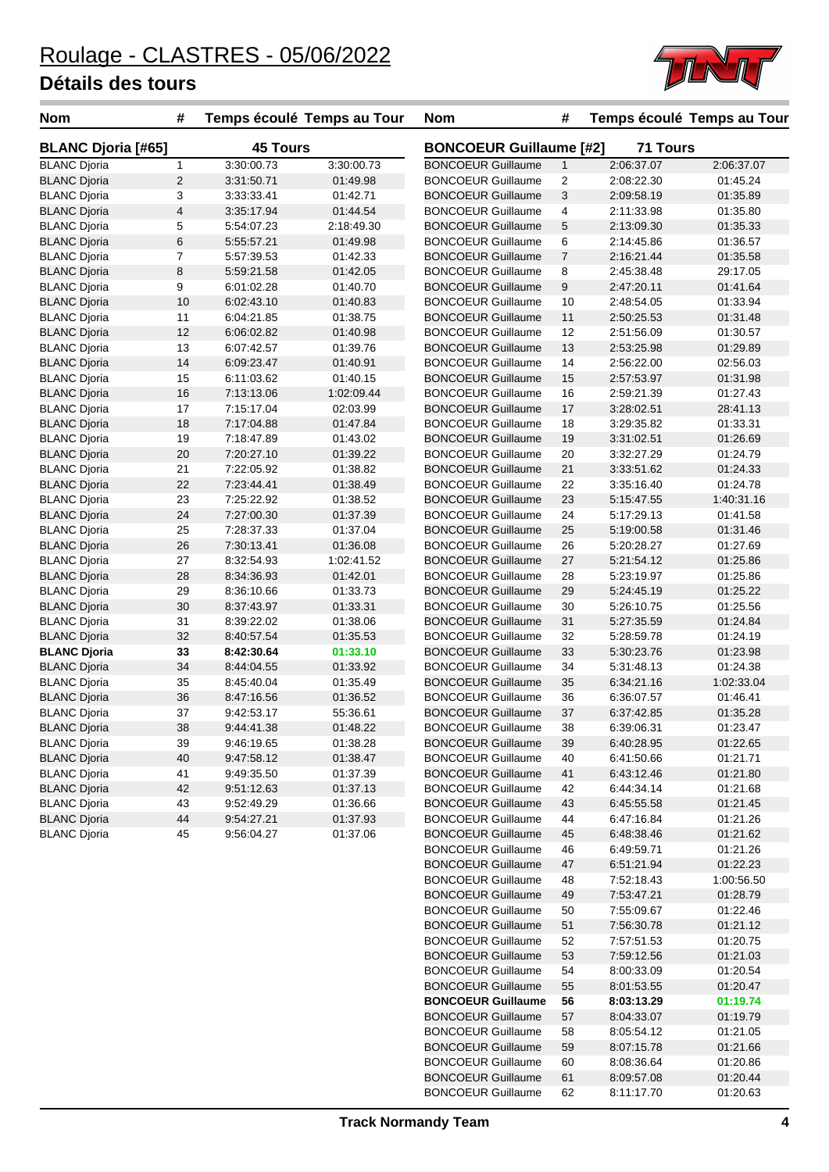

| <b>Nom</b>                | #              | Temps écoulé Temps au Tour |            | <b>Nom</b>                     | #              | Temps écoulé Temps au Tour |            |
|---------------------------|----------------|----------------------------|------------|--------------------------------|----------------|----------------------------|------------|
| <b>BLANC Djoria [#65]</b> |                | <b>45 Tours</b>            |            | <b>BONCOEUR Guillaume [#2]</b> |                | <b>71 Tours</b>            |            |
| <b>BLANC Djoria</b>       | $\mathbf{1}$   | 3:30:00.73                 | 3:30:00.73 | <b>BONCOEUR Guillaume</b>      | $\mathbf{1}$   | 2:06:37.07                 | 2:06:37.07 |
| <b>BLANC Djoria</b>       | $\overline{2}$ | 3:31:50.71                 | 01:49.98   | <b>BONCOEUR Guillaume</b>      | 2              | 2:08:22.30                 | 01:45.24   |
| <b>BLANC Dioria</b>       | 3              | 3:33:33.41                 | 01:42.71   | <b>BONCOEUR Guillaume</b>      | 3              | 2:09:58.19                 | 01:35.89   |
| <b>BLANC Djoria</b>       | 4              | 3:35:17.94                 | 01:44.54   | <b>BONCOEUR Guillaume</b>      | 4              | 2:11:33.98                 | 01:35.80   |
| <b>BLANC Djoria</b>       | 5              | 5:54:07.23                 | 2:18:49.30 | <b>BONCOEUR Guillaume</b>      | 5              | 2:13:09.30                 | 01:35.33   |
| <b>BLANC Djoria</b>       | 6              | 5:55:57.21                 | 01:49.98   | <b>BONCOEUR Guillaume</b>      | 6              | 2:14:45.86                 | 01:36.57   |
| <b>BLANC Djoria</b>       | 7              | 5:57:39.53                 | 01:42.33   | <b>BONCOEUR Guillaume</b>      | $\overline{7}$ | 2:16:21.44                 | 01:35.58   |
| <b>BLANC Djoria</b>       | 8              | 5:59:21.58                 | 01:42.05   | <b>BONCOEUR Guillaume</b>      | 8              | 2:45:38.48                 | 29:17.05   |
| <b>BLANC Djoria</b>       | 9              | 6:01:02.28                 | 01:40.70   | <b>BONCOEUR Guillaume</b>      | 9              | 2:47:20.11                 | 01:41.64   |
| <b>BLANC Djoria</b>       | 10             | 6:02:43.10                 | 01:40.83   | <b>BONCOEUR Guillaume</b>      | 10             | 2:48:54.05                 | 01:33.94   |
| <b>BLANC Djoria</b>       | 11             | 6:04:21.85                 | 01:38.75   | <b>BONCOEUR Guillaume</b>      | 11             | 2:50:25.53                 | 01:31.48   |
| <b>BLANC Djoria</b>       | 12             | 6:06:02.82                 | 01:40.98   | <b>BONCOEUR Guillaume</b>      | 12             | 2:51:56.09                 | 01:30.57   |
| <b>BLANC Djoria</b>       | 13             | 6:07:42.57                 | 01:39.76   | <b>BONCOEUR Guillaume</b>      | 13             | 2:53:25.98                 | 01:29.89   |
| <b>BLANC Djoria</b>       | 14             | 6:09:23.47                 | 01:40.91   | <b>BONCOEUR Guillaume</b>      | 14             | 2:56:22.00                 | 02:56.03   |
| <b>BLANC Djoria</b>       | 15             | 6:11:03.62                 | 01:40.15   | <b>BONCOEUR Guillaume</b>      | 15             | 2:57:53.97                 | 01:31.98   |
| <b>BLANC Djoria</b>       | 16             | 7:13:13.06                 | 1:02:09.44 | <b>BONCOEUR Guillaume</b>      | 16             | 2:59:21.39                 | 01:27.43   |
| <b>BLANC Djoria</b>       | 17             | 7:15:17.04                 | 02:03.99   | <b>BONCOEUR Guillaume</b>      | 17             | 3:28:02.51                 | 28:41.13   |
| <b>BLANC Djoria</b>       | 18             | 7:17:04.88                 | 01:47.84   | <b>BONCOEUR Guillaume</b>      | 18             | 3:29:35.82                 | 01:33.31   |
| <b>BLANC Djoria</b>       | 19             | 7:18:47.89                 | 01:43.02   | <b>BONCOEUR Guillaume</b>      | 19             | 3:31:02.51                 | 01:26.69   |
| <b>BLANC Djoria</b>       | 20             | 7:20:27.10                 | 01:39.22   | <b>BONCOEUR Guillaume</b>      | 20             | 3:32:27.29                 | 01:24.79   |
| <b>BLANC Djoria</b>       | 21             | 7:22:05.92                 | 01:38.82   | <b>BONCOEUR Guillaume</b>      | 21             | 3:33:51.62                 | 01:24.33   |
| <b>BLANC Djoria</b>       | 22             | 7:23:44.41                 | 01:38.49   | <b>BONCOEUR Guillaume</b>      | 22             | 3:35:16.40                 | 01:24.78   |
| <b>BLANC Djoria</b>       | 23             | 7:25:22.92                 | 01:38.52   | <b>BONCOEUR Guillaume</b>      | 23             | 5:15:47.55                 | 1:40:31.16 |
| <b>BLANC Djoria</b>       | 24             | 7:27:00.30                 | 01:37.39   | <b>BONCOEUR Guillaume</b>      | 24             | 5:17:29.13                 | 01:41.58   |
| <b>BLANC Djoria</b>       | 25             | 7:28:37.33                 | 01:37.04   | <b>BONCOEUR Guillaume</b>      | 25             | 5:19:00.58                 | 01:31.46   |
| <b>BLANC Djoria</b>       | 26             | 7:30:13.41                 | 01:36.08   | <b>BONCOEUR Guillaume</b>      | 26             | 5:20:28.27                 | 01:27.69   |
| <b>BLANC Djoria</b>       | 27             | 8:32:54.93                 | 1:02:41.52 | <b>BONCOEUR Guillaume</b>      | 27             | 5:21:54.12                 | 01:25.86   |
| <b>BLANC Djoria</b>       | 28             | 8:34:36.93                 | 01:42.01   | <b>BONCOEUR Guillaume</b>      | 28             | 5:23:19.97                 | 01:25.86   |
| <b>BLANC Djoria</b>       | 29             | 8:36:10.66                 | 01:33.73   | <b>BONCOEUR Guillaume</b>      | 29             | 5:24:45.19                 | 01:25.22   |
| <b>BLANC Djoria</b>       | 30             | 8:37:43.97                 | 01:33.31   | <b>BONCOEUR Guillaume</b>      | 30             | 5:26:10.75                 | 01:25.56   |
| <b>BLANC Djoria</b>       | 31             | 8:39:22.02                 | 01:38.06   | <b>BONCOEUR Guillaume</b>      | 31             | 5:27:35.59                 | 01:24.84   |
| <b>BLANC Djoria</b>       | 32             | 8:40:57.54                 | 01:35.53   | <b>BONCOEUR Guillaume</b>      | 32             | 5:28:59.78                 | 01:24.19   |
| <b>BLANC Djoria</b>       | 33             | 8:42:30.64                 | 01:33.10   | <b>BONCOEUR Guillaume</b>      | 33             | 5:30:23.76                 | 01:23.98   |
| <b>BLANC Djoria</b>       | 34             | 8:44:04.55                 | 01:33.92   | <b>BONCOEUR Guillaume</b>      | 34             | 5:31:48.13                 | 01:24.38   |
| <b>BLANC Djoria</b>       | 35             | 8:45:40.04                 | 01:35.49   | <b>BONCOEUR Guillaume</b>      | 35             | 6:34:21.16                 | 1:02:33.04 |
| <b>BLANC Djoria</b>       | 36             | 8:47:16.56                 | 01:36.52   | <b>BONCOEUR Guillaume</b>      | 36             | 6:36:07.57                 | 01:46.41   |
| <b>BLANC Djoria</b>       | 37             | 9:42:53.17                 | 55:36.61   | <b>BONCOEUR Guillaume</b>      | 37             | 6:37:42.85                 | 01:35.28   |
| <b>BLANC Djoria</b>       | 38             | 9:44:41.38                 | 01:48.22   | <b>BONCOEUR Guillaume</b>      | 38             | 6.39.06.31                 | 01.23.47   |
| <b>BLANC Djoria</b>       | 39             | 9:46:19.65                 | 01:38.28   | <b>BONCOEUR Guillaume</b>      | 39             | 6:40:28.95                 | 01:22.65   |
| <b>BLANC Djoria</b>       | 40             | 9:47:58.12                 | 01:38.47   | <b>BONCOEUR Guillaume</b>      | 40             | 6:41:50.66                 | 01:21.71   |
| <b>BLANC Djoria</b>       | 41             | 9:49:35.50                 | 01:37.39   | <b>BONCOEUR Guillaume</b>      | 41             | 6.43.12.46                 | 01:21.80   |
| <b>BLANC Djoria</b>       | 42             | 9:51:12.63                 | 01:37.13   | <b>BONCOEUR Guillaume</b>      | 42             | 6:44:34.14                 | 01:21.68   |
| <b>BLANC Djoria</b>       | 43             | 9:52:49.29                 | 01:36.66   | <b>BONCOEUR Guillaume</b>      | 43             | 6:45:55.58                 | 01:21.45   |
| <b>BLANC Djoria</b>       | 44             | 9:54:27.21                 | 01:37.93   | <b>BONCOEUR Guillaume</b>      | 44             | 6:47:16.84                 | 01:21.26   |
| <b>BLANC Djoria</b>       | 45             | 9:56:04.27                 | 01:37.06   | <b>BONCOEUR Guillaume</b>      | 45             | 6:48:38.46                 | 01:21.62   |
|                           |                |                            |            | <b>BONCOEUR Guillaume</b>      | 46             | 6:49:59.71                 | 01:21.26   |
|                           |                |                            |            | <b>BONCOEUR Guillaume</b>      | 47             | 6:51:21.94                 | 01:22.23   |
|                           |                |                            |            | <b>BONCOEUR Guillaume</b>      | 48             | 7:52:18.43                 | 1:00:56.50 |
|                           |                |                            |            | <b>BONCOEUR Guillaume</b>      | 49             | 7:53:47.21                 | 01:28.79   |
|                           |                |                            |            | <b>BONCOEUR Guillaume</b>      | 50             | 7:55:09.67                 | 01:22.46   |
|                           |                |                            |            | <b>BONCOEUR Guillaume</b>      | 51             | 7:56:30.78                 | 01:21.12   |
|                           |                |                            |            | <b>BONCOEUR Guillaume</b>      | 52             | 7:57:51.53                 | 01:20.75   |

BONCOEUR Guillaume 53 7:59:12.56 01:21.03 BONCOEUR Guillaume 54 8:00:33.09 01:20.54 BONCOEUR Guillaume 55 8:01:53.55 01:20.47 **BONCOEUR Guillaume 56 8:03:13.29 01:19.74** BONCOEUR Guillaume 57 8:04:33.07 01:19.79<br>BONCOEUR Guillaume 58 8:05:54.12 01:21.05 BONCOEUR Guillaume 58 8:05:54.12 01:21.05 BONCOEUR Guillaume 59 8:07:15.78 01:21.66 BONCOEUR Guillaume 60 8:08:36.64 01:20.86 BONCOEUR Guillaume 61 8:09:57.08 01:20.44 BONCOEUR Guillaume 62 8:11:17.70 01:20.63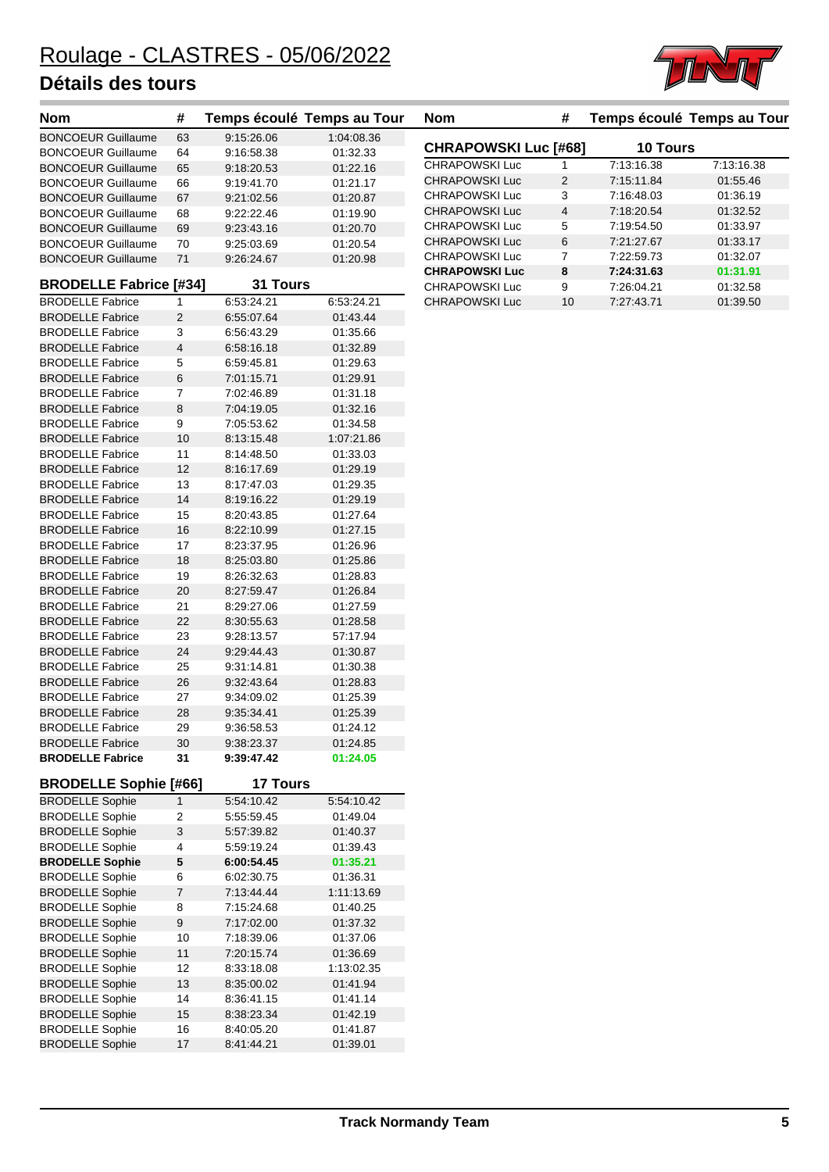

| <b>Nom</b>                    | #              |                 | Temps écoulé Temps au Tour | <b>Nom</b>                  | #              | Temps écoulé Temps au Tour |            |
|-------------------------------|----------------|-----------------|----------------------------|-----------------------------|----------------|----------------------------|------------|
| <b>BONCOEUR Guillaume</b>     | 63             | 9:15:26.06      | 1:04:08.36                 |                             |                |                            |            |
| <b>BONCOEUR Guillaume</b>     | 64             | 9:16:58.38      | 01:32.33                   | <b>CHRAPOWSKI Luc [#68]</b> |                | 10 Tours                   |            |
| <b>BONCOEUR Guillaume</b>     | 65             | 9:18:20.53      | 01:22.16                   | <b>CHRAPOWSKI Luc</b>       | 1              | 7:13:16.38                 | 7:13:16.38 |
| <b>BONCOEUR Guillaume</b>     | 66             | 9:19:41.70      | 01:21.17                   | <b>CHRAPOWSKI Luc</b>       | 2              | 7:15:11.84                 | 01:55.46   |
| <b>BONCOEUR Guillaume</b>     | 67             | 9:21:02.56      | 01:20.87                   | CHRAPOWSKI Luc              | 3              | 7:16:48.03                 | 01:36.19   |
| <b>BONCOEUR Guillaume</b>     | 68             | 9:22:22.46      | 01:19.90                   | <b>CHRAPOWSKI Luc</b>       | 4              | 7:18:20.54                 | 01:32.52   |
| <b>BONCOEUR Guillaume</b>     | 69             | 9:23:43.16      | 01:20.70                   | CHRAPOWSKI Luc              | 5              | 7:19:54.50                 | 01:33.97   |
| <b>BONCOEUR Guillaume</b>     | 70             | 9:25:03.69      | 01:20.54                   | <b>CHRAPOWSKI Luc</b>       | $\,6$          | 7:21:27.67                 | 01:33.17   |
| <b>BONCOEUR Guillaume</b>     | 71             | 9:26:24.67      | 01:20.98                   | <b>CHRAPOWSKI Luc</b>       | $\overline{7}$ | 7:22:59.73                 | 01:32.07   |
| <b>BRODELLE Fabrice [#34]</b> |                | 31 Tours        |                            | <b>CHRAPOWSKI Luc</b>       | $\pmb{8}$      | 7:24:31.63                 | 01:31.91   |
|                               |                |                 |                            | CHRAPOWSKI Luc              | 9              | 7:26:04.21                 | 01:32.58   |
| <b>BRODELLE Fabrice</b>       | 1              | 6:53:24.21      | 6:53:24.21                 | <b>CHRAPOWSKI Luc</b>       | 10             | 7:27:43.71                 | 01:39.50   |
| <b>BRODELLE Fabrice</b>       | $\overline{2}$ | 6:55:07.64      | 01:43.44                   |                             |                |                            |            |
| <b>BRODELLE Fabrice</b>       | 3              | 6:56:43.29      | 01:35.66                   |                             |                |                            |            |
| <b>BRODELLE Fabrice</b>       | $\overline{4}$ | 6:58:16.18      | 01:32.89                   |                             |                |                            |            |
| <b>BRODELLE Fabrice</b>       | 5              | 6:59:45.81      | 01:29.63                   |                             |                |                            |            |
| <b>BRODELLE Fabrice</b>       | 6              | 7:01:15.71      | 01:29.91                   |                             |                |                            |            |
| <b>BRODELLE Fabrice</b>       | 7              | 7:02:46.89      | 01:31.18                   |                             |                |                            |            |
| <b>BRODELLE Fabrice</b>       | 8              | 7:04:19.05      | 01:32.16                   |                             |                |                            |            |
| <b>BRODELLE Fabrice</b>       | 9              | 7:05:53.62      | 01:34.58                   |                             |                |                            |            |
| <b>BRODELLE Fabrice</b>       | 10             | 8:13:15.48      | 1:07:21.86                 |                             |                |                            |            |
| <b>BRODELLE Fabrice</b>       | 11             | 8:14:48.50      | 01:33.03                   |                             |                |                            |            |
| <b>BRODELLE Fabrice</b>       | 12             | 8:16:17.69      | 01:29.19                   |                             |                |                            |            |
| <b>BRODELLE Fabrice</b>       | 13             | 8:17:47.03      | 01:29.35                   |                             |                |                            |            |
| <b>BRODELLE Fabrice</b>       | 14             | 8:19:16.22      | 01:29.19                   |                             |                |                            |            |
| <b>BRODELLE Fabrice</b>       | 15             | 8:20:43.85      | 01:27.64                   |                             |                |                            |            |
| <b>BRODELLE Fabrice</b>       | 16             | 8:22:10.99      | 01:27.15                   |                             |                |                            |            |
| <b>BRODELLE Fabrice</b>       | 17             | 8:23:37.95      | 01:26.96                   |                             |                |                            |            |
| <b>BRODELLE Fabrice</b>       | $18$           | 8:25:03.80      | 01:25.86                   |                             |                |                            |            |
| <b>BRODELLE Fabrice</b>       | 19             | 8:26:32.63      | 01:28.83                   |                             |                |                            |            |
| <b>BRODELLE Fabrice</b>       | 20             | 8:27:59.47      | 01:26.84                   |                             |                |                            |            |
| <b>BRODELLE Fabrice</b>       | 21             | 8:29:27.06      | 01:27.59                   |                             |                |                            |            |
| <b>BRODELLE Fabrice</b>       | 22             | 8:30:55.63      | 01:28.58                   |                             |                |                            |            |
| <b>BRODELLE Fabrice</b>       | 23             | 9:28:13.57      | 57:17.94                   |                             |                |                            |            |
| <b>BRODELLE Fabrice</b>       | 24             | 9:29:44.43      | 01:30.87                   |                             |                |                            |            |
| <b>BRODELLE Fabrice</b>       | 25             | 9:31:14.81      | 01:30.38                   |                             |                |                            |            |
| <b>BRODELLE Fabrice</b>       | 26             | 9:32:43.64      | 01:28.83                   |                             |                |                            |            |
| <b>BRODELLE Fabrice</b>       | 27             | 9:34:09.02      | 01:25.39                   |                             |                |                            |            |
| <b>BRODELLE Fabrice</b>       | 28             | 9:35:34.41      | 01:25.39                   |                             |                |                            |            |
| <b>BRODELLE Fabrice</b>       | 29             | 9:36:58.53      | 01:24.12                   |                             |                |                            |            |
| <b>BRODELLE Fabrice</b>       | 30             | 9:38:23.37      | 01:24.85                   |                             |                |                            |            |
| <b>BRODELLE Fabrice</b>       | 31             | 9:39:47.42      | 01:24.05                   |                             |                |                            |            |
|                               |                |                 |                            |                             |                |                            |            |
| <b>BRODELLE Sophie [#66]</b>  |                | <b>17 Tours</b> |                            |                             |                |                            |            |
| <b>BRODELLE Sophie</b>        | $\mathbf{1}$   | 5:54:10.42      | 5:54:10.42                 |                             |                |                            |            |
| <b>BRODELLE Sophie</b>        | 2              | 5:55:59.45      | 01:49.04                   |                             |                |                            |            |
| <b>BRODELLE Sophie</b>        | 3              | 5:57:39.82      | 01:40.37                   |                             |                |                            |            |
| <b>BRODELLE Sophie</b>        | 4              | 5:59:19.24      | 01:39.43                   |                             |                |                            |            |
| <b>BRODELLE Sophie</b>        | 5              | 6:00:54.45      | 01:35.21                   |                             |                |                            |            |
| <b>BRODELLE Sophie</b>        | 6              | 6:02:30.75      | 01:36.31                   |                             |                |                            |            |
| <b>BRODELLE Sophie</b>        | 7              | 7:13:44.44      | 1:11:13.69                 |                             |                |                            |            |
| <b>BRODELLE Sophie</b>        | 8              | 7:15:24.68      | 01:40.25                   |                             |                |                            |            |
| <b>BRODELLE Sophie</b>        | 9              | 7:17:02.00      | 01:37.32                   |                             |                |                            |            |
| <b>BRODELLE Sophie</b>        | 10             | 7:18:39.06      | 01:37.06                   |                             |                |                            |            |
| <b>BRODELLE Sophie</b>        | $11$           | 7:20:15.74      | 01:36.69                   |                             |                |                            |            |
| <b>BRODELLE Sophie</b>        | 12             | 8:33:18.08      | 1:13:02.35                 |                             |                |                            |            |
| <b>BRODELLE Sophie</b>        | 13             | 8:35:00.02      | 01:41.94                   |                             |                |                            |            |
| <b>BRODELLE Sophie</b>        | 14             | 8:36:41.15      | 01:41.14                   |                             |                |                            |            |
| <b>BRODELLE Sophie</b>        | 15             | 8:38:23.34      | 01:42.19                   |                             |                |                            |            |
| <b>BRODELLE Sophie</b>        | 16             | 8:40:05.20      | 01:41.87                   |                             |                |                            |            |
| <b>BRODELLE Sophie</b>        | 17             | 8:41:44.21      | 01:39.01                   |                             |                |                            |            |

| <b>Nom</b>                  | #             |                 | Temps écoulé Temps au Tour |
|-----------------------------|---------------|-----------------|----------------------------|
| <b>CHRAPOWSKI Luc [#68]</b> |               | <b>10 Tours</b> |                            |
| <b>CHRAPOWSKI Luc</b>       | 1             | 7:13:16.38      | 7:13:16.38                 |
| <b>CHRAPOWSKI Luc</b>       | $\mathcal{P}$ | 7:15:11.84      | 01:55.46                   |
| <b>CHRAPOWSKI Luc</b>       | 3             | 7:16:48.03      | 01:36.19                   |
| <b>CHRAPOWSKI Luc</b>       | 4             | 7:18:20.54      | 01:32.52                   |
| CHRAPOWSKI Luc              | 5             | 7:19:54.50      | 01:33.97                   |
| <b>CHRAPOWSKI Luc</b>       | 6             | 7:21:27.67      | 01:33.17                   |
| <b>CHRAPOWSKI Luc</b>       | 7             | 7:22:59.73      | 01:32.07                   |
| <b>CHRAPOWSKI Luc</b>       | 8             | 7:24:31.63      | 01:31.91                   |
| CHRAPOWSKI Luc              | 9             | 7:26:04.21      | 01:32.58                   |
| <b>CHRAPOWSKI Luc</b>       | 10            | 7:27:43.71      | 01:39.50                   |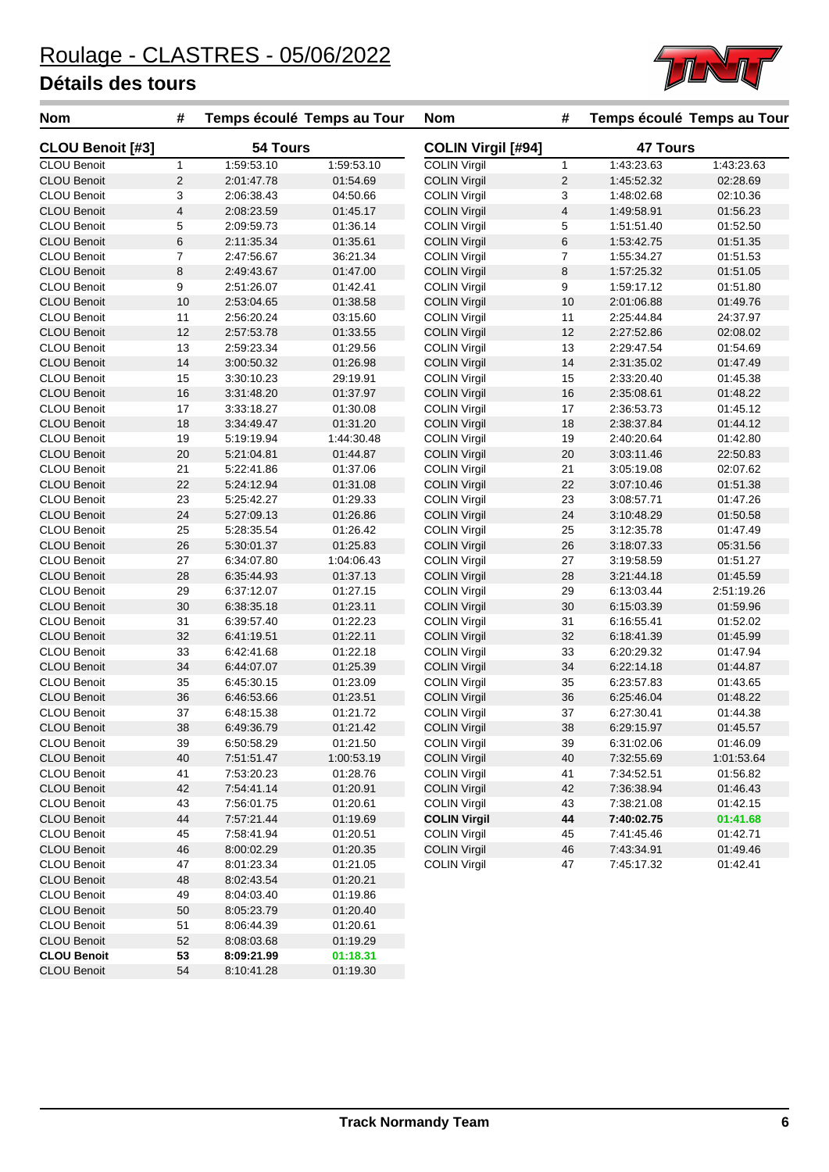

| <b>Nom</b>              | #            | Temps écoulé Temps au Tour |            | <b>Nom</b>                | #              |                 | Temps écoulé Temps au Tour |
|-------------------------|--------------|----------------------------|------------|---------------------------|----------------|-----------------|----------------------------|
| <b>CLOU Benoit [#3]</b> |              | 54 Tours                   |            | <b>COLIN Virgil [#94]</b> |                | <b>47 Tours</b> |                            |
| <b>CLOU Benoit</b>      | $\mathbf{1}$ | 1:59:53.10                 | 1:59:53.10 | <b>COLIN Virgil</b>       | $\mathbf{1}$   | 1:43:23.63      | 1:43:23.63                 |
| <b>CLOU Benoit</b>      | 2            | 2:01:47.78                 | 01:54.69   | <b>COLIN Virgil</b>       | $\overline{2}$ | 1:45:52.32      | 02:28.69                   |
| CLOU Benoit             | 3            | 2:06:38.43                 | 04:50.66   | <b>COLIN Virgil</b>       | 3              | 1:48:02.68      | 02:10.36                   |
| <b>CLOU Benoit</b>      | 4            | 2:08:23.59                 | 01:45.17   | <b>COLIN Virgil</b>       | $\overline{4}$ | 1:49:58.91      | 01:56.23                   |
| <b>CLOU Benoit</b>      | 5            | 2:09:59.73                 | 01:36.14   | <b>COLIN Virgil</b>       | 5              | 1:51:51.40      | 01:52.50                   |
| <b>CLOU Benoit</b>      | 6            | 2:11:35.34                 | 01:35.61   | <b>COLIN Virgil</b>       | $\,6$          | 1:53:42.75      | 01:51.35                   |
| <b>CLOU Benoit</b>      | 7            | 2:47:56.67                 | 36:21.34   | <b>COLIN Virgil</b>       | $\overline{7}$ | 1:55:34.27      | 01:51.53                   |
| <b>CLOU Benoit</b>      | 8            | 2:49:43.67                 | 01:47.00   | <b>COLIN Virgil</b>       | $\,8\,$        | 1:57:25.32      | 01:51.05                   |
| <b>CLOU Benoit</b>      | 9            | 2:51:26.07                 | 01:42.41   | <b>COLIN Virgil</b>       | 9              | 1:59:17.12      | 01:51.80                   |
| <b>CLOU Benoit</b>      | 10           | 2:53:04.65                 | 01:38.58   | <b>COLIN Virgil</b>       | 10             | 2:01:06.88      | 01:49.76                   |
| CLOU Benoit             | 11           | 2:56:20.24                 | 03:15.60   | <b>COLIN Virgil</b>       | 11             | 2:25:44.84      | 24:37.97                   |
| <b>CLOU Benoit</b>      | 12           | 2:57:53.78                 | 01:33.55   | <b>COLIN Virgil</b>       | 12             | 2:27:52.86      | 02:08.02                   |
| <b>CLOU Benoit</b>      | 13           | 2:59:23.34                 | 01:29.56   | <b>COLIN Virgil</b>       | 13             | 2:29:47.54      | 01:54.69                   |
| <b>CLOU Benoit</b>      | 14           | 3:00:50.32                 | 01:26.98   | <b>COLIN Virgil</b>       | 14             | 2:31:35.02      | 01:47.49                   |
| <b>CLOU Benoit</b>      | 15           | 3:30:10.23                 | 29:19.91   | <b>COLIN Virgil</b>       | 15             | 2:33:20.40      | 01:45.38                   |
| <b>CLOU Benoit</b>      | 16           | 3:31:48.20                 | 01:37.97   | <b>COLIN Virgil</b>       | 16             | 2:35:08.61      | 01:48.22                   |
| <b>CLOU Benoit</b>      | 17           | 3:33:18.27                 | 01:30.08   | <b>COLIN Virgil</b>       | 17             | 2:36:53.73      | 01:45.12                   |
| <b>CLOU Benoit</b>      | 18           | 3:34:49.47                 | 01:31.20   | <b>COLIN Virgil</b>       | 18             | 2:38:37.84      | 01:44.12                   |
| <b>CLOU Benoit</b>      | 19           | 5:19:19.94                 | 1:44:30.48 | <b>COLIN Virgil</b>       | 19             | 2:40:20.64      | 01:42.80                   |
| <b>CLOU Benoit</b>      | 20           | 5:21:04.81                 | 01:44.87   | <b>COLIN Virgil</b>       | 20             | 3:03:11.46      | 22:50.83                   |
| <b>CLOU Benoit</b>      | 21           | 5:22:41.86                 | 01:37.06   | <b>COLIN Virgil</b>       | 21             | 3:05:19.08      | 02:07.62                   |
| <b>CLOU Benoit</b>      | 22           | 5:24:12.94                 | 01:31.08   | <b>COLIN Virgil</b>       | 22             | 3:07:10.46      | 01:51.38                   |
| <b>CLOU Benoit</b>      | 23           | 5:25:42.27                 | 01:29.33   | <b>COLIN Virgil</b>       | 23             | 3:08:57.71      | 01:47.26                   |
| <b>CLOU Benoit</b>      | 24           | 5:27:09.13                 | 01:26.86   | <b>COLIN Virgil</b>       | 24             | 3:10:48.29      | 01:50.58                   |
| <b>CLOU Benoit</b>      | 25           | 5:28:35.54                 | 01:26.42   | <b>COLIN Virgil</b>       | 25             | 3:12:35.78      | 01:47.49                   |
| <b>CLOU Benoit</b>      | 26           | 5:30:01.37                 | 01:25.83   | <b>COLIN Virgil</b>       | 26             | 3:18:07.33      | 05:31.56                   |
| <b>CLOU Benoit</b>      | 27           | 6:34:07.80                 | 1:04:06.43 | <b>COLIN Virgil</b>       | 27             | 3:19:58.59      | 01:51.27                   |
| <b>CLOU Benoit</b>      | 28           | 6:35:44.93                 | 01:37.13   | <b>COLIN Virgil</b>       | 28             | 3:21:44.18      | 01:45.59                   |
| <b>CLOU Benoit</b>      | 29           | 6:37:12.07                 | 01:27.15   | <b>COLIN Virgil</b>       | 29             | 6:13:03.44      | 2:51:19.26                 |
| <b>CLOU Benoit</b>      | 30           | 6:38:35.18                 | 01:23.11   | <b>COLIN Virgil</b>       | 30             | 6:15:03.39      | 01:59.96                   |
| CLOU Benoit             | 31           | 6:39:57.40                 | 01:22.23   | <b>COLIN Virgil</b>       | 31             | 6:16:55.41      | 01:52.02                   |
| <b>CLOU Benoit</b>      | 32           | 6:41:19.51                 | 01:22.11   | <b>COLIN Virgil</b>       | 32             | 6:18:41.39      | 01:45.99                   |
| <b>CLOU Benoit</b>      | 33           | 6:42:41.68                 | 01:22.18   | <b>COLIN Virgil</b>       | 33             | 6:20:29.32      | 01:47.94                   |
| <b>CLOU Benoit</b>      | 34           | 6:44:07.07                 | 01:25.39   | <b>COLIN Virgil</b>       | 34             | 6:22:14.18      | 01:44.87                   |
| <b>CLOU Benoit</b>      | 35           | 6:45:30.15                 | 01:23.09   | <b>COLIN Virgil</b>       | 35             | 6:23:57.83      | 01:43.65                   |
| <b>CLOU Benoit</b>      | 36           | 6:46.53.66                 | 01:23.51   | <b>COLIN Virgil</b>       | 36             | 6:25:46.04      | 01:48.22                   |
| <b>CLOU Benoit</b>      | 37           | 6:48:15.38                 | 01:21.72   | <b>COLIN Virgil</b>       | 37             | 6:27:30.41      | 01:44.38                   |
| <b>CLOU Benoit</b>      | 38           | 6:49:36.79                 | 01:21.42   | <b>COLIN Virgil</b>       | 38             | 6:29:15.97      | 01:45.57                   |
| <b>CLOU Benoit</b>      | 39           | 6:50:58.29                 | 01:21.50   | <b>COLIN Virgil</b>       | 39             | 6:31:02.06      | 01:46.09                   |
| <b>CLOU Benoit</b>      | 40           | 7:51:51.47                 | 1:00:53.19 | <b>COLIN Virgil</b>       | 40             | 7:32:55.69      | 1:01:53.64                 |
| <b>CLOU Benoit</b>      | 41           | 7:53:20.23                 | 01:28.76   | <b>COLIN Virgil</b>       | 41             | 7:34:52.51      | 01:56.82                   |
| <b>CLOU Benoit</b>      | 42           | 7:54:41.14                 | 01:20.91   | <b>COLIN Virgil</b>       | 42             | 7:36:38.94      | 01:46.43                   |
| <b>CLOU Benoit</b>      | 43           | 7:56:01.75                 | 01:20.61   | <b>COLIN Virgil</b>       | 43             | 7:38:21.08      | 01:42.15                   |
| <b>CLOU Benoit</b>      | 44           | 7:57:21.44                 | 01:19.69   | <b>COLIN Virgil</b>       | 44             | 7:40:02.75      | 01:41.68                   |
| <b>CLOU Benoit</b>      | 45           | 7:58:41.94                 | 01:20.51   | <b>COLIN Virgil</b>       | 45             | 7:41:45.46      | 01:42.71                   |
| <b>CLOU Benoit</b>      | 46           | 8:00:02.29                 | 01:20.35   | <b>COLIN Virgil</b>       | 46             | 7:43:34.91      | 01:49.46                   |
| <b>CLOU Benoit</b>      | 47           | 8:01:23.34                 | 01:21.05   | <b>COLIN Virgil</b>       | 47             | 7:45:17.32      | 01:42.41                   |
| <b>CLOU Benoit</b>      | 48           | 8:02:43.54                 | 01:20.21   |                           |                |                 |                            |
| CLOU Benoit             | 49           | 8:04:03.40                 | 01:19.86   |                           |                |                 |                            |
| <b>CLOU Benoit</b>      | 50           | 8:05:23.79                 | 01:20.40   |                           |                |                 |                            |
| <b>CLOU Benoit</b>      | 51           | 8:06:44.39                 | 01:20.61   |                           |                |                 |                            |
| <b>CLOU Benoit</b>      | 52           | 8:08:03.68                 | 01:19.29   |                           |                |                 |                            |
| <b>CLOU Benoit</b>      | 53           | 8:09:21.99                 | 01:18.31   |                           |                |                 |                            |
| <b>CLOU Benoit</b>      | 54           | 8:10:41.28                 | 01:19.30   |                           |                |                 |                            |
|                         |              |                            |            |                           |                |                 |                            |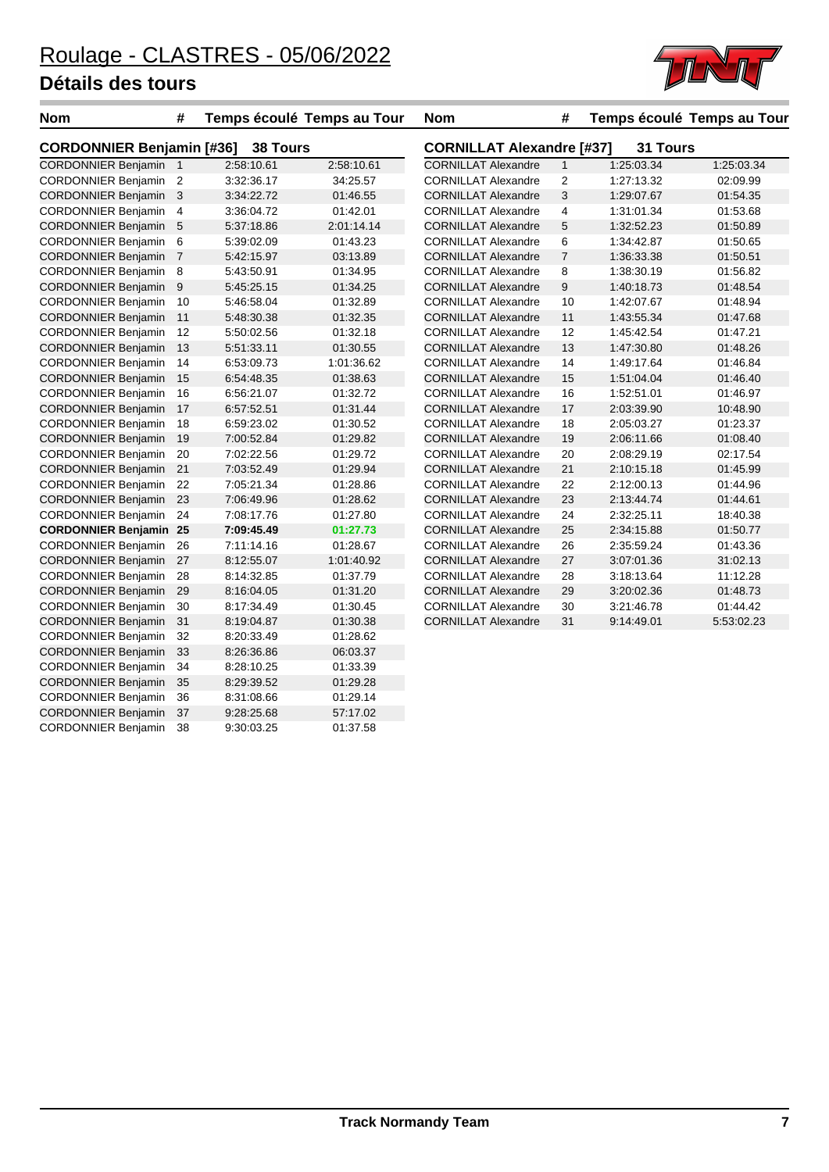CORDONNIER Benjamin 38 9:30:03.25 01:37.58



| <b>Nom</b>                    | #                                            | Temps écoulé Temps au Tour |            | <b>Nom</b>                 | #                       |                                              | Temps écoulé Temps au Tour |  |  |  |
|-------------------------------|----------------------------------------------|----------------------------|------------|----------------------------|-------------------------|----------------------------------------------|----------------------------|--|--|--|
|                               | <b>CORDONNIER Benjamin [#36]</b><br>38 Tours |                            |            |                            |                         | <b>CORNILLAT Alexandre [#37]</b><br>31 Tours |                            |  |  |  |
| <b>CORDONNIER Benjamin 1</b>  |                                              | 2:58:10.61                 | 2:58:10.61 | <b>CORNILLAT Alexandre</b> | $\mathbf{1}$            | 1:25:03.34                                   | 1:25:03.34                 |  |  |  |
| <b>CORDONNIER Benjamin</b>    | $\overline{2}$                               | 3:32:36.17                 | 34:25.57   | <b>CORNILLAT Alexandre</b> | $\overline{\mathbf{c}}$ | 1:27:13.32                                   | 02:09.99                   |  |  |  |
| <b>CORDONNIER Benjamin</b>    | 3                                            | 3:34:22.72                 | 01:46.55   | <b>CORNILLAT Alexandre</b> | 3                       | 1:29:07.67                                   | 01:54.35                   |  |  |  |
| <b>CORDONNIER Benjamin</b>    | 4                                            | 3:36:04.72                 | 01:42.01   | <b>CORNILLAT Alexandre</b> | 4                       | 1:31:01.34                                   | 01:53.68                   |  |  |  |
| <b>CORDONNIER Benjamin</b>    | 5                                            | 5:37:18.86                 | 2:01:14.14 | <b>CORNILLAT Alexandre</b> | 5                       | 1:32:52.23                                   | 01:50.89                   |  |  |  |
| <b>CORDONNIER Benjamin</b>    | 6                                            | 5:39:02.09                 | 01:43.23   | <b>CORNILLAT Alexandre</b> | 6                       | 1:34:42.87                                   | 01:50.65                   |  |  |  |
| <b>CORDONNIER Benjamin</b>    | $\overline{7}$                               | 5:42:15.97                 | 03:13.89   | <b>CORNILLAT Alexandre</b> | $\boldsymbol{7}$        | 1:36:33.38                                   | 01:50.51                   |  |  |  |
| <b>CORDONNIER Benjamin</b>    | 8                                            | 5:43:50.91                 | 01:34.95   | <b>CORNILLAT Alexandre</b> | 8                       | 1:38:30.19                                   | 01:56.82                   |  |  |  |
| <b>CORDONNIER Benjamin</b>    | 9                                            | 5:45:25.15                 | 01:34.25   | <b>CORNILLAT Alexandre</b> | 9                       | 1:40:18.73                                   | 01:48.54                   |  |  |  |
| <b>CORDONNIER Benjamin</b>    | 10                                           | 5:46.58.04                 | 01:32.89   | <b>CORNILLAT Alexandre</b> | 10                      | 1:42:07.67                                   | 01:48.94                   |  |  |  |
| <b>CORDONNIER Benjamin</b>    | 11                                           | 5:48:30.38                 | 01:32.35   | <b>CORNILLAT Alexandre</b> | 11                      | 1:43:55.34                                   | 01:47.68                   |  |  |  |
| <b>CORDONNIER Benjamin</b>    | 12                                           | 5:50:02.56                 | 01:32.18   | <b>CORNILLAT Alexandre</b> | 12                      | 1:45:42.54                                   | 01:47.21                   |  |  |  |
| <b>CORDONNIER Benjamin</b>    | 13                                           | 5:51:33.11                 | 01:30.55   | <b>CORNILLAT Alexandre</b> | 13                      | 1:47:30.80                                   | 01:48.26                   |  |  |  |
| <b>CORDONNIER Benjamin</b>    | 14                                           | 6:53:09.73                 | 1:01:36.62 | <b>CORNILLAT Alexandre</b> | 14                      | 1:49:17.64                                   | 01:46.84                   |  |  |  |
| <b>CORDONNIER Benjamin</b>    | 15                                           | 6:54:48.35                 | 01:38.63   | <b>CORNILLAT Alexandre</b> | 15                      | 1:51:04.04                                   | 01:46.40                   |  |  |  |
| <b>CORDONNIER Benjamin</b>    | 16                                           | 6:56:21.07                 | 01:32.72   | <b>CORNILLAT Alexandre</b> | 16                      | 1:52:51.01                                   | 01:46.97                   |  |  |  |
| <b>CORDONNIER Benjamin</b>    | 17                                           | 6:57:52.51                 | 01:31.44   | <b>CORNILLAT Alexandre</b> | 17                      | 2:03:39.90                                   | 10:48.90                   |  |  |  |
| <b>CORDONNIER Benjamin</b>    | 18                                           | 6:59:23.02                 | 01:30.52   | <b>CORNILLAT Alexandre</b> | 18                      | 2:05:03.27                                   | 01:23.37                   |  |  |  |
| <b>CORDONNIER Benjamin</b>    | 19                                           | 7:00:52.84                 | 01:29.82   | <b>CORNILLAT Alexandre</b> | 19                      | 2:06:11.66                                   | 01:08.40                   |  |  |  |
| <b>CORDONNIER Benjamin</b>    | 20                                           | 7:02:22.56                 | 01:29.72   | <b>CORNILLAT Alexandre</b> | 20                      | 2:08:29.19                                   | 02:17.54                   |  |  |  |
| <b>CORDONNIER Benjamin</b>    | 21                                           | 7:03:52.49                 | 01:29.94   | <b>CORNILLAT Alexandre</b> | 21                      | 2:10:15.18                                   | 01:45.99                   |  |  |  |
| <b>CORDONNIER Benjamin</b>    | 22                                           | 7:05:21.34                 | 01:28.86   | <b>CORNILLAT Alexandre</b> | 22                      | 2:12:00.13                                   | 01:44.96                   |  |  |  |
| <b>CORDONNIER Benjamin</b>    | 23                                           | 7:06:49.96                 | 01:28.62   | <b>CORNILLAT Alexandre</b> | 23                      | 2:13:44.74                                   | 01:44.61                   |  |  |  |
| <b>CORDONNIER Benjamin</b>    | 24                                           | 7:08:17.76                 | 01:27.80   | <b>CORNILLAT Alexandre</b> | 24                      | 2:32:25.11                                   | 18:40.38                   |  |  |  |
| <b>CORDONNIER Benjamin 25</b> |                                              | 7:09:45.49                 | 01:27.73   | <b>CORNILLAT Alexandre</b> | 25                      | 2:34:15.88                                   | 01:50.77                   |  |  |  |
| <b>CORDONNIER Benjamin</b>    | 26                                           | 7:11:14.16                 | 01:28.67   | <b>CORNILLAT Alexandre</b> | 26                      | 2:35:59.24                                   | 01:43.36                   |  |  |  |
| <b>CORDONNIER Benjamin</b>    | 27                                           | 8:12:55.07                 | 1:01:40.92 | <b>CORNILLAT Alexandre</b> | 27                      | 3:07:01.36                                   | 31:02.13                   |  |  |  |
| <b>CORDONNIER Benjamin</b>    | 28                                           | 8:14:32.85                 | 01:37.79   | <b>CORNILLAT Alexandre</b> | 28                      | 3:18:13.64                                   | 11:12.28                   |  |  |  |
| <b>CORDONNIER Benjamin</b>    | 29                                           | 8:16:04.05                 | 01:31.20   | <b>CORNILLAT Alexandre</b> | 29                      | 3:20:02.36                                   | 01:48.73                   |  |  |  |
| <b>CORDONNIER Benjamin</b>    | 30                                           | 8:17:34.49                 | 01:30.45   | <b>CORNILLAT Alexandre</b> | 30                      | 3:21:46.78                                   | 01:44.42                   |  |  |  |
| <b>CORDONNIER Benjamin</b>    | 31                                           | 8:19:04.87                 | 01:30.38   | <b>CORNILLAT Alexandre</b> | 31                      | 9:14:49.01                                   | 5:53:02.23                 |  |  |  |
| <b>CORDONNIER Benjamin</b>    | 32                                           | 8:20:33.49                 | 01:28.62   |                            |                         |                                              |                            |  |  |  |
| <b>CORDONNIER Benjamin</b>    | 33                                           | 8:26:36.86                 | 06:03.37   |                            |                         |                                              |                            |  |  |  |
| <b>CORDONNIER Benjamin</b>    | 34                                           | 8:28:10.25                 | 01:33.39   |                            |                         |                                              |                            |  |  |  |
| <b>CORDONNIER Benjamin</b>    | 35                                           | 8:29:39.52                 | 01:29.28   |                            |                         |                                              |                            |  |  |  |
| <b>CORDONNIER Benjamin</b>    | 36                                           | 8:31:08.66                 | 01:29.14   |                            |                         |                                              |                            |  |  |  |
| <b>CORDONNIER Benjamin</b>    | 37                                           | 9:28:25.68                 | 57:17.02   |                            |                         |                                              |                            |  |  |  |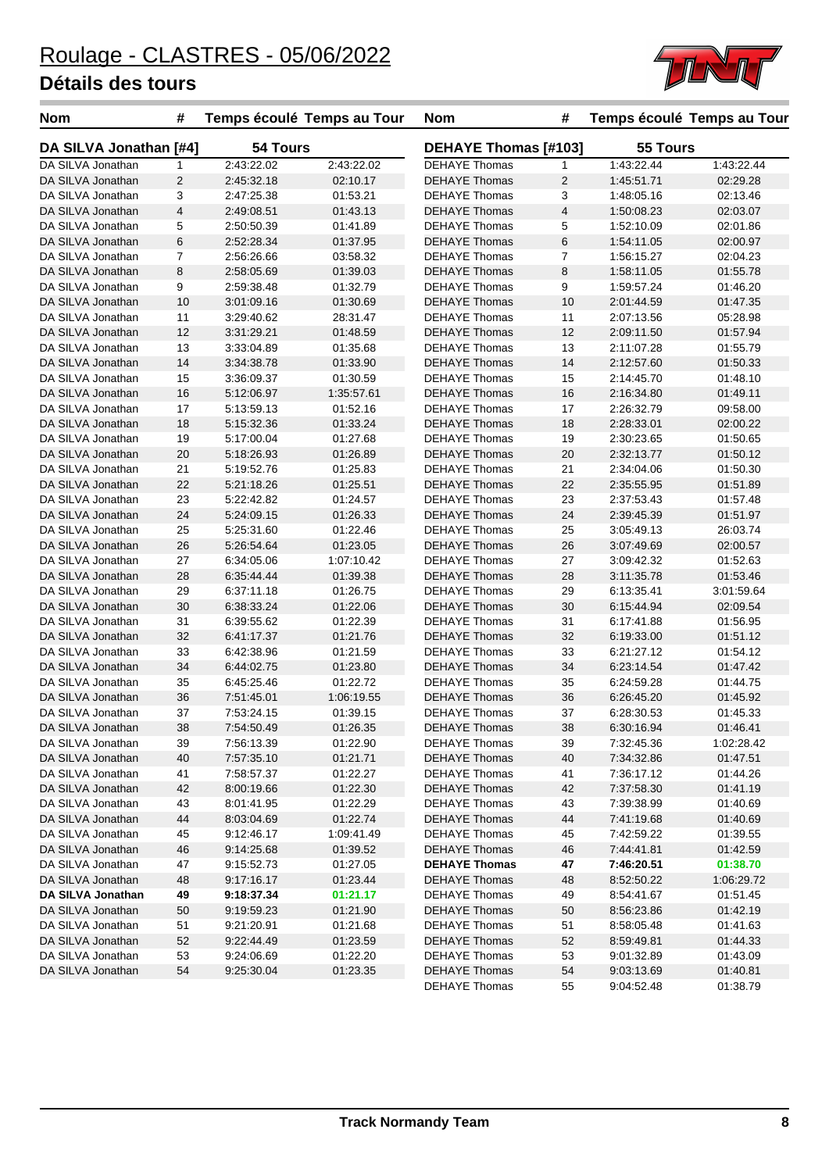

| <b>Nom</b>             | #                       | Temps écoulé Temps au Tour |            | <b>Nom</b>           | #                       | Temps écoulé Temps au Tour |            |
|------------------------|-------------------------|----------------------------|------------|----------------------|-------------------------|----------------------------|------------|
| DA SILVA Jonathan [#4] |                         | 54 Tours                   |            | DEHAYE Thomas [#103] |                         | 55 Tours                   |            |
| DA SILVA Jonathan      | $\mathbf{1}$            | 2:43:22.02                 | 2:43:22.02 | <b>DEHAYE Thomas</b> | $\mathbf{1}$            | 1:43:22.44                 | 1:43:22.44 |
| DA SILVA Jonathan      | $\overline{2}$          | 2:45:32.18                 | 02:10.17   | <b>DEHAYE Thomas</b> | $\overline{c}$          | 1:45:51.71                 | 02:29.28   |
| DA SILVA Jonathan      | 3                       | 2:47:25.38                 | 01:53.21   | <b>DEHAYE Thomas</b> | 3                       | 1:48:05.16                 | 02:13.46   |
| DA SILVA Jonathan      | $\overline{\mathbf{4}}$ | 2:49:08.51                 | 01:43.13   | <b>DEHAYE Thomas</b> | $\overline{\mathbf{4}}$ | 1:50:08.23                 | 02:03.07   |
| DA SILVA Jonathan      | 5                       | 2:50:50.39                 | 01:41.89   | <b>DEHAYE Thomas</b> | 5                       | 1:52:10.09                 | 02:01.86   |
| DA SILVA Jonathan      | $\,6$                   | 2:52:28.34                 | 01:37.95   | <b>DEHAYE Thomas</b> | 6                       | 1:54:11.05                 | 02:00.97   |
| DA SILVA Jonathan      | $\overline{7}$          | 2:56:26.66                 | 03:58.32   | <b>DEHAYE Thomas</b> | 7                       | 1:56:15.27                 | 02:04.23   |
| DA SILVA Jonathan      | 8                       | 2:58:05.69                 | 01:39.03   | <b>DEHAYE Thomas</b> | 8                       | 1:58:11.05                 | 01:55.78   |
| DA SILVA Jonathan      | 9                       | 2:59:38.48                 | 01:32.79   | <b>DEHAYE Thomas</b> | 9                       | 1:59:57.24                 | 01:46.20   |
| DA SILVA Jonathan      | 10                      | 3:01:09.16                 | 01:30.69   | <b>DEHAYE Thomas</b> | 10                      | 2:01:44.59                 | 01:47.35   |
| DA SILVA Jonathan      | 11                      | 3:29:40.62                 | 28:31.47   | <b>DEHAYE Thomas</b> | 11                      | 2:07:13.56                 | 05:28.98   |
| DA SILVA Jonathan      | 12                      | 3:31:29.21                 | 01:48.59   | <b>DEHAYE Thomas</b> | 12                      | 2:09:11.50                 | 01:57.94   |
| DA SILVA Jonathan      | 13                      | 3:33:04.89                 | 01:35.68   | <b>DEHAYE Thomas</b> | 13                      | 2:11:07.28                 | 01:55.79   |
| DA SILVA Jonathan      | 14                      | 3:34:38.78                 | 01:33.90   | <b>DEHAYE Thomas</b> | 14                      | 2:12:57.60                 | 01:50.33   |
| DA SILVA Jonathan      | 15                      | 3:36:09.37                 | 01:30.59   | DEHAYE Thomas        | 15                      | 2:14:45.70                 | 01:48.10   |
| DA SILVA Jonathan      | 16                      | 5:12:06.97                 | 1:35:57.61 | <b>DEHAYE Thomas</b> | 16                      | 2:16:34.80                 | 01:49.11   |
| DA SILVA Jonathan      | 17                      | 5:13:59.13                 | 01:52.16   | <b>DEHAYE Thomas</b> | 17                      | 2:26:32.79                 | 09:58.00   |
| DA SILVA Jonathan      | 18                      | 5:15:32.36                 | 01:33.24   | <b>DEHAYE Thomas</b> | 18                      | 2:28:33.01                 | 02:00.22   |
| DA SILVA Jonathan      | 19                      | 5:17:00.04                 | 01:27.68   | <b>DEHAYE Thomas</b> | 19                      | 2:30:23.65                 | 01:50.65   |
| DA SILVA Jonathan      | 20                      | 5:18:26.93                 | 01:26.89   | <b>DEHAYE Thomas</b> | 20                      | 2:32:13.77                 | 01:50.12   |
| DA SILVA Jonathan      | 21                      | 5:19:52.76                 | 01:25.83   | <b>DEHAYE Thomas</b> | 21                      | 2:34:04.06                 | 01:50.30   |
| DA SILVA Jonathan      | 22                      | 5:21:18.26                 | 01:25.51   | <b>DEHAYE Thomas</b> | 22                      | 2:35:55.95                 | 01:51.89   |
| DA SILVA Jonathan      | 23                      | 5:22:42.82                 | 01:24.57   | <b>DEHAYE Thomas</b> | 23                      | 2:37:53.43                 | 01:57.48   |
|                        |                         |                            |            |                      |                         |                            |            |
| DA SILVA Jonathan      | 24                      | 5:24:09.15                 | 01:26.33   | <b>DEHAYE Thomas</b> | 24                      | 2:39:45.39                 | 01:51.97   |
| DA SILVA Jonathan      | 25                      | 5:25:31.60                 | 01:22.46   | DEHAYE Thomas        | 25                      | 3:05:49.13                 | 26:03.74   |
| DA SILVA Jonathan      | 26                      | 5:26:54.64                 | 01:23.05   | <b>DEHAYE Thomas</b> | 26                      | 3:07:49.69                 | 02:00.57   |
| DA SILVA Jonathan      | 27                      | 6:34:05.06                 | 1:07:10.42 | <b>DEHAYE Thomas</b> | 27                      | 3:09:42.32                 | 01:52.63   |
| DA SILVA Jonathan      | 28                      | 6:35:44.44                 | 01:39.38   | <b>DEHAYE Thomas</b> | 28                      | 3:11:35.78                 | 01:53.46   |
| DA SILVA Jonathan      | 29                      | 6:37:11.18                 | 01:26.75   | <b>DEHAYE Thomas</b> | 29                      | 6:13:35.41                 | 3:01:59.64 |
| DA SILVA Jonathan      | 30                      | 6:38:33.24                 | 01:22.06   | <b>DEHAYE Thomas</b> | 30                      | 6:15:44.94                 | 02:09.54   |
| DA SILVA Jonathan      | 31                      | 6:39:55.62                 | 01:22.39   | <b>DEHAYE Thomas</b> | 31                      | 6:17:41.88                 | 01:56.95   |
| DA SILVA Jonathan      | 32                      | 6:41:17.37                 | 01:21.76   | <b>DEHAYE Thomas</b> | 32                      | 6:19:33.00                 | 01:51.12   |
| DA SILVA Jonathan      | 33                      | 6:42:38.96                 | 01:21.59   | <b>DEHAYE Thomas</b> | 33                      | 6:21:27.12                 | 01:54.12   |
| DA SILVA Jonathan      | 34                      | 6:44:02.75                 | 01:23.80   | <b>DEHAYE Thomas</b> | 34                      | 6:23:14.54                 | 01:47.42   |
| DA SILVA Jonathan      | 35                      | 6:45:25.46                 | 01:22.72   | <b>DEHAYE Thomas</b> | 35                      | 6:24:59.28                 | 01:44.75   |
| DA SILVA Jonathan      | 36                      | 7:51:45.01                 | 1:06:19.55 | <b>DEHAYE Thomas</b> | 36                      | 6:26:45.20                 | 01:45.92   |
| DA SILVA Jonathan      | 37                      | 7:53:24.15                 | 01:39.15   | <b>DEHAYE Thomas</b> | 37                      | 6:28:30.53                 | 01:45.33   |
| DA SILVA Jonathan      | 38                      | 7:54:50.49                 | 01:26.35   | <b>DEHAYE Thomas</b> | 38                      | 6:30:16.94                 | 01:46.41   |
| DA SILVA Jonathan      | 39                      | 7:56:13.39                 | 01:22.90   | DEHAYE Thomas        | 39                      | 7:32:45.36                 | 1:02:28.42 |
| DA SILVA Jonathan      | 40                      | 7:57:35.10                 | 01:21.71   | <b>DEHAYE Thomas</b> | 40                      | 7:34:32.86                 | 01:47.51   |
| DA SILVA Jonathan      | 41                      | 7:58:57.37                 | 01:22.27   | <b>DEHAYE Thomas</b> | 41                      | 7:36:17.12                 | 01:44.26   |
| DA SILVA Jonathan      | 42                      | 8:00:19.66                 | 01:22.30   | <b>DEHAYE Thomas</b> | 42                      | 7:37:58.30                 | 01:41.19   |
| DA SILVA Jonathan      | 43                      | 8:01:41.95                 | 01:22.29   | <b>DEHAYE Thomas</b> | 43                      | 7:39:38.99                 | 01:40.69   |
| DA SILVA Jonathan      | 44                      | 8:03:04.69                 | 01:22.74   | <b>DEHAYE Thomas</b> | 44                      | 7:41:19.68                 | 01:40.69   |
| DA SILVA Jonathan      | 45                      | 9:12:46.17                 | 1:09:41.49 | <b>DEHAYE Thomas</b> | 45                      | 7:42:59.22                 | 01:39.55   |
| DA SILVA Jonathan      | 46                      | 9:14:25.68                 | 01:39.52   | <b>DEHAYE Thomas</b> | 46                      | 7:44:41.81                 | 01:42.59   |
| DA SILVA Jonathan      | 47                      | 9:15:52.73                 | 01:27.05   | <b>DEHAYE Thomas</b> | 47                      | 7:46:20.51                 | 01:38.70   |
| DA SILVA Jonathan      | 48                      | 9:17:16.17                 | 01:23.44   | <b>DEHAYE Thomas</b> | 48                      | 8:52:50.22                 | 1:06:29.72 |
| DA SILVA Jonathan      | 49                      | 9:18:37.34                 | 01:21.17   | <b>DEHAYE Thomas</b> | 49                      | 8:54:41.67                 | 01:51.45   |
| DA SILVA Jonathan      | 50                      | 9:19:59.23                 | 01:21.90   | <b>DEHAYE Thomas</b> | 50                      | 8.56.23.86                 | 01:42.19   |
| DA SILVA Jonathan      | 51                      | 9:21:20.91                 | 01:21.68   | DEHAYE Thomas        | 51                      | 8:58:05.48                 | 01:41.63   |
|                        |                         |                            |            |                      |                         |                            |            |
| DA SILVA Jonathan      | 52                      | 9:22:44.49                 | 01:23.59   | DEHAYE Thomas        | 52                      | 8:59:49.81                 | 01:44.33   |
| DA SILVA Jonathan      | 53                      | 9:24:06.69                 | 01:22.20   | DEHAYE Thomas        | 53                      | 9:01:32.89                 | 01:43.09   |
| DA SILVA Jonathan      | 54                      | 9:25:30.04                 | 01:23.35   | <b>DEHAYE Thomas</b> | 54                      | 9:03:13.69                 | 01:40.81   |
|                        |                         |                            |            | DEHAYE Thomas        | 55                      | 9:04:52.48                 | 01:38.79   |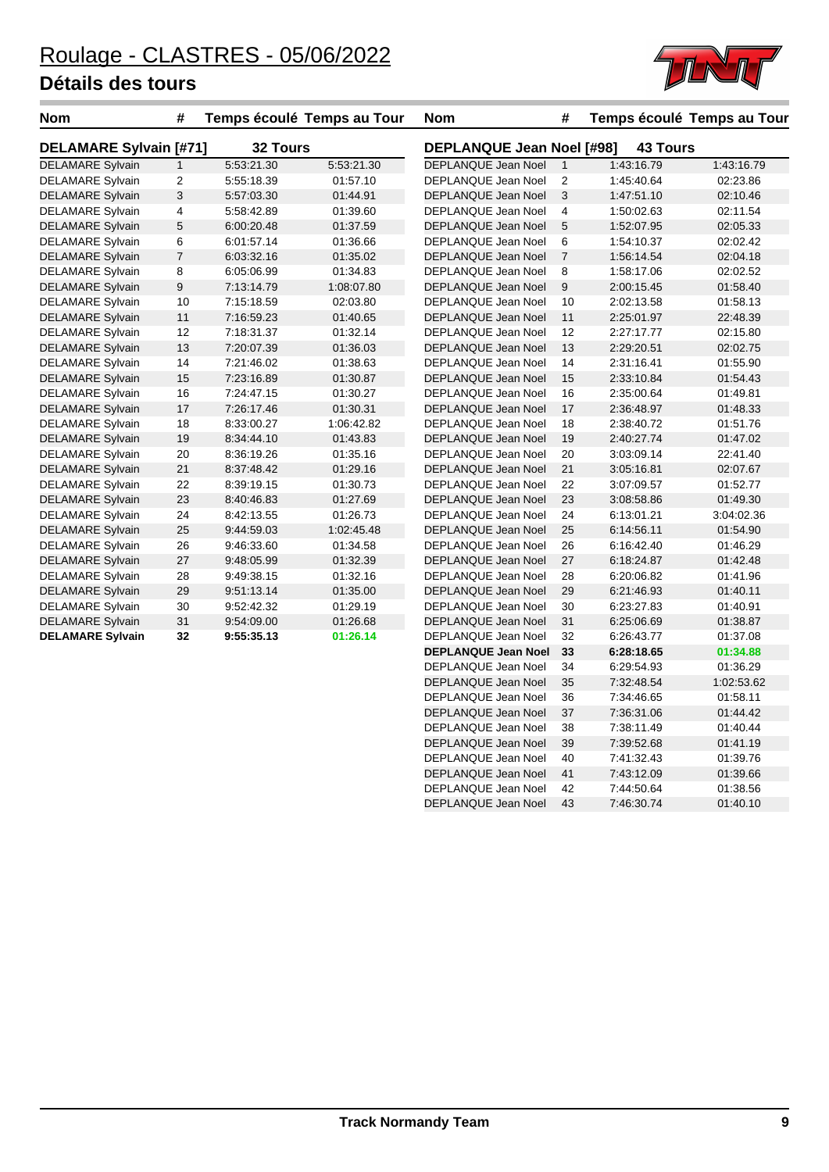

| <b>Nom</b>                    | #              | Temps écoulé Temps au Tour |            | <b>Nom</b>                       | #              | Temps écoulé Temps au Tour |            |
|-------------------------------|----------------|----------------------------|------------|----------------------------------|----------------|----------------------------|------------|
| <b>DELAMARE Sylvain [#71]</b> |                | 32 Tours                   |            | <b>DEPLANQUE Jean Noel [#98]</b> |                | <b>43 Tours</b>            |            |
| <b>DELAMARE Sylvain</b>       | $\mathbf{1}$   | 5:53:21.30                 | 5:53:21.30 | DEPLANQUE Jean Noel              | $\mathbf{1}$   | 1:43:16.79                 | 1:43:16.79 |
| <b>DELAMARE Sylvain</b>       | 2              | 5:55:18.39                 | 01:57.10   | DEPLANQUE Jean Noel              | 2              | 1:45:40.64                 | 02:23.86   |
| <b>DELAMARE Sylvain</b>       | 3              | 5:57:03.30                 | 01:44.91   | <b>DEPLANQUE Jean Noel</b>       | 3              | 1:47:51.10                 | 02:10.46   |
| <b>DELAMARE Sylvain</b>       | 4              | 5:58:42.89                 | 01:39.60   | DEPLANQUE Jean Noel              | 4              | 1:50:02.63                 | 02:11.54   |
| <b>DELAMARE Sylvain</b>       | 5              | 6:00:20.48                 | 01:37.59   | <b>DEPLANQUE Jean Noel</b>       | 5              | 1:52:07.95                 | 02:05.33   |
| <b>DELAMARE Sylvain</b>       | 6              | 6:01:57.14                 | 01:36.66   | DEPLANQUE Jean Noel              | 6              | 1:54:10.37                 | 02:02.42   |
| <b>DELAMARE Sylvain</b>       | $\overline{7}$ | 6:03:32.16                 | 01:35.02   | DEPLANQUE Jean Noel              | $\overline{7}$ | 1:56:14.54                 | 02:04.18   |
| <b>DELAMARE Sylvain</b>       | 8              | 6:05:06.99                 | 01:34.83   | DEPLANQUE Jean Noel              | 8              | 1:58:17.06                 | 02:02.52   |
| <b>DELAMARE Sylvain</b>       | 9              | 7:13:14.79                 | 1:08:07.80 | DEPLANQUE Jean Noel              | 9              | 2:00:15.45                 | 01:58.40   |
| <b>DELAMARE Sylvain</b>       | 10             | 7:15:18.59                 | 02:03.80   | DEPLANQUE Jean Noel              | 10             | 2:02:13.58                 | 01:58.13   |
| <b>DELAMARE Sylvain</b>       | 11             | 7:16:59.23                 | 01:40.65   | <b>DEPLANQUE Jean Noel</b>       | 11             | 2:25:01.97                 | 22:48.39   |
| <b>DELAMARE Sylvain</b>       | 12             | 7:18:31.37                 | 01:32.14   | DEPLANQUE Jean Noel              | 12             | 2:27:17.77                 | 02:15.80   |
| <b>DELAMARE Sylvain</b>       | 13             | 7:20:07.39                 | 01:36.03   | <b>DEPLANQUE Jean Noel</b>       | 13             | 2:29:20.51                 | 02:02.75   |
| <b>DELAMARE Sylvain</b>       | 14             | 7:21:46.02                 | 01:38.63   | DEPLANQUE Jean Noel              | 14             | 2:31:16.41                 | 01:55.90   |
| <b>DELAMARE Sylvain</b>       | 15             | 7:23:16.89                 | 01:30.87   | <b>DEPLANQUE Jean Noel</b>       | 15             | 2:33:10.84                 | 01:54.43   |
| <b>DELAMARE Sylvain</b>       | 16             | 7:24:47.15                 | 01:30.27   | DEPLANQUE Jean Noel              | 16             | 2:35:00.64                 | 01:49.81   |
| <b>DELAMARE Sylvain</b>       | 17             | 7:26:17.46                 | 01:30.31   | <b>DEPLANQUE Jean Noel</b>       | 17             | 2:36:48.97                 | 01:48.33   |
| <b>DELAMARE Sylvain</b>       | 18             | 8:33:00.27                 | 1:06:42.82 | DEPLANQUE Jean Noel              | 18             | 2:38:40.72                 | 01:51.76   |
| <b>DELAMARE Sylvain</b>       | 19             | 8:34:44.10                 | 01:43.83   | <b>DEPLANQUE Jean Noel</b>       | 19             | 2:40:27.74                 | 01:47.02   |
| <b>DELAMARE Sylvain</b>       | 20             | 8:36:19.26                 | 01:35.16   | DEPLANQUE Jean Noel              | 20             | 3:03:09.14                 | 22:41.40   |
| <b>DELAMARE Sylvain</b>       | 21             | 8:37:48.42                 | 01:29.16   | DEPLANQUE Jean Noel              | 21             | 3:05:16.81                 | 02:07.67   |
| <b>DELAMARE Sylvain</b>       | 22             | 8:39:19.15                 | 01:30.73   | DEPLANQUE Jean Noel              | 22             | 3:07:09.57                 | 01:52.77   |
| <b>DELAMARE Sylvain</b>       | 23             | 8:40:46.83                 | 01:27.69   | <b>DEPLANQUE Jean Noel</b>       | 23             | 3:08:58.86                 | 01:49.30   |
| <b>DELAMARE Sylvain</b>       | 24             | 8:42:13.55                 | 01:26.73   | <b>DEPLANQUE Jean Noel</b>       | 24             | 6:13:01.21                 | 3:04:02.36 |
| <b>DELAMARE Sylvain</b>       | 25             | 9:44:59.03                 | 1:02:45.48 | DEPLANQUE Jean Noel              | 25             | 6:14:56.11                 | 01:54.90   |
| <b>DELAMARE Sylvain</b>       | 26             | 9:46:33.60                 | 01:34.58   | DEPLANQUE Jean Noel              | 26             | 6:16:42.40                 | 01:46.29   |
| <b>DELAMARE Sylvain</b>       | 27             | 9:48:05.99                 | 01:32.39   | DEPLANQUE Jean Noel              | 27             | 6:18:24.87                 | 01:42.48   |
| <b>DELAMARE Sylvain</b>       | 28             | 9:49:38.15                 | 01:32.16   | DEPLANQUE Jean Noel              | 28             | 6:20:06.82                 | 01:41.96   |
| <b>DELAMARE Sylvain</b>       | 29             | 9:51:13.14                 | 01:35.00   | <b>DEPLANQUE Jean Noel</b>       | 29             | 6:21:46.93                 | 01:40.11   |
| <b>DELAMARE Sylvain</b>       | 30             | 9:52:42.32                 | 01:29.19   | DEPLANQUE Jean Noel              | 30             | 6.23.27.83                 | 01:40.91   |
| <b>DELAMARE Sylvain</b>       | 31             | 9:54:09.00                 | 01:26.68   | <b>DEPLANQUE Jean Noel</b>       | 31             | 6:25:06.69                 | 01:38.87   |
| <b>DELAMARE Sylvain</b>       | 32             | 9:55:35.13                 | 01:26.14   | DEPLANQUE Jean Noel              | 32             | 6:26:43.77                 | 01:37.08   |
|                               |                |                            |            | <b>DEPLANQUE Jean Noel</b>       | 33             | 6:28:18.65                 | 01:34.88   |
|                               |                |                            |            | DEPLANQUE Jean Noel              | 34             | 6:29:54.93                 | 01:36.29   |
|                               |                |                            |            | DEPLANQUE Jean Noel              | 35             | 7:32:48.54                 | 1:02:53.62 |

DEPLANQUE Jean Noel 36 7:34:46.65 01:58.11 DEPLANQUE Jean Noel 37 7:36:31.06 01:44.42 DEPLANQUE Jean Noel 38 7:38:11.49 01:40.44 DEPLANQUE Jean Noel 39 7:39:52.68 01:41.19 DEPLANQUE Jean Noel 40 7:41:32.43 01:39.76 DEPLANQUE Jean Noel 41 7:43:12.09 01:39.66 DEPLANQUE Jean Noel 42 7:44:50.64 01:38.56 DEPLANQUE Jean Noel 43 7:46:30.74 01:40.10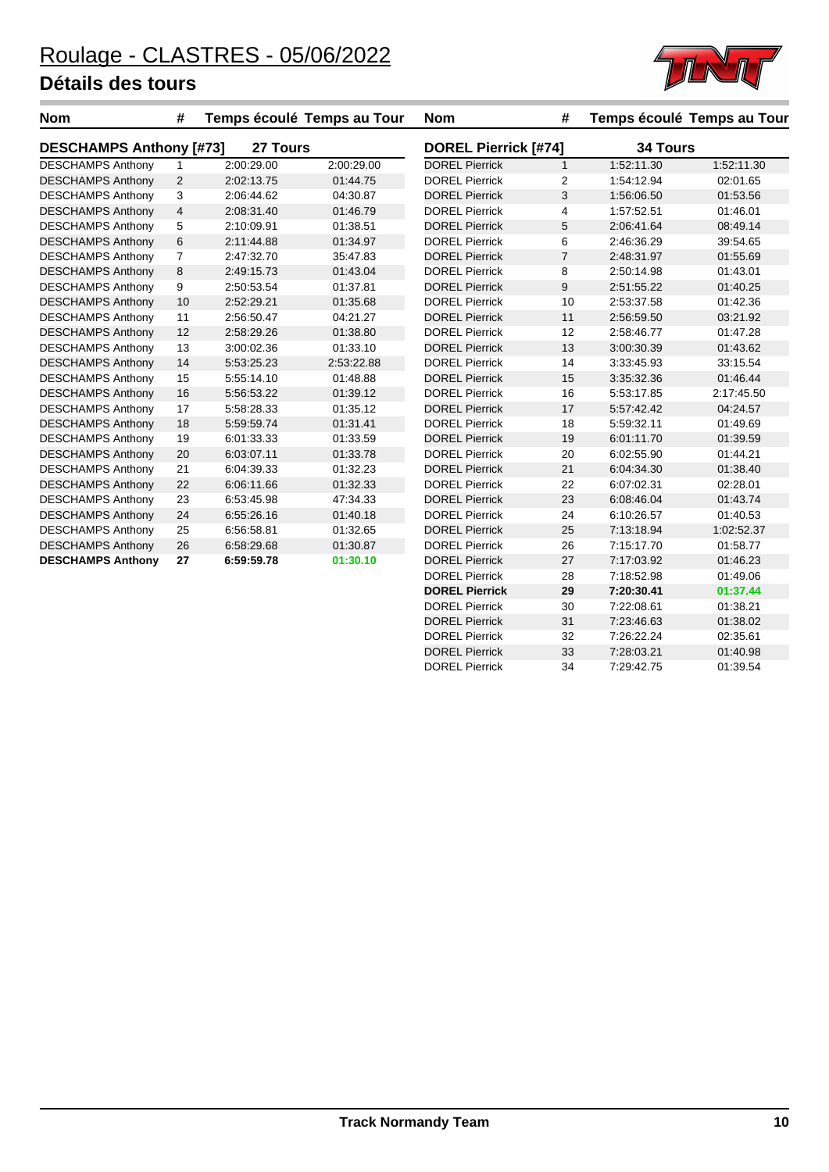

| Nom                            | #              | Temps écoulé Temps au Tour |            | <b>Nom</b>                  | #              |                 | Temps écoulé Temps au Tour |
|--------------------------------|----------------|----------------------------|------------|-----------------------------|----------------|-----------------|----------------------------|
| <b>DESCHAMPS Anthony [#73]</b> |                | 27 Tours                   |            | <b>DOREL Pierrick [#74]</b> |                | <b>34 Tours</b> |                            |
| <b>DESCHAMPS Anthony</b>       | $\mathbf{1}$   | 2:00:29.00                 | 2:00:29.00 | <b>DOREL Pierrick</b>       | $\mathbf{1}$   | 1:52:11.30      | 1:52:11.30                 |
| <b>DESCHAMPS Anthony</b>       | $\overline{2}$ | 2:02:13.75                 | 01:44.75   | <b>DOREL Pierrick</b>       | 2              | 1:54:12.94      | 02:01.65                   |
| <b>DESCHAMPS Anthony</b>       | 3              | 2:06:44.62                 | 04:30.87   | <b>DOREL Pierrick</b>       | 3              | 1:56:06.50      | 01:53.56                   |
| <b>DESCHAMPS Anthony</b>       | 4              | 2:08:31.40                 | 01:46.79   | <b>DOREL Pierrick</b>       | 4              | 1:57:52.51      | 01:46.01                   |
| <b>DESCHAMPS Anthony</b>       | 5              | 2:10:09.91                 | 01:38.51   | <b>DOREL Pierrick</b>       | 5              | 2:06:41.64      | 08:49.14                   |
| <b>DESCHAMPS Anthony</b>       | $\,6$          | 2:11:44.88                 | 01:34.97   | <b>DOREL Pierrick</b>       | 6              | 2:46:36.29      | 39:54.65                   |
| <b>DESCHAMPS Anthony</b>       | $\overline{7}$ | 2:47:32.70                 | 35:47.83   | <b>DOREL Pierrick</b>       | $\overline{7}$ | 2:48:31.97      | 01:55.69                   |
| <b>DESCHAMPS Anthony</b>       | 8              | 2:49:15.73                 | 01:43.04   | <b>DOREL Pierrick</b>       | 8              | 2:50:14.98      | 01:43.01                   |
| <b>DESCHAMPS Anthony</b>       | 9              | 2:50:53.54                 | 01:37.81   | <b>DOREL Pierrick</b>       | 9              | 2:51:55.22      | 01:40.25                   |
| <b>DESCHAMPS Anthony</b>       | 10             | 2:52:29.21                 | 01:35.68   | <b>DOREL Pierrick</b>       | 10             | 2:53:37.58      | 01:42.36                   |
| <b>DESCHAMPS Anthony</b>       | 11             | 2:56:50.47                 | 04:21.27   | <b>DOREL Pierrick</b>       | 11             | 2:56:59.50      | 03:21.92                   |
| <b>DESCHAMPS Anthony</b>       | 12             | 2:58:29.26                 | 01:38.80   | <b>DOREL Pierrick</b>       | 12             | 2:58:46.77      | 01:47.28                   |
| <b>DESCHAMPS Anthony</b>       | 13             | 3:00:02.36                 | 01:33.10   | <b>DOREL Pierrick</b>       | 13             | 3:00:30.39      | 01:43.62                   |
| <b>DESCHAMPS Anthony</b>       | 14             | 5:53:25.23                 | 2:53:22.88 | <b>DOREL Pierrick</b>       | 14             | 3:33:45.93      | 33:15.54                   |
| <b>DESCHAMPS Anthony</b>       | 15             | 5:55:14.10                 | 01:48.88   | <b>DOREL Pierrick</b>       | 15             | 3:35:32.36      | 01:46.44                   |
| <b>DESCHAMPS Anthony</b>       | 16             | 5:56:53.22                 | 01:39.12   | <b>DOREL Pierrick</b>       | 16             | 5:53:17.85      | 2:17:45.50                 |
| <b>DESCHAMPS Anthony</b>       | 17             | 5:58:28.33                 | 01:35.12   | <b>DOREL Pierrick</b>       | 17             | 5:57:42.42      | 04:24.57                   |
| <b>DESCHAMPS Anthony</b>       | 18             | 5:59:59.74                 | 01:31.41   | <b>DOREL Pierrick</b>       | 18             | 5:59:32.11      | 01:49.69                   |
| <b>DESCHAMPS Anthony</b>       | 19             | 6:01:33.33                 | 01:33.59   | <b>DOREL Pierrick</b>       | 19             | 6:01:11.70      | 01:39.59                   |
| <b>DESCHAMPS Anthony</b>       | 20             | 6:03:07.11                 | 01:33.78   | <b>DOREL Pierrick</b>       | 20             | 6:02:55.90      | 01:44.21                   |
| <b>DESCHAMPS Anthony</b>       | 21             | 6:04:39.33                 | 01:32.23   | <b>DOREL Pierrick</b>       | 21             | 6:04:34.30      | 01:38.40                   |
| <b>DESCHAMPS Anthony</b>       | 22             | 6:06:11.66                 | 01:32.33   | <b>DOREL Pierrick</b>       | 22             | 6:07:02.31      | 02:28.01                   |
| <b>DESCHAMPS Anthony</b>       | 23             | 6:53:45.98                 | 47:34.33   | <b>DOREL Pierrick</b>       | 23             | 6:08:46.04      | 01:43.74                   |
| <b>DESCHAMPS Anthony</b>       | 24             | 6:55:26.16                 | 01:40.18   | <b>DOREL Pierrick</b>       | 24             | 6:10:26.57      | 01:40.53                   |
| <b>DESCHAMPS Anthony</b>       | 25             | 6:56:58.81                 | 01:32.65   | <b>DOREL Pierrick</b>       | 25             | 7:13:18.94      | 1:02:52.37                 |
| <b>DESCHAMPS Anthony</b>       | 26             | 6:58:29.68                 | 01:30.87   | <b>DOREL Pierrick</b>       | 26             | 7:15:17.70      | 01:58.77                   |
| <b>DESCHAMPS Anthony</b>       | 27             | 6:59:59.78                 | 01:30.10   | <b>DOREL Pierrick</b>       | 27             | 7:17:03.92      | 01:46.23                   |
|                                |                |                            |            | <b>DOREL Pierrick</b>       | 28             | 7:18:52.98      | 01:49.06                   |
|                                |                |                            |            | <b>DOREL Pierrick</b>       | 29             | 7:20:30.41      | 01:37.44                   |
|                                |                |                            |            | <b>DOREL Pierrick</b>       | 30             | 7:22:08.61      | 01:38.21                   |
|                                |                |                            |            | <b>DOREL Pierrick</b>       | 31             | 7:23:46.63      | 01:38.02                   |
|                                |                |                            |            | <b>DOREL Pierrick</b>       | 32             | 7:26:22.24      | 02:35.61                   |

01:40.98<br>DOREL Pierrick 33 7:28:03.21 01:40.98<br>DOREL Pierrick 34 7:29:42.75 01:39.54

DOREL Pierrick 34 7:29:42.75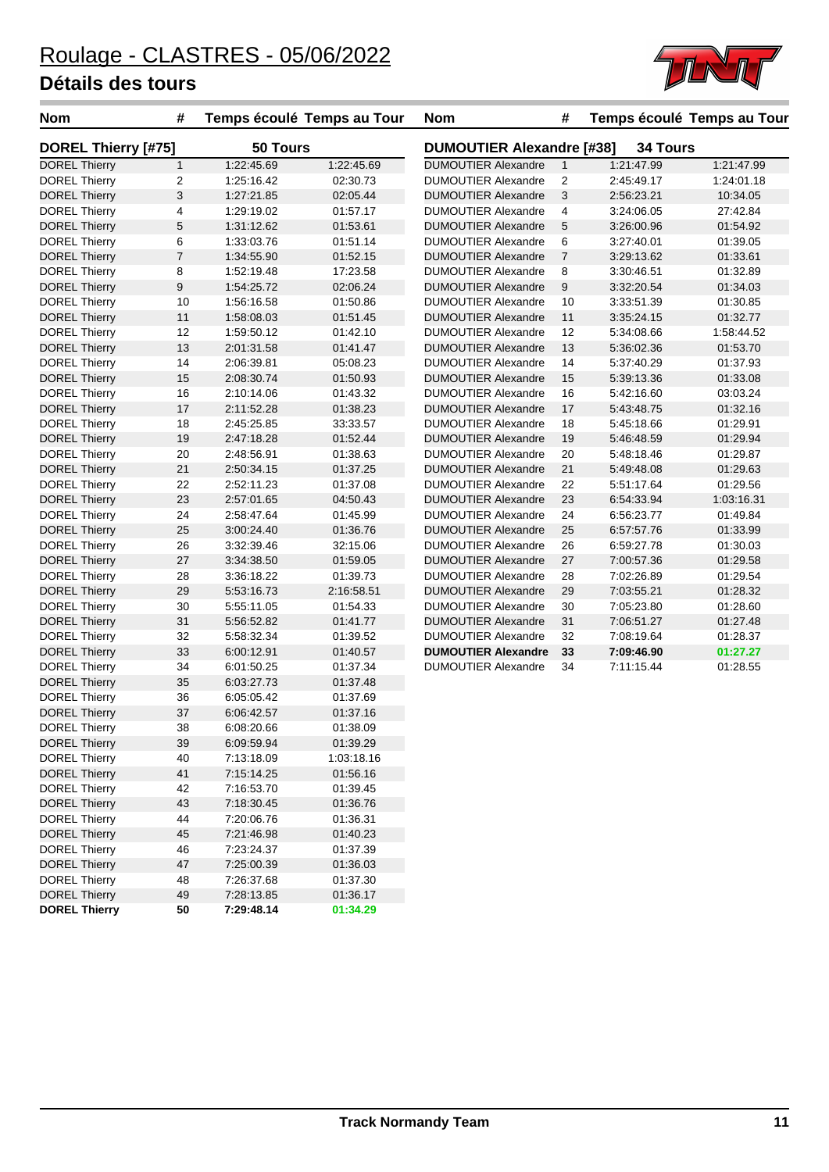

| <b>Nom</b>                 | #                | Temps écoulé Temps au Tour |            | <b>Nom</b>                                          | #                |            | Temps écoulé Temps au Tour |  |
|----------------------------|------------------|----------------------------|------------|-----------------------------------------------------|------------------|------------|----------------------------|--|
| <b>DOREL Thierry [#75]</b> |                  | 50 Tours                   |            | <b>DUMOUTIER Alexandre [#38]</b><br><b>34 Tours</b> |                  |            |                            |  |
| <b>DOREL Thierry</b>       | $\mathbf{1}$     | 1:22:45.69                 | 1:22:45.69 | <b>DUMOUTIER Alexandre</b>                          | $\mathbf{1}$     | 1:21:47.99 | 1:21:47.99                 |  |
| <b>DOREL Thierry</b>       | 2                | 1:25:16.42                 | 02:30.73   | <b>DUMOUTIER Alexandre</b>                          | 2                | 2:45:49.17 | 1:24:01.18                 |  |
| <b>DOREL Thierry</b>       | 3                | 1:27:21.85                 | 02:05.44   | <b>DUMOUTIER Alexandre</b>                          | $\mathbf{3}$     | 2:56:23.21 | 10:34.05                   |  |
| <b>DOREL Thierry</b>       | 4                | 1:29:19.02                 | 01:57.17   | <b>DUMOUTIER Alexandre</b>                          | $\overline{4}$   | 3:24:06.05 | 27:42.84                   |  |
| <b>DOREL Thierry</b>       | 5                | 1:31:12.62                 | 01:53.61   | <b>DUMOUTIER Alexandre</b>                          | 5                | 3:26:00.96 | 01:54.92                   |  |
| <b>DOREL Thierry</b>       | 6                | 1:33:03.76                 | 01:51.14   | <b>DUMOUTIER Alexandre</b>                          | 6                | 3:27:40.01 | 01:39.05                   |  |
| <b>DOREL Thierry</b>       | $\boldsymbol{7}$ | 1:34:55.90                 | 01:52.15   | <b>DUMOUTIER Alexandre</b>                          | $\overline{7}$   | 3:29:13.62 | 01:33.61                   |  |
| <b>DOREL Thierry</b>       | 8                | 1:52:19.48                 | 17:23.58   | <b>DUMOUTIER Alexandre</b>                          | 8                | 3:30:46.51 | 01:32.89                   |  |
| <b>DOREL Thierry</b>       | 9                | 1:54:25.72                 | 02:06.24   | <b>DUMOUTIER Alexandre</b>                          | $\boldsymbol{9}$ | 3:32:20.54 | 01:34.03                   |  |
| <b>DOREL Thierry</b>       | 10               | 1:56:16.58                 | 01:50.86   | <b>DUMOUTIER Alexandre</b>                          | 10               | 3:33:51.39 | 01:30.85                   |  |
| <b>DOREL Thierry</b>       | 11               | 1:58:08.03                 | 01:51.45   | <b>DUMOUTIER Alexandre</b>                          | 11               | 3:35:24.15 | 01:32.77                   |  |
| <b>DOREL Thierry</b>       | 12               | 1:59:50.12                 | 01:42.10   | <b>DUMOUTIER Alexandre</b>                          | 12               | 5:34:08.66 | 1:58:44.52                 |  |
| <b>DOREL Thierry</b>       | 13               | 2:01:31.58                 | 01:41.47   | <b>DUMOUTIER Alexandre</b>                          | 13               | 5:36:02.36 | 01:53.70                   |  |
| <b>DOREL Thierry</b>       | 14               | 2:06:39.81                 | 05:08.23   | <b>DUMOUTIER Alexandre</b>                          | 14               | 5:37:40.29 | 01:37.93                   |  |
| <b>DOREL Thierry</b>       | 15               | 2:08:30.74                 | 01:50.93   | <b>DUMOUTIER Alexandre</b>                          | 15               | 5:39:13.36 | 01:33.08                   |  |
| <b>DOREL Thierry</b>       | 16               | 2:10:14.06                 | 01:43.32   | <b>DUMOUTIER Alexandre</b>                          | 16               | 5:42:16.60 | 03:03.24                   |  |
| <b>DOREL Thierry</b>       | 17               | 2:11:52.28                 | 01:38.23   | <b>DUMOUTIER Alexandre</b>                          | 17               | 5:43:48.75 | 01:32.16                   |  |
| <b>DOREL Thierry</b>       | 18               | 2:45:25.85                 | 33:33.57   | <b>DUMOUTIER Alexandre</b>                          | 18               | 5:45:18.66 | 01:29.91                   |  |
| <b>DOREL Thierry</b>       | 19               | 2:47:18.28                 | 01:52.44   | <b>DUMOUTIER Alexandre</b>                          | 19               | 5:46:48.59 | 01:29.94                   |  |
| <b>DOREL Thierry</b>       | 20               | 2:48:56.91                 | 01:38.63   | <b>DUMOUTIER Alexandre</b>                          | 20               | 5:48:18.46 | 01:29.87                   |  |
| <b>DOREL Thierry</b>       | 21               | 2:50:34.15                 | 01:37.25   | <b>DUMOUTIER Alexandre</b>                          | 21               | 5:49:48.08 | 01:29.63                   |  |
| <b>DOREL Thierry</b>       | 22               | 2:52:11.23                 | 01:37.08   | <b>DUMOUTIER Alexandre</b>                          | 22               | 5:51:17.64 | 01:29.56                   |  |
| <b>DOREL Thierry</b>       | 23               | 2:57:01.65                 | 04:50.43   | <b>DUMOUTIER Alexandre</b>                          | 23               | 6:54:33.94 | 1:03:16.31                 |  |
| <b>DOREL Thierry</b>       | 24               | 2:58:47.64                 | 01:45.99   | <b>DUMOUTIER Alexandre</b>                          | 24               | 6:56:23.77 | 01:49.84                   |  |
| <b>DOREL Thierry</b>       | 25               | 3:00:24.40                 | 01:36.76   | <b>DUMOUTIER Alexandre</b>                          | 25               | 6:57:57.76 | 01:33.99                   |  |
| <b>DOREL Thierry</b>       | 26               | 3:32:39.46                 | 32:15.06   | <b>DUMOUTIER Alexandre</b>                          | 26               | 6:59:27.78 | 01:30.03                   |  |
| <b>DOREL Thierry</b>       | 27               | 3:34:38.50                 | 01:59.05   | <b>DUMOUTIER Alexandre</b>                          | 27               | 7:00:57.36 | 01:29.58                   |  |
| <b>DOREL Thierry</b>       | 28               | 3:36:18.22                 | 01:39.73   | <b>DUMOUTIER Alexandre</b>                          | 28               | 7:02:26.89 | 01:29.54                   |  |
| <b>DOREL Thierry</b>       | 29               | 5:53:16.73                 | 2:16:58.51 | <b>DUMOUTIER Alexandre</b>                          | 29               | 7:03:55.21 | 01:28.32                   |  |
| DOREL Thierry              | 30               | 5:55:11.05                 | 01:54.33   | <b>DUMOUTIER Alexandre</b>                          | 30               | 7:05:23.80 | 01:28.60                   |  |
| <b>DOREL Thierry</b>       | 31               | 5:56:52.82                 | 01:41.77   | <b>DUMOUTIER Alexandre</b>                          | 31               | 7:06:51.27 | 01:27.48                   |  |
| <b>DOREL Thierry</b>       | 32               | 5:58:32.34                 | 01:39.52   | <b>DUMOUTIER Alexandre</b>                          | 32               | 7:08:19.64 | 01:28.37                   |  |
| <b>DOREL Thierry</b>       | 33               | 6:00:12.91                 | 01:40.57   | <b>DUMOUTIER Alexandre</b>                          | 33               | 7:09:46.90 | 01:27.27                   |  |
| <b>DOREL Thierry</b>       | 34               | 6:01:50.25                 | 01:37.34   | <b>DUMOUTIER Alexandre</b>                          | 34               | 7:11:15.44 | 01:28.55                   |  |
| <b>DOREL Thierry</b>       | 35               | 6:03:27.73                 | 01:37.48   |                                                     |                  |            |                            |  |
| <b>DOREL Thierry</b>       | 36               | 6:05:05.42                 | 01:37.69   |                                                     |                  |            |                            |  |
| <b>DOREL Thierry</b>       | 37               | 6:06:42.57                 | 01:37.16   |                                                     |                  |            |                            |  |
| <b>DOREL Thierry</b>       | 38               | 6:08:20.66                 | 01:38.09   |                                                     |                  |            |                            |  |
| <b>DOREL Thierry</b>       | 39               | 6:09:59.94                 | 01:39.29   |                                                     |                  |            |                            |  |
| <b>DOREL Thierry</b>       | 40               | 7:13:18.09                 | 1:03:18.16 |                                                     |                  |            |                            |  |
| <b>DOREL Thierry</b>       | 41               | 7:15:14.25                 | 01:56.16   |                                                     |                  |            |                            |  |
| <b>DOREL Thierry</b>       | 42               | 7:16:53.70                 | 01:39.45   |                                                     |                  |            |                            |  |
| <b>DOREL Thierry</b>       | 43               | 7:18:30.45                 | 01:36.76   |                                                     |                  |            |                            |  |
| DOREL Thierry              | 44               | 7:20:06.76                 | 01:36.31   |                                                     |                  |            |                            |  |
| <b>DOREL Thierry</b>       | 45               | 7:21:46.98                 | 01:40.23   |                                                     |                  |            |                            |  |
| <b>DOREL Thierry</b>       | 46               | 7:23:24.37                 | 01:37.39   |                                                     |                  |            |                            |  |
| <b>DOREL Thierry</b>       | 47               | 7:25:00.39                 | 01:36.03   |                                                     |                  |            |                            |  |
| <b>DOREL Thierry</b>       | 48               | 7:26:37.68                 | 01:37.30   |                                                     |                  |            |                            |  |
| <b>DOREL Thierry</b>       | 49               | 7:28:13.85                 | 01:36.17   |                                                     |                  |            |                            |  |
| <b>DOREL Thierry</b>       | 50               | 7:29:48.14                 | 01:34.29   |                                                     |                  |            |                            |  |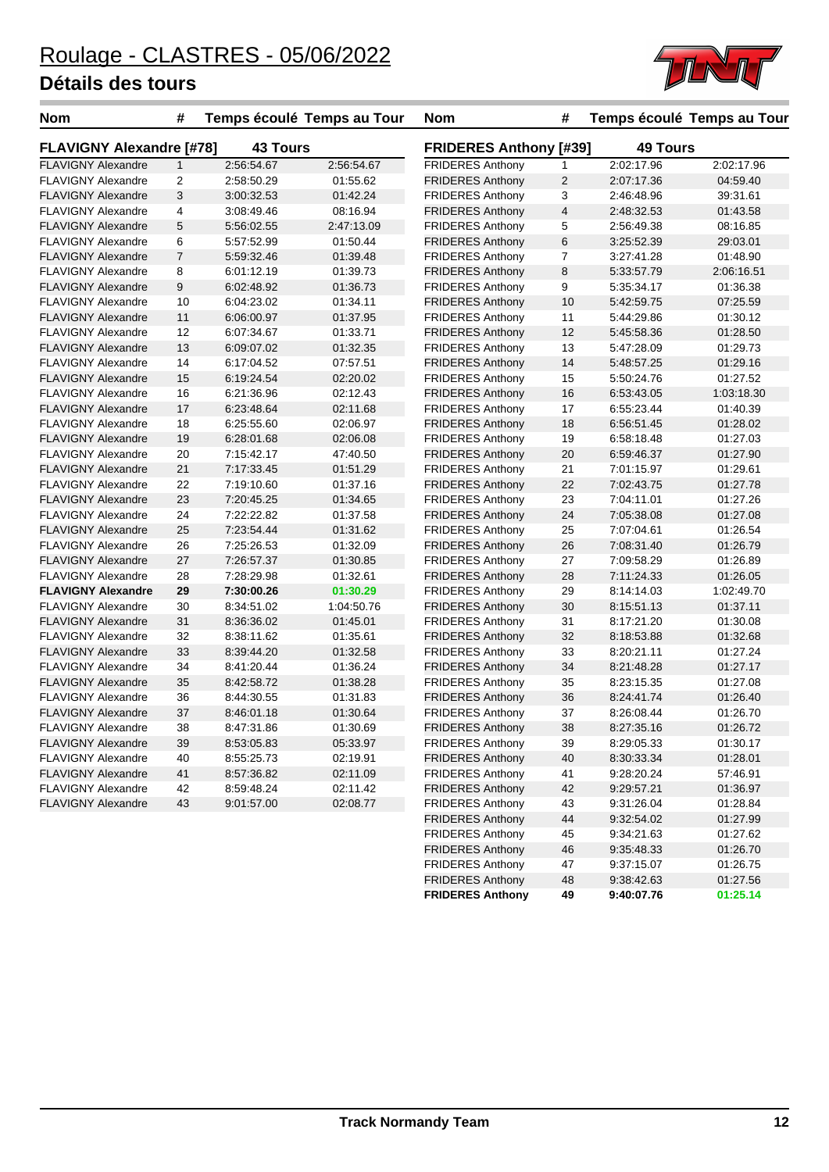

| <b>Nom</b>                                             | #              |                 | Temps écoulé Temps au Tour | <b>Nom</b>                    | #                       |                 | Temps écoulé Temps au Tour |  |
|--------------------------------------------------------|----------------|-----------------|----------------------------|-------------------------------|-------------------------|-----------------|----------------------------|--|
| <b>FLAVIGNY Alexandre [#78]</b>                        |                | <b>43 Tours</b> |                            | <b>FRIDERES Anthony [#39]</b> |                         | <b>49 Tours</b> |                            |  |
| <b>FLAVIGNY Alexandre</b>                              | $\mathbf{1}$   | 2:56:54.67      | 2:56:54.67                 | <b>FRIDERES Anthony</b>       | 1                       | 2:02:17.96      | 2:02:17.96                 |  |
| <b>FLAVIGNY Alexandre</b>                              | $\overline{2}$ | 2:58:50.29      | 01:55.62                   | <b>FRIDERES Anthony</b>       | $\overline{2}$          | 2:07:17.36      | 04:59.40                   |  |
| <b>FLAVIGNY Alexandre</b>                              | 3              | 3:00:32.53      | 01:42.24                   | <b>FRIDERES Anthony</b>       | 3                       | 2:46:48.96      | 39:31.61                   |  |
| <b>FLAVIGNY Alexandre</b>                              | 4              | 3:08:49.46      | 08:16.94                   | <b>FRIDERES Anthony</b>       | $\overline{\mathbf{4}}$ | 2:48:32.53      | 01:43.58                   |  |
| <b>FLAVIGNY Alexandre</b>                              | 5              | 5:56:02.55      | 2:47:13.09                 | <b>FRIDERES Anthony</b>       | 5                       | 2:56:49.38      | 08:16.85                   |  |
| <b>FLAVIGNY Alexandre</b>                              | 6              | 5:57:52.99      | 01:50.44                   | <b>FRIDERES Anthony</b>       | 6                       | 3:25:52.39      | 29:03.01                   |  |
| <b>FLAVIGNY Alexandre</b>                              | $\overline{7}$ | 5:59:32.46      | 01:39.48                   | <b>FRIDERES Anthony</b>       | $\overline{7}$          | 3:27:41.28      | 01:48.90                   |  |
| <b>FLAVIGNY Alexandre</b>                              | 8              | 6:01:12.19      | 01:39.73                   | <b>FRIDERES Anthony</b>       | 8                       | 5:33:57.79      | 2:06:16.51                 |  |
| <b>FLAVIGNY Alexandre</b>                              | 9              | 6:02:48.92      | 01:36.73                   | <b>FRIDERES Anthony</b>       | 9                       | 5:35:34.17      | 01:36.38                   |  |
| <b>FLAVIGNY Alexandre</b>                              | 10             | 6:04:23.02      | 01:34.11                   | <b>FRIDERES Anthony</b>       | 10                      | 5:42:59.75      | 07:25.59                   |  |
| <b>FLAVIGNY Alexandre</b>                              | 11             | 6:06:00.97      | 01:37.95                   | <b>FRIDERES Anthony</b>       | 11                      | 5:44:29.86      | 01:30.12                   |  |
| <b>FLAVIGNY Alexandre</b>                              | 12             | 6:07:34.67      | 01:33.71                   | <b>FRIDERES Anthony</b>       | 12                      | 5:45:58.36      | 01:28.50                   |  |
| <b>FLAVIGNY Alexandre</b>                              | 13             | 6:09:07.02      | 01:32.35                   | <b>FRIDERES Anthony</b>       | 13                      | 5:47:28.09      | 01:29.73                   |  |
| <b>FLAVIGNY Alexandre</b>                              | 14             | 6:17:04.52      | 07:57.51                   | <b>FRIDERES Anthony</b>       | 14                      | 5:48:57.25      | 01:29.16                   |  |
| <b>FLAVIGNY Alexandre</b>                              | 15             | 6:19:24.54      | 02:20.02                   | <b>FRIDERES Anthony</b>       | 15                      | 5:50:24.76      | 01:27.52                   |  |
| <b>FLAVIGNY Alexandre</b>                              | 16             | 6:21:36.96      | 02:12.43                   | <b>FRIDERES Anthony</b>       | 16                      | 6.53.43.05      | 1:03:18.30                 |  |
| <b>FLAVIGNY Alexandre</b>                              | 17             | 6:23:48.64      | 02:11.68                   | <b>FRIDERES Anthony</b>       | 17                      | 6:55:23.44      | 01:40.39                   |  |
| <b>FLAVIGNY Alexandre</b>                              | 18             | 6:25:55.60      | 02:06.97                   | <b>FRIDERES Anthony</b>       | 18                      | 6:56:51.45      | 01:28.02                   |  |
| <b>FLAVIGNY Alexandre</b>                              | 19             | 6:28:01.68      | 02:06.08                   | <b>FRIDERES Anthony</b>       | 19                      | 6:58:18.48      | 01:27.03                   |  |
| <b>FLAVIGNY Alexandre</b>                              | 20             | 7:15:42.17      | 47:40.50                   | <b>FRIDERES Anthony</b>       | 20                      | 6:59:46.37      | 01:27.90                   |  |
| <b>FLAVIGNY Alexandre</b>                              | 21             | 7:17:33.45      | 01:51.29                   | <b>FRIDERES Anthony</b>       | 21                      | 7:01:15.97      | 01:29.61                   |  |
| <b>FLAVIGNY Alexandre</b>                              | 22             | 7:19:10.60      | 01:37.16                   | <b>FRIDERES Anthony</b>       | 22                      | 7:02:43.75      | 01:27.78                   |  |
| <b>FLAVIGNY Alexandre</b>                              | 23             | 7:20:45.25      | 01:34.65                   | <b>FRIDERES Anthony</b>       | 23                      | 7:04:11.01      | 01:27.26                   |  |
| <b>FLAVIGNY Alexandre</b>                              | 24             | 7:22:22.82      | 01:37.58                   | <b>FRIDERES Anthony</b>       | 24                      | 7:05:38.08      | 01:27.08                   |  |
| <b>FLAVIGNY Alexandre</b>                              | 25             | 7:23:54.44      | 01:31.62                   | <b>FRIDERES Anthony</b>       | 25                      | 7:07:04.61      | 01:26.54                   |  |
| <b>FLAVIGNY Alexandre</b>                              | 26             | 7:25:26.53      | 01:32.09                   | <b>FRIDERES Anthony</b>       | 26                      | 7:08:31.40      | 01:26.79                   |  |
| <b>FLAVIGNY Alexandre</b>                              | 27             | 7:26:57.37      | 01:30.85                   | <b>FRIDERES Anthony</b>       | 27                      | 7:09:58.29      | 01:26.89                   |  |
| <b>FLAVIGNY Alexandre</b>                              | 28             | 7:28:29.98      | 01:32.61                   | <b>FRIDERES Anthony</b>       | 28                      | 7:11:24.33      | 01:26.05                   |  |
| <b>FLAVIGNY Alexandre</b>                              | 29             | 7:30:00.26      | 01:30.29                   | <b>FRIDERES Anthony</b>       | 29                      | 8:14:14.03      | 1:02:49.70                 |  |
| <b>FLAVIGNY Alexandre</b>                              | 30             | 8:34:51.02      | 1:04:50.76                 | <b>FRIDERES Anthony</b>       | 30                      | 8:15:51.13      | 01:37.11                   |  |
| <b>FLAVIGNY Alexandre</b>                              | 31             | 8:36:36.02      | 01:45.01                   | <b>FRIDERES Anthony</b>       | 31                      | 8:17:21.20      | 01:30.08                   |  |
| <b>FLAVIGNY Alexandre</b>                              | 32             | 8:38:11.62      | 01:35.61                   | <b>FRIDERES Anthony</b>       | 32                      | 8:18:53.88      | 01:32.68                   |  |
| <b>FLAVIGNY Alexandre</b>                              | 33             | 8:39:44.20      | 01:32.58                   | <b>FRIDERES Anthony</b>       | 33                      | 8:20:21.11      | 01:27.24                   |  |
| <b>FLAVIGNY Alexandre</b>                              | 34             | 8:41:20.44      | 01:36.24                   | <b>FRIDERES Anthony</b>       | 34                      | 8:21:48.28      | 01:27.17                   |  |
| <b>FLAVIGNY Alexandre</b>                              | 35             | 8:42:58.72      | 01:38.28                   | <b>FRIDERES Anthony</b>       | 35                      | 8:23:15.35      | 01:27.08                   |  |
| <b>FLAVIGNY Alexandre</b>                              | 36             | 8:44:30.55      | 01:31.83                   | <b>FRIDERES Anthony</b>       | 36                      | 8:24:41.74      | 01:26.40                   |  |
| <b>FLAVIGNY Alexandre</b>                              | 37             | 8:46:01.18      | 01:30.64                   | <b>FRIDERES Anthony</b>       | 37                      | 8:26:08.44      | 01:26.70                   |  |
| <b>FLAVIGNY Alexandre</b>                              | 38             | 8:47:31.86      | 01:30.69                   | <b>FRIDERES Anthony</b>       | 38                      | 8:27:35.16      | 01:26.72                   |  |
| <b>FLAVIGNY Alexandre</b>                              | 39             | 8:53:05.83      | 05:33.97                   | <b>FRIDERES Anthony</b>       | 39                      | 8:29:05.33      | 01:30.17                   |  |
| <b>FLAVIGNY Alexandre</b>                              | 40             | 8:55:25.73      | 02:19.91                   | <b>FRIDERES Anthony</b>       | 40                      | 8:30:33.34      | 01:28.01                   |  |
| <b>FLAVIGNY Alexandre</b>                              | 41             | 8:57:36.82      | 02:11.09                   | <b>FRIDERES Anthony</b>       | 41                      | 9:28:20.24      | 57:46.91                   |  |
|                                                        |                |                 |                            |                               |                         |                 |                            |  |
| <b>FLAVIGNY Alexandre</b><br><b>FLAVIGNY Alexandre</b> | 42<br>43       | 8:59:48.24      | 02:11.42                   | <b>FRIDERES Anthony</b>       | 42                      | 9:29:57.21      | 01:36.97                   |  |
|                                                        |                | 9:01:57.00      | 02:08.77                   | <b>FRIDERES Anthony</b>       | 43                      | 9:31:26.04      | 01:28.84                   |  |
|                                                        |                |                 |                            | <b>FRIDERES Anthony</b>       | 44                      | 9:32:54.02      | 01:27.99                   |  |
|                                                        |                |                 |                            | <b>FRIDERES Anthony</b>       | 45                      | 9:34:21.63      | 01:27.62                   |  |
|                                                        |                |                 |                            | <b>FRIDERES Anthony</b>       | 46                      | 9:35:48.33      | 01:26.70                   |  |

FRIDERES Anthony 47 9:37:15.07 01:26.75

**FRIDERES Anthony 49 9:40:07.76 01:25.14**

FRIDERES Anthony 48 9:38:42.63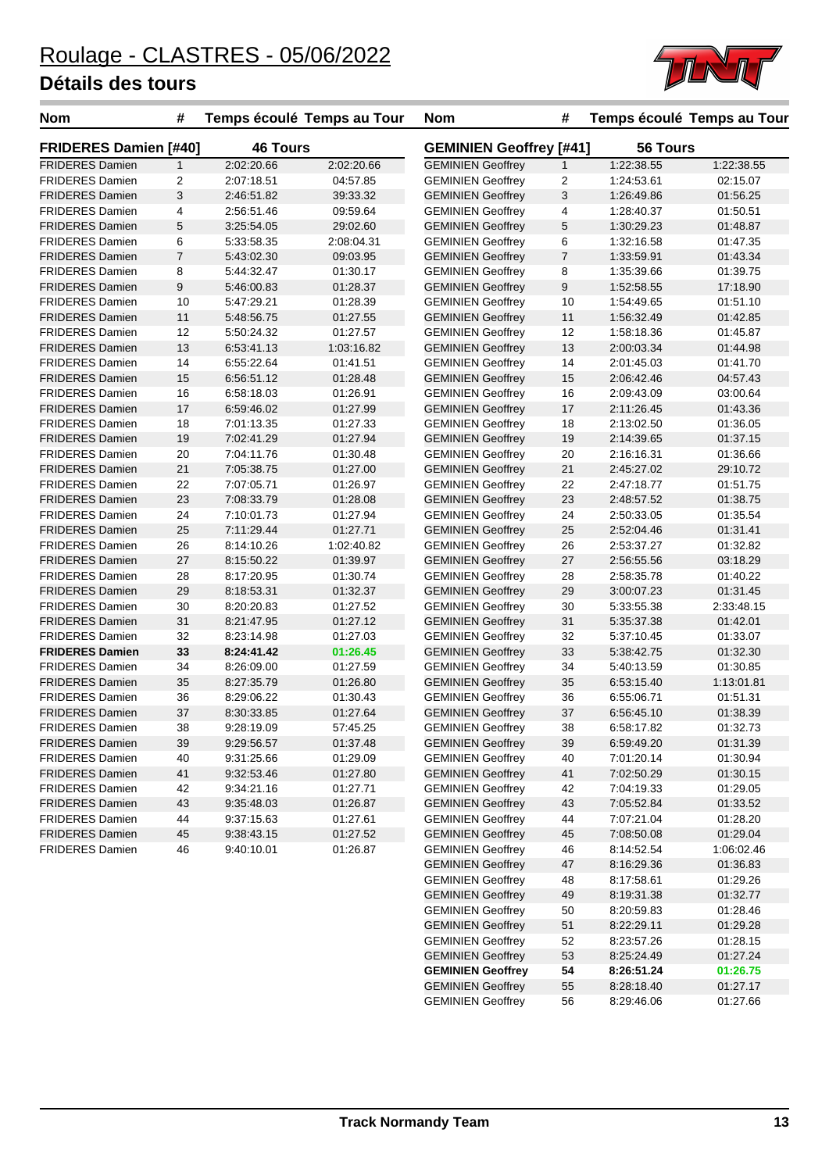

| <b>Nom</b>                   | #              |                 | Temps écoulé Temps au Tour | <b>Nom</b>               | #                              |            | Temps écoulé Temps au Tour |  |  |
|------------------------------|----------------|-----------------|----------------------------|--------------------------|--------------------------------|------------|----------------------------|--|--|
| <b>FRIDERES Damien [#40]</b> |                | <b>46 Tours</b> |                            |                          | <b>GEMINIEN Geoffrey [#41]</b> |            | 56 Tours                   |  |  |
| <b>FRIDERES Damien</b>       | $\mathbf{1}$   | 2:02:20.66      | 2:02:20.66                 | <b>GEMINIEN Geoffrey</b> | 1                              | 1:22:38.55 | 1:22:38.55                 |  |  |
| <b>FRIDERES Damien</b>       | 2              | 2:07:18.51      | 04:57.85                   | <b>GEMINIEN Geoffrey</b> | $\overline{2}$                 | 1:24:53.61 | 02:15.07                   |  |  |
| <b>FRIDERES Damien</b>       | 3              | 2:46:51.82      | 39:33.32                   | <b>GEMINIEN Geoffrey</b> | $\mathbf{3}$                   | 1:26:49.86 | 01:56.25                   |  |  |
| <b>FRIDERES Damien</b>       | 4              | 2:56:51.46      | 09:59.64                   | <b>GEMINIEN Geoffrey</b> | 4                              | 1:28:40.37 | 01:50.51                   |  |  |
| <b>FRIDERES Damien</b>       | 5              | 3:25:54.05      | 29:02.60                   | <b>GEMINIEN Geoffrey</b> | 5                              | 1:30:29.23 | 01:48.87                   |  |  |
| <b>FRIDERES Damien</b>       | 6              | 5:33:58.35      | 2:08:04.31                 | <b>GEMINIEN Geoffrey</b> | 6                              | 1:32:16.58 | 01:47.35                   |  |  |
| <b>FRIDERES Damien</b>       | $\overline{7}$ | 5:43:02.30      | 09:03.95                   | <b>GEMINIEN Geoffrey</b> | $\boldsymbol{7}$               | 1:33:59.91 | 01:43.34                   |  |  |
| <b>FRIDERES Damien</b>       | 8              | 5:44:32.47      | 01:30.17                   | <b>GEMINIEN Geoffrey</b> | 8                              | 1:35:39.66 | 01:39.75                   |  |  |
| <b>FRIDERES Damien</b>       | 9              | 5:46:00.83      | 01:28.37                   | <b>GEMINIEN Geoffrey</b> | $\boldsymbol{9}$               | 1:52:58.55 | 17:18.90                   |  |  |
| <b>FRIDERES Damien</b>       | 10             | 5:47:29.21      | 01:28.39                   | <b>GEMINIEN Geoffrey</b> | 10                             | 1:54:49.65 | 01:51.10                   |  |  |
| <b>FRIDERES Damien</b>       | 11             | 5:48:56.75      | 01:27.55                   | <b>GEMINIEN Geoffrey</b> | 11                             | 1:56:32.49 | 01:42.85                   |  |  |
| <b>FRIDERES Damien</b>       | 12             | 5:50:24.32      | 01:27.57                   | <b>GEMINIEN Geoffrey</b> | 12                             | 1:58:18.36 | 01:45.87                   |  |  |
| <b>FRIDERES Damien</b>       | 13             | 6:53:41.13      | 1:03:16.82                 | <b>GEMINIEN Geoffrey</b> | 13                             | 2:00:03.34 | 01:44.98                   |  |  |
| <b>FRIDERES Damien</b>       | 14             | 6:55:22.64      | 01:41.51                   | <b>GEMINIEN Geoffrey</b> | 14                             | 2:01:45.03 | 01:41.70                   |  |  |
| <b>FRIDERES Damien</b>       | 15             | 6:56:51.12      | 01:28.48                   | <b>GEMINIEN Geoffrey</b> | 15                             | 2:06:42.46 | 04:57.43                   |  |  |
| <b>FRIDERES Damien</b>       | 16             | 6:58:18.03      | 01:26.91                   | <b>GEMINIEN Geoffrey</b> | 16                             | 2:09:43.09 | 03:00.64                   |  |  |
| <b>FRIDERES Damien</b>       | 17             | 6:59:46.02      | 01:27.99                   | <b>GEMINIEN Geoffrey</b> | 17                             | 2:11:26.45 | 01:43.36                   |  |  |
| <b>FRIDERES Damien</b>       | 18             | 7:01:13.35      | 01:27.33                   | <b>GEMINIEN Geoffrey</b> | 18                             | 2:13:02.50 | 01:36.05                   |  |  |
| <b>FRIDERES Damien</b>       | 19             | 7:02:41.29      | 01:27.94                   | <b>GEMINIEN Geoffrey</b> | 19                             | 2:14:39.65 | 01:37.15                   |  |  |
| <b>FRIDERES Damien</b>       | 20             | 7:04:11.76      | 01:30.48                   | <b>GEMINIEN Geoffrey</b> | 20                             | 2:16:16.31 | 01:36.66                   |  |  |
| <b>FRIDERES Damien</b>       | 21             | 7:05:38.75      | 01:27.00                   | <b>GEMINIEN Geoffrey</b> | 21                             | 2:45:27.02 | 29:10.72                   |  |  |
| <b>FRIDERES Damien</b>       | 22             | 7:07:05.71      | 01:26.97                   | <b>GEMINIEN Geoffrey</b> | 22                             | 2:47:18.77 | 01:51.75                   |  |  |
| <b>FRIDERES Damien</b>       | 23             | 7:08:33.79      | 01:28.08                   | <b>GEMINIEN Geoffrey</b> | 23                             | 2:48:57.52 | 01:38.75                   |  |  |
| <b>FRIDERES Damien</b>       | 24             | 7:10:01.73      | 01:27.94                   | <b>GEMINIEN Geoffrey</b> | 24                             | 2:50:33.05 | 01:35.54                   |  |  |
| <b>FRIDERES Damien</b>       | 25             | 7:11:29.44      | 01:27.71                   | <b>GEMINIEN Geoffrey</b> | 25                             | 2:52:04.46 | 01:31.41                   |  |  |
| <b>FRIDERES Damien</b>       | 26             | 8:14:10.26      | 1:02:40.82                 | <b>GEMINIEN Geoffrey</b> | 26                             | 2:53:37.27 | 01:32.82                   |  |  |
| <b>FRIDERES Damien</b>       | 27             | 8:15:50.22      | 01:39.97                   | <b>GEMINIEN Geoffrey</b> | 27                             | 2:56:55.56 | 03:18.29                   |  |  |
| <b>FRIDERES Damien</b>       | 28             | 8:17:20.95      | 01:30.74                   | <b>GEMINIEN Geoffrey</b> | 28                             | 2:58:35.78 | 01:40.22                   |  |  |
| <b>FRIDERES Damien</b>       | 29             | 8:18:53.31      | 01:32.37                   | <b>GEMINIEN Geoffrey</b> | 29                             | 3:00:07.23 | 01:31.45                   |  |  |
| <b>FRIDERES Damien</b>       | 30             | 8:20:20.83      | 01:27.52                   | <b>GEMINIEN Geoffrey</b> | 30                             | 5:33:55.38 | 2:33:48.15                 |  |  |
| <b>FRIDERES Damien</b>       | 31             | 8:21:47.95      | 01:27.12                   | <b>GEMINIEN Geoffrey</b> | 31                             | 5:35:37.38 | 01:42.01                   |  |  |
| <b>FRIDERES Damien</b>       | 32             | 8:23:14.98      | 01:27.03                   | <b>GEMINIEN Geoffrey</b> | 32                             | 5:37:10.45 | 01:33.07                   |  |  |
| <b>FRIDERES Damien</b>       | 33             | 8:24:41.42      | 01:26.45                   | <b>GEMINIEN Geoffrey</b> | 33                             | 5:38:42.75 | 01:32.30                   |  |  |
| <b>FRIDERES Damien</b>       | 34             | 8:26:09.00      | 01:27.59                   | <b>GEMINIEN Geoffrey</b> | 34                             | 5:40:13.59 | 01:30.85                   |  |  |
| <b>FRIDERES Damien</b>       | 35             | 8:27:35.79      | 01:26.80                   | <b>GEMINIEN Geoffrey</b> | 35                             | 6:53:15.40 | 1:13:01.81                 |  |  |
| <b>FRIDERES Damien</b>       | 36             | 8:29:06.22      | 01:30.43                   | <b>GEMINIEN Geoffrey</b> | 36                             | 6:55:06.71 | 01:51.31                   |  |  |
| <b>FRIDERES Damien</b>       | 37             | 8:30:33.85      | 01:27.64                   | <b>GEMINIEN Geoffrey</b> | 37                             | 6:56:45.10 | 01:38.39                   |  |  |
| <b>FRIDERES Damien</b>       | 38             | 9:28:19.09      | 57:45.25                   | <b>GEMINIEN Geoffrey</b> | 38                             | 6:58:17.82 | 01:32.73                   |  |  |
| <b>FRIDERES Damien</b>       | 39             | 9:29:56.57      | 01:37.48                   | <b>GEMINIEN Geoffrey</b> | 39                             | 6:59:49.20 | 01:31.39                   |  |  |
| <b>FRIDERES Damien</b>       | 40             | 9:31:25.66      | 01:29.09                   | <b>GEMINIEN Geoffrey</b> | 40                             | 7:01:20.14 | 01:30.94                   |  |  |
| <b>FRIDERES Damien</b>       | 41             | 9:32:53.46      | 01:27.80                   | <b>GEMINIEN Geoffrey</b> | 41                             | 7:02:50.29 | 01:30.15                   |  |  |
| <b>FRIDERES Damien</b>       | 42             | 9:34:21.16      | 01:27.71                   | <b>GEMINIEN Geoffrey</b> | 42                             | 7:04:19.33 | 01:29.05                   |  |  |
| <b>FRIDERES Damien</b>       | 43             | 9:35:48.03      | 01:26.87                   | <b>GEMINIEN Geoffrey</b> | 43                             | 7:05:52.84 | 01:33.52                   |  |  |
| <b>FRIDERES Damien</b>       |                | 9:37:15.63      | 01:27.61                   | <b>GEMINIEN Geoffrey</b> | 44                             | 7:07:21.04 | 01:28.20                   |  |  |
| <b>FRIDERES Damien</b>       | 44<br>45       |                 | 01:27.52                   | <b>GEMINIEN Geoffrey</b> | 45                             |            |                            |  |  |
|                              |                | 9:38:43.15      |                            | <b>GEMINIEN Geoffrey</b> |                                | 7:08:50.08 | 01:29.04                   |  |  |
| <b>FRIDERES Damien</b>       | 46             | 9:40:10.01      | 01:26.87                   | <b>GEMINIEN Geoffrey</b> | 46                             | 8:14:52.54 | 1:06:02.46                 |  |  |
|                              |                |                 |                            |                          | 47                             | 8:16:29.36 | 01:36.83                   |  |  |
|                              |                |                 |                            | <b>GEMINIEN Geoffrey</b> | 48                             | 8:17:58.61 | 01:29.26                   |  |  |
|                              |                |                 |                            | <b>GEMINIEN Geoffrey</b> | 49                             | 8:19:31.38 | 01:32.77                   |  |  |

GEMINIEN Geoffrey 50 8:20:59.83 01:28.46 GEMINIEN Geoffrey 51 8:22:29.11 01:29.28 GEMINIEN Geoffrey 52 8:23:57.26 01:28.15 GEMINIEN Geoffrey 53 8:25:24.49 01:27.24 **GEMINIEN Geoffrey 54 8:26:51.24 01:26.75**

GEMINIEN Geoffrey 56 8:29:46.06 01:27.66

GEMINIEN Geoffrey 55 8:28:18.40 01:27.17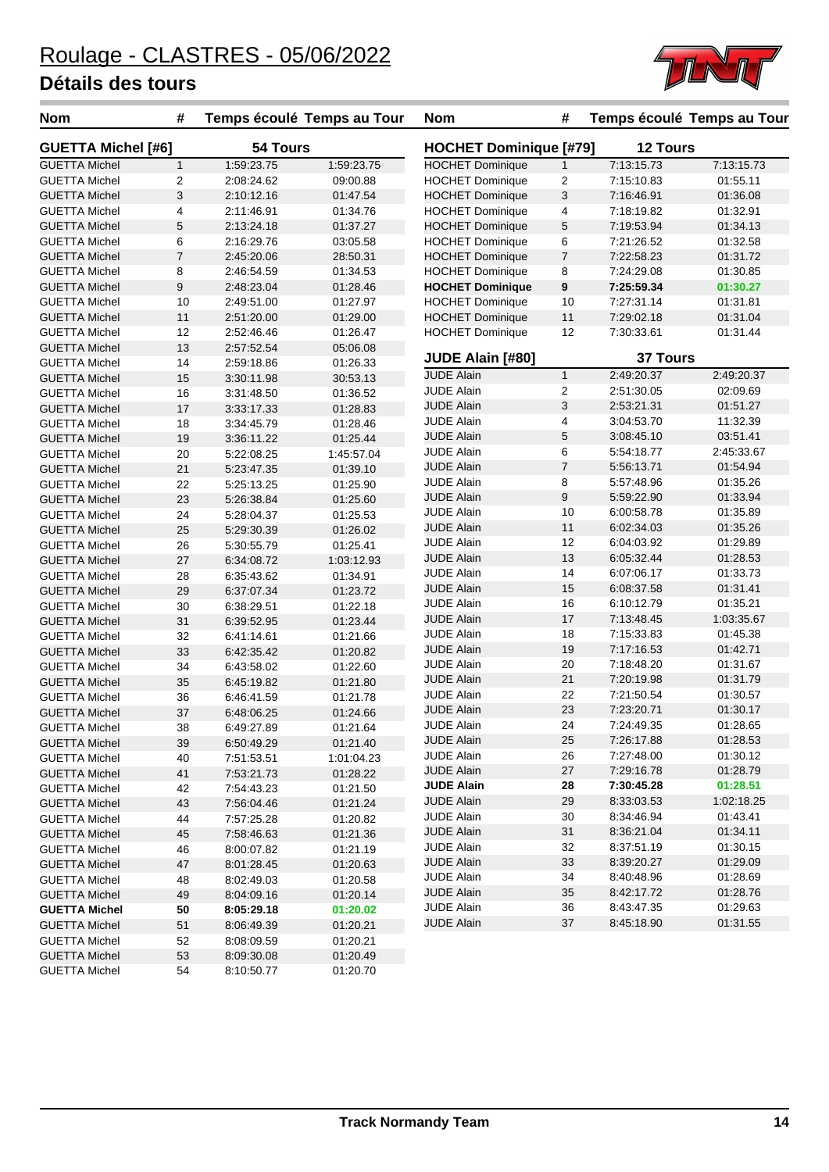

| <b>Nom</b>                | #              |            | Temps écoulé Temps au Tour | <b>Nom</b>                    | #                |                 | Temps écoulé Temps au Tour |
|---------------------------|----------------|------------|----------------------------|-------------------------------|------------------|-----------------|----------------------------|
| <b>GUETTA Michel [#6]</b> |                | 54 Tours   |                            | <b>HOCHET Dominique [#79]</b> |                  | <b>12 Tours</b> |                            |
| <b>GUETTA Michel</b>      | $\mathbf{1}$   | 1:59:23.75 | 1:59:23.75                 | <b>HOCHET Dominique</b>       | $\mathbf{1}$     | 7:13:15.73      | 7:13:15.73                 |
| <b>GUETTA Michel</b>      | 2              | 2:08:24.62 | 09:00.88                   | <b>HOCHET Dominique</b>       | $\overline{c}$   | 7:15:10.83      | 01:55.11                   |
| <b>GUETTA Michel</b>      | 3              | 2:10:12.16 | 01:47.54                   | <b>HOCHET Dominique</b>       | 3                | 7:16:46.91      | 01:36.08                   |
| <b>GUETTA Michel</b>      | 4              | 2:11:46.91 | 01:34.76                   | <b>HOCHET Dominique</b>       | 4                | 7:18:19.82      | 01:32.91                   |
| <b>GUETTA Michel</b>      | 5              | 2:13:24.18 | 01:37.27                   | <b>HOCHET Dominique</b>       | $\sqrt{5}$       | 7:19:53.94      | 01:34.13                   |
| <b>GUETTA Michel</b>      | 6              | 2:16:29.76 | 03:05.58                   | <b>HOCHET Dominique</b>       | 6                | 7:21:26.52      | 01:32.58                   |
| <b>GUETTA Michel</b>      | $\overline{7}$ | 2:45:20.06 | 28:50.31                   | <b>HOCHET Dominique</b>       | 7                | 7:22:58.23      | 01:31.72                   |
| <b>GUETTA Michel</b>      | 8              | 2:46:54.59 | 01:34.53                   | <b>HOCHET Dominique</b>       | 8                | 7:24:29.08      | 01:30.85                   |
| <b>GUETTA Michel</b>      | 9              | 2:48:23.04 | 01:28.46                   | <b>HOCHET Dominique</b>       | $\pmb{9}$        | 7:25:59.34      | 01:30.27                   |
| <b>GUETTA Michel</b>      | 10             | 2:49:51.00 | 01:27.97                   | <b>HOCHET Dominique</b>       | 10               | 7:27:31.14      | 01:31.81                   |
| <b>GUETTA Michel</b>      | 11             | 2:51:20.00 | 01:29.00                   | <b>HOCHET Dominique</b>       | 11               | 7:29:02.18      | 01:31.04                   |
| <b>GUETTA Michel</b>      | 12             | 2:52:46.46 | 01:26.47                   | <b>HOCHET Dominique</b>       | 12               | 7:30:33.61      | 01:31.44                   |
| <b>GUETTA Michel</b>      | 13             | 2:57:52.54 | 05:06.08                   |                               |                  |                 |                            |
| <b>GUETTA Michel</b>      | 14             | 2:59:18.86 | 01:26.33                   | JUDE Alain [#80]              |                  | <b>37 Tours</b> |                            |
| <b>GUETTA Michel</b>      | 15             | 3:30:11.98 | 30:53.13                   | <b>JUDE Alain</b>             | $\mathbf{1}$     | 2:49:20.37      | 2:49:20.37                 |
| <b>GUETTA Michel</b>      | 16             | 3:31:48.50 | 01:36.52                   | <b>JUDE Alain</b>             | 2                | 2:51:30.05      | 02:09.69                   |
| <b>GUETTA Michel</b>      | 17             | 3:33:17.33 | 01:28.83                   | <b>JUDE Alain</b>             | $\sqrt{3}$       | 2:53:21.31      | 01:51.27                   |
| <b>GUETTA Michel</b>      | 18             | 3:34:45.79 | 01:28.46                   | <b>JUDE Alain</b>             | $\overline{4}$   | 3:04:53.70      | 11:32.39                   |
| <b>GUETTA Michel</b>      | 19             | 3:36:11.22 | 01:25.44                   | <b>JUDE Alain</b>             | 5                | 3:08:45.10      | 03:51.41                   |
| <b>GUETTA Michel</b>      | 20             | 5:22:08.25 | 1:45:57.04                 | <b>JUDE Alain</b>             | 6                | 5:54:18.77      | 2:45:33.67                 |
| <b>GUETTA Michel</b>      | 21             | 5:23:47.35 | 01:39.10                   | <b>JUDE Alain</b>             | $\overline{7}$   | 5:56:13.71      | 01:54.94                   |
| <b>GUETTA Michel</b>      | 22             | 5:25:13.25 | 01:25.90                   | <b>JUDE Alain</b>             | 8                | 5:57:48.96      | 01:35.26                   |
| <b>GUETTA Michel</b>      | 23             | 5:26:38.84 | 01:25.60                   | <b>JUDE Alain</b>             | $\boldsymbol{9}$ | 5:59:22.90      | 01:33.94                   |
| <b>GUETTA Michel</b>      | 24             | 5:28:04.37 | 01:25.53                   | <b>JUDE Alain</b>             | 10               | 6:00:58.78      | 01:35.89                   |
| <b>GUETTA Michel</b>      | 25             | 5:29:30.39 | 01:26.02                   | <b>JUDE Alain</b>             | 11               | 6:02:34.03      | 01:35.26                   |
| <b>GUETTA Michel</b>      | 26             | 5:30:55.79 | 01:25.41                   | <b>JUDE Alain</b>             | 12               | 6:04:03.92      | 01:29.89                   |
| <b>GUETTA Michel</b>      | 27             | 6:34:08.72 | 1:03:12.93                 | <b>JUDE Alain</b>             | 13               | 6:05:32.44      | 01:28.53                   |
| <b>GUETTA Michel</b>      | 28             | 6:35:43.62 | 01:34.91                   | <b>JUDE Alain</b>             | 14               | 6:07:06.17      | 01:33.73                   |
| <b>GUETTA Michel</b>      | 29             | 6:37:07.34 | 01:23.72                   | <b>JUDE Alain</b>             | 15               | 6:08:37.58      | 01:31.41                   |
| <b>GUETTA Michel</b>      | 30             | 6:38:29.51 | 01:22.18                   | <b>JUDE Alain</b>             | 16               | 6:10:12.79      | 01:35.21                   |
| <b>GUETTA Michel</b>      | 31             | 6:39:52.95 | 01:23.44                   | <b>JUDE Alain</b>             | 17               | 7:13:48.45      | 1:03:35.67                 |
| <b>GUETTA Michel</b>      | 32             | 6:41:14.61 | 01:21.66                   | <b>JUDE Alain</b>             | 18               | 7:15:33.83      | 01:45.38                   |
| <b>GUETTA Michel</b>      | 33             | 6:42:35.42 | 01:20.82                   | <b>JUDE Alain</b>             | 19               | 7:17:16.53      | 01:42.71                   |
| <b>GUETTA Michel</b>      | 34             | 6:43:58.02 | 01:22.60                   | <b>JUDE Alain</b>             | 20               | 7:18:48.20      | 01:31.67                   |
| <b>GUETTA Michel</b>      | 35             | 6:45:19.82 | 01:21.80                   | <b>JUDE Alain</b>             | 21               | 7:20:19.98      | 01:31.79                   |
| <b>GUETTA Michel</b>      | 36             | 6:46:41.59 | 01:21.78                   | <b>JUDE Alain</b>             | 22               | 7:21:50.54      | 01:30.57                   |
| <b>GUETTA Michel</b>      | 37             | 6:48:06.25 | 01:24.66                   | <b>JUDE Alain</b>             | 23               | 7:23:20.71      | 01:30.17                   |
| <b>GUETTA Michel</b>      | 38             | 6:49:27.89 | 01:21.64                   | <b>JUDE Alain</b>             | 24               | 7:24:49.35      | 01:28.65                   |
| <b>GUETTA Michel</b>      | 39             | 6:50:49.29 | 01:21.40                   | <b>JUDE Alain</b>             | 25               | 7:26:17.88      | 01:28.53                   |
| <b>GUETTA Michel</b>      | 40             | 7:51:53.51 | 1:01:04.23                 | <b>JUDE Alain</b>             | 26               | 7:27:48.00      | 01:30.12                   |
| <b>GUETTA Michel</b>      | 41             | 7:53:21.73 | 01:28.22                   | <b>JUDE Alain</b>             | 27               | 7:29:16.78      | 01:28.79                   |
| <b>GUETTA Michel</b>      | 42             | 7:54:43.23 | 01:21.50                   | <b>JUDE Alain</b>             | 28               | 7:30:45.28      | 01:28.51                   |
| <b>GUETTA Michel</b>      | 43             | 7:56:04.46 | 01:21.24                   | JUDE Alain                    | 29               | 8:33:03.53      | 1:02:18.25                 |
| <b>GUETTA Michel</b>      | 44             | 7:57:25.28 | 01:20.82                   | <b>JUDE Alain</b>             | 30               | 8:34:46.94      | 01:43.41                   |
| <b>GUETTA Michel</b>      | 45             | 7:58:46.63 | 01:21.36                   | <b>JUDE Alain</b>             | 31               | 8:36:21.04      | 01:34.11                   |
| <b>GUETTA Michel</b>      | 46             | 8:00:07.82 | 01:21.19                   | JUDE Alain                    | 32               | 8:37:51.19      | 01:30.15                   |
| <b>GUETTA Michel</b>      | 47             | 8:01:28.45 | 01:20.63                   | JUDE Alain                    | 33               | 8:39:20.27      | 01:29.09                   |
| <b>GUETTA Michel</b>      | 48             | 8:02:49.03 | 01:20.58                   | JUDE Alain                    | 34               | 8:40:48.96      | 01:28.69                   |
| <b>GUETTA Michel</b>      | 49             | 8:04:09.16 | 01:20.14                   | <b>JUDE Alain</b>             | 35               | 8:42:17.72      | 01:28.76                   |
| <b>GUETTA Michel</b>      | 50             | 8:05:29.18 | 01:20.02                   | <b>JUDE Alain</b>             | 36               | 8:43:47.35      | 01:29.63                   |
| <b>GUETTA Michel</b>      | 51             | 8:06:49.39 | 01:20.21                   | <b>JUDE Alain</b>             | 37               | 8:45:18.90      | 01:31.55                   |
| <b>GUETTA Michel</b>      | 52             | 8:08:09.59 | 01:20.21                   |                               |                  |                 |                            |
| <b>GUETTA Michel</b>      | 53             | 8:09:30.08 | 01:20.49                   |                               |                  |                 |                            |
| <b>GUETTA Michel</b>      | 54             | 8:10:50.77 | 01:20.70                   |                               |                  |                 |                            |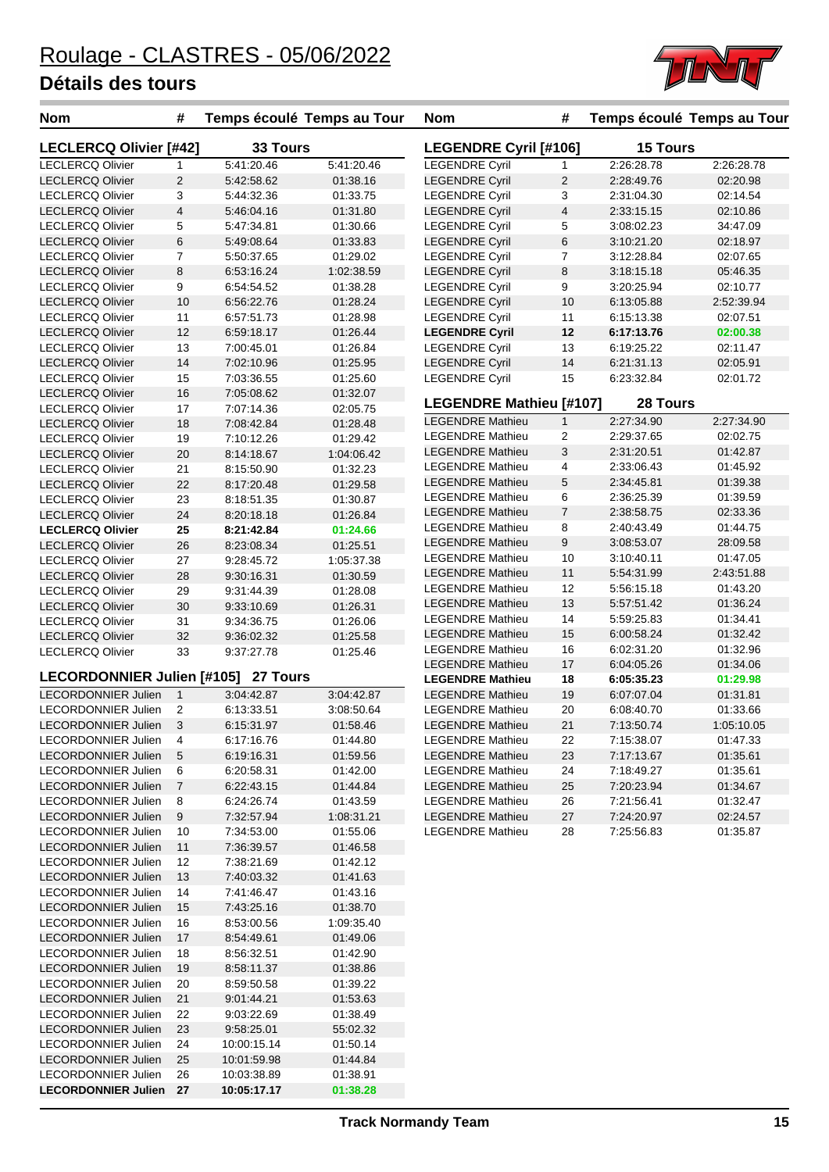

| <b>Nom</b>                    | #              | Temps écoulé Temps au Tour |            | Nom                     | #              | Temps écoulé Temps au Tour |            |
|-------------------------------|----------------|----------------------------|------------|-------------------------|----------------|----------------------------|------------|
| <b>LECLERCQ Olivier [#42]</b> |                | 33 Tours                   |            | LEGENDRE Cyril [#106]   |                | <b>15 Tours</b>            |            |
| <b>LECLERCQ Olivier</b>       | 1              | 5:41:20.46                 | 5:41:20.46 | <b>LEGENDRE Cyril</b>   | 1              | 2:26:28.78                 | 2:26:28.78 |
| <b>LECLERCQ Olivier</b>       | 2              | 5:42:58.62                 | 01:38.16   | <b>LEGENDRE Cyril</b>   | 2              | 2:28:49.76                 | 02:20.98   |
| LECLERCQ Olivier              | 3              | 5:44:32.36                 | 01:33.75   | <b>LEGENDRE Cyril</b>   | 3              | 2:31:04.30                 | 02:14.54   |
| <b>LECLERCQ Olivier</b>       | $\overline{4}$ | 5:46:04.16                 | 01:31.80   | <b>LEGENDRE Cyril</b>   | $\overline{4}$ | 2:33:15.15                 | 02:10.86   |
| <b>LECLERCQ Olivier</b>       | 5              | 5:47:34.81                 | 01:30.66   | <b>LEGENDRE Cyril</b>   | 5              | 3:08:02.23                 | 34:47.09   |
| <b>LECLERCQ Olivier</b>       | $\,6$          | 5:49:08.64                 | 01:33.83   | <b>LEGENDRE Cyril</b>   | 6              | 3:10:21.20                 | 02:18.97   |
| <b>LECLERCQ Olivier</b>       | $\overline{7}$ | 5:50:37.65                 | 01:29.02   | <b>LEGENDRE Cyril</b>   | 7              | 3:12:28.84                 | 02:07.65   |
| <b>LECLERCQ Olivier</b>       | 8              | 6:53:16.24                 | 1:02:38.59 | <b>LEGENDRE Cyril</b>   | 8              | 3:18:15.18                 | 05:46.35   |
| <b>LECLERCQ Olivier</b>       | 9              | 6:54:54.52                 | 01:38.28   | <b>LEGENDRE Cyril</b>   | 9              | 3:20:25.94                 | 02:10.77   |
| <b>LECLERCQ Olivier</b>       | 10             | 6:56:22.76                 | 01:28.24   | <b>LEGENDRE Cyril</b>   | 10             | 6:13:05.88                 | 2:52:39.94 |
| <b>LECLERCQ Olivier</b>       | 11             | 6:57:51.73                 | 01:28.98   | <b>LEGENDRE Cyril</b>   | 11             | 6:15:13.38                 | 02:07.51   |
| <b>LECLERCQ Olivier</b>       | 12             | 6:59:18.17                 | 01:26.44   | <b>LEGENDRE Cyril</b>   | 12             | 6:17:13.76                 | 02:00.38   |
| <b>LECLERCQ Olivier</b>       | 13             | 7:00:45.01                 | 01:26.84   | <b>LEGENDRE Cyril</b>   | 13             | 6:19:25.22                 | 02:11.47   |
| <b>LECLERCQ Olivier</b>       | 14             | 7:02:10.96                 | 01:25.95   | <b>LEGENDRE Cyril</b>   | 14             | 6:21:31.13                 | 02:05.91   |
| <b>LECLERCQ Olivier</b>       | 15             | 7:03:36.55                 | 01:25.60   | <b>LEGENDRE Cyril</b>   | 15             | 6:23:32.84                 | 02:01.72   |
| <b>LECLERCQ Olivier</b>       | 16             | 7:05:08.62                 | 01:32.07   | LEGENDRE Mathieu [#107] |                | 28 Tours                   |            |
| <b>LECLERCQ Olivier</b>       | 17             | 7:07:14.36                 | 02:05.75   | <b>LEGENDRE Mathieu</b> | $\mathbf{1}$   | 2:27:34.90                 | 2:27:34.90 |
| <b>LECLERCQ Olivier</b>       | 18             | 7:08:42.84                 | 01:28.48   | <b>LEGENDRE Mathieu</b> | 2              | 2:29:37.65                 | 02:02.75   |
| <b>LECLERCQ Olivier</b>       | 19             | 7:10:12.26                 | 01:29.42   | <b>LEGENDRE Mathieu</b> | 3              | 2:31:20.51                 | 01:42.87   |
| <b>LECLERCQ Olivier</b>       | $20\,$         | 8:14:18.67                 | 1:04:06.42 | <b>LEGENDRE Mathieu</b> | 4              | 2:33:06.43                 | 01:45.92   |
| <b>LECLERCQ Olivier</b>       | 21             | 8:15:50.90                 | 01:32.23   | <b>LEGENDRE Mathieu</b> | 5              | 2:34:45.81                 | 01:39.38   |
| <b>LECLERCQ Olivier</b>       | 22             | 8:17:20.48                 | 01:29.58   | <b>LEGENDRE Mathieu</b> | 6              | 2:36:25.39                 | 01:39.59   |
| <b>LECLERCQ Olivier</b>       | 23             | 8:18:51.35                 | 01:30.87   | <b>LEGENDRE Mathieu</b> | $\overline{7}$ | 2:38:58.75                 | 02:33.36   |
| <b>LECLERCQ Olivier</b>       | 24             | 8:20:18.18                 | 01:26.84   | <b>LEGENDRE Mathieu</b> | 8              | 2:40:43.49                 | 01:44.75   |
| <b>LECLERCQ Olivier</b>       | 25             | 8:21:42.84                 | 01:24.66   | <b>LEGENDRE Mathieu</b> | 9              | 3:08:53.07                 | 28:09.58   |
| <b>LECLERCQ Olivier</b>       | 26             | 8:23:08.34                 | 01:25.51   | <b>LEGENDRE Mathieu</b> | 10             | 3:10:40.11                 | 01:47.05   |
| <b>LECLERCQ Olivier</b>       | 27             | 9:28:45.72                 | 1:05:37.38 | <b>LEGENDRE Mathieu</b> | 11             | 5:54:31.99                 | 2:43:51.88 |
| <b>LECLERCQ Olivier</b>       | 28             | 9:30:16.31                 | 01:30.59   | <b>LEGENDRE Mathieu</b> | 12             | 5:56:15.18                 | 01:43.20   |
| <b>LECLERCQ Olivier</b>       | 29             | 9:31:44.39                 | 01:28.08   | <b>LEGENDRE Mathieu</b> | 13             | 5:57:51.42                 | 01:36.24   |
| <b>LECLERCQ Olivier</b>       | 30             | 9:33:10.69                 | 01:26.31   | <b>LEGENDRE Mathieu</b> | 14             | 5:59:25.83                 | 01:34.41   |
| <b>LECLERCQ Olivier</b>       | 31             | 9:34:36.75                 | 01:26.06   | <b>LEGENDRE Mathieu</b> | 15             | 6:00:58.24                 | 01:32.42   |
| <b>LECLERCQ Olivier</b>       | 32             | 9:36:02.32                 | 01:25.58   | <b>LEGENDRE Mathieu</b> | 16             | 6:02:31.20                 | 01:32.96   |
| <b>LECLERCQ Olivier</b>       | 33             | 9:37:27.78                 | 01:25.46   | <b>LEGENDRE Mathieu</b> | 17             | 6:04:05.26                 | 01:34.06   |
| LECORDONNIER Julien [#105]    |                | 27 Tours                   |            | <b>LEGENDRE Mathieu</b> | 18             | 6:05:35.23                 | 01:29.98   |
| LECORDONNIER Julien           | $\mathbf{1}$   | 3:04:42.87                 | 3:04:42.87 | <b>LEGENDRE Mathieu</b> | 19             | 6:07:07.04                 | 01:31.81   |
| LECORDONNIER Julien           | 2              | 6:13:33.51                 | 3:08:50.64 | <b>LEGENDRE Mathieu</b> | 20             | 6:08:40.70                 | 01:33.66   |
| LECORDONNIER Julien           | 3              | 6.15.31.97                 | 01:58.46   | <b>LEGENDRE Mathieu</b> | 21             | 7:13:50.74                 | 1:05:10.05 |
| LECORDONNIER Julien           | 4              | 6:17:16.76                 | 01:44.80   | <b>LEGENDRE Mathieu</b> | 22             | 7:15:38.07                 | 01:47.33   |
| <b>LECORDONNIER Julien</b>    | 5              | 6:19:16.31                 | 01:59.56   | <b>LEGENDRE Mathieu</b> | 23             | 7:17:13.67                 | 01:35.61   |
| LECORDONNIER Julien           | 6              | 6:20:58.31                 | 01:42.00   | <b>LEGENDRE Mathieu</b> | 24             | 7:18:49.27                 | 01:35.61   |
| <b>LECORDONNIER Julien</b>    | $\overline{7}$ | 6:22:43.15                 | 01:44.84   | <b>LEGENDRE Mathieu</b> | 25             | 7:20:23.94                 | 01:34.67   |
| LECORDONNIER Julien           | 8              | 6:24:26.74                 | 01:43.59   | <b>LEGENDRE Mathieu</b> | 26             | 7:21:56.41                 | 01:32.47   |
| LECORDONNIER Julien           | 9              | 7:32:57.94                 | 1:08:31.21 | <b>LEGENDRE Mathieu</b> | 27             | 7:24:20.97                 | 02:24.57   |
| LECORDONNIER Julien           | 10             | 7:34:53.00                 | 01:55.06   | <b>LEGENDRE Mathieu</b> | 28             | 7:25:56.83                 | 01:35.87   |
| LECORDONNIER Julien           | 11             | 7:36:39.57                 | 01:46.58   |                         |                |                            |            |
| <b>LECORDONNIER Julien</b>    | 12             | 7:38:21.69                 | 01:42.12   |                         |                |                            |            |
| <b>LECORDONNIER Julien</b>    | 13             | 7:40:03.32                 | 01:41.63   |                         |                |                            |            |
| <b>LECORDONNIER Julien</b>    | 14             | 7:41:46.47                 | 01:43.16   |                         |                |                            |            |
| <b>LECORDONNIER Julien</b>    | 15             | 7:43:25.16                 | 01:38.70   |                         |                |                            |            |
| LECORDONNIER Julien           | 16             | 8:53:00.56                 | 1:09:35.40 |                         |                |                            |            |
| <b>LECORDONNIER Julien</b>    | 17             | 8:54:49.61                 | 01:49.06   |                         |                |                            |            |
| LECORDONNIER Julien           | 18             | 8:56:32.51                 | 01:42.90   |                         |                |                            |            |
| LECORDONNIER Julien           | 19             | 8.58.11.37                 | 01:38.86   |                         |                |                            |            |
| LECORDONNIER Julien           | 20             | 8:59:50.58                 | 01:39.22   |                         |                |                            |            |
| LECORDONNIER Julien           | 21             | 9:01:44.21                 | 01:53.63   |                         |                |                            |            |
| LECORDONNIER Julien           | 22             | 9:03:22.69                 | 01:38.49   |                         |                |                            |            |
| <b>LECORDONNIER Julien</b>    | 23             | 9:58:25.01                 | 55:02.32   |                         |                |                            |            |
| LECORDONNIER Julien           | 24             | 10:00:15.14                | 01:50.14   |                         |                |                            |            |
| LECORDONNIER Julien           | 25             | 10:01:59.98                | 01:44.84   |                         |                |                            |            |
| LECORDONNIER Julien           | 26             | 10:03:38.89                | 01:38.91   |                         |                |                            |            |
| LECORDONNIER Julien 27        |                | 10:05:17.17                | 01:38.28   |                         |                |                            |            |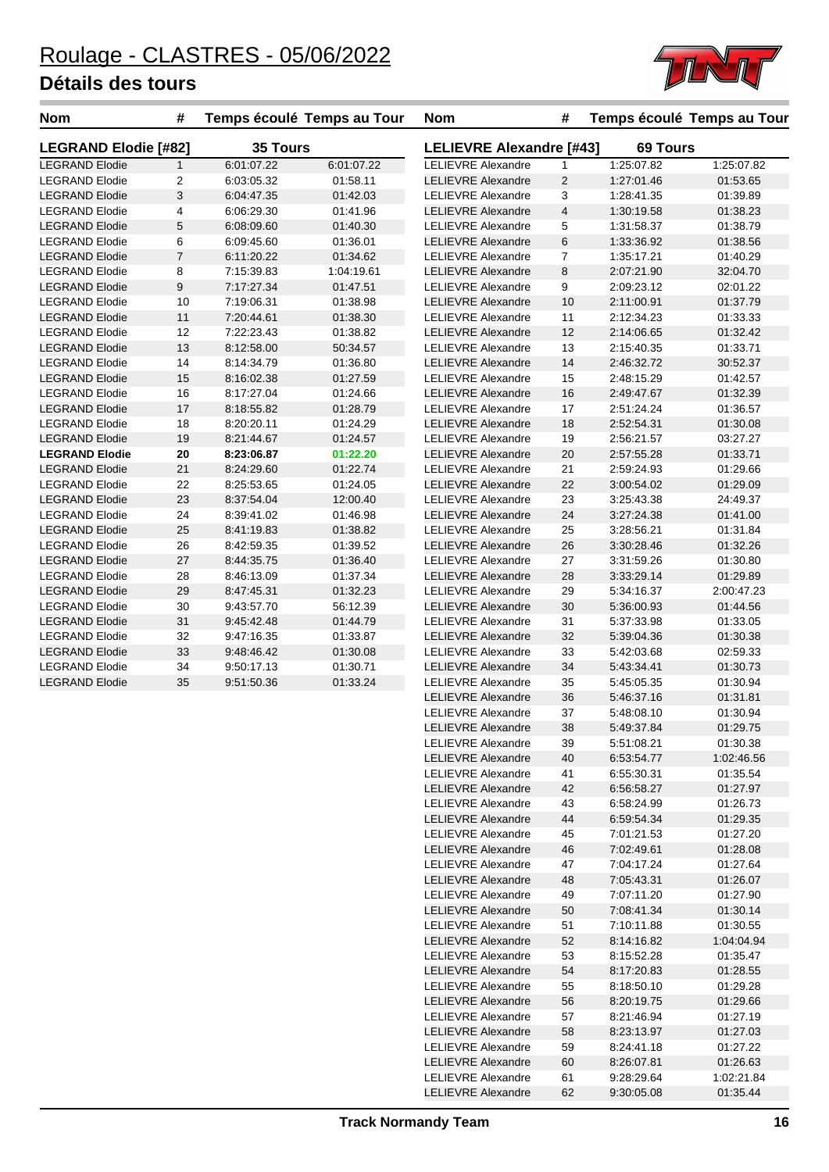

| <b>Nom</b>                  | #              |                 | Temps écoulé Temps au Tour | <b>Nom</b>                      | #                       |                 | Temps écoulé Temps au Tour |
|-----------------------------|----------------|-----------------|----------------------------|---------------------------------|-------------------------|-----------------|----------------------------|
| <b>LEGRAND Elodie [#82]</b> |                | <b>35 Tours</b> |                            | <b>LELIEVRE Alexandre [#43]</b> |                         | <b>69 Tours</b> |                            |
| <b>LEGRAND Elodie</b>       | $\mathbf{1}$   | 6:01:07.22      | 6:01:07.22                 | <b>LELIEVRE Alexandre</b>       | $\mathbf{1}$            | 1:25:07.82      | 1:25:07.82                 |
| <b>LEGRAND Elodie</b>       | 2              | 6:03:05.32      | 01:58.11                   | <b>LELIEVRE Alexandre</b>       | 2                       | 1:27:01.46      | 01:53.65                   |
| <b>LEGRAND Elodie</b>       | 3              | 6:04:47.35      | 01:42.03                   | <b>LELIEVRE Alexandre</b>       | 3                       | 1:28:41.35      | 01:39.89                   |
| <b>LEGRAND Elodie</b>       | 4              | 6:06:29.30      | 01:41.96                   | <b>LELIEVRE Alexandre</b>       | $\overline{\mathbf{4}}$ | 1:30:19.58      | 01:38.23                   |
| <b>LEGRAND Elodie</b>       | 5              | 6:08:09.60      | 01:40.30                   | <b>LELIEVRE Alexandre</b>       | 5                       | 1:31:58.37      | 01:38.79                   |
| <b>LEGRAND Elodie</b>       | 6              | 6:09:45.60      | 01:36.01                   | <b>LELIEVRE Alexandre</b>       | 6                       | 1:33:36.92      | 01:38.56                   |
| <b>LEGRAND Elodie</b>       | $\overline{7}$ | 6:11:20.22      | 01:34.62                   | <b>LELIEVRE Alexandre</b>       | 7                       | 1:35:17.21      | 01:40.29                   |
| <b>LEGRAND Elodie</b>       | 8              | 7:15:39.83      | 1:04:19.61                 | <b>LELIEVRE Alexandre</b>       | 8                       | 2:07:21.90      | 32:04.70                   |
| <b>LEGRAND Elodie</b>       | 9              | 7:17:27.34      | 01:47.51                   | <b>LELIEVRE Alexandre</b>       | 9                       | 2:09:23.12      | 02:01.22                   |
| <b>LEGRAND Elodie</b>       | 10             | 7:19:06.31      | 01:38.98                   | <b>LELIEVRE Alexandre</b>       | 10                      | 2:11:00.91      | 01:37.79                   |
| <b>LEGRAND Elodie</b>       | 11             | 7:20:44.61      | 01:38.30                   | <b>LELIEVRE Alexandre</b>       | 11                      | 2:12:34.23      | 01:33.33                   |
| <b>LEGRAND Elodie</b>       | 12             | 7:22:23.43      | 01:38.82                   | <b>LELIEVRE Alexandre</b>       | 12                      | 2:14:06.65      | 01:32.42                   |
| <b>LEGRAND Elodie</b>       | 13             | 8:12:58.00      | 50:34.57                   | <b>LELIEVRE Alexandre</b>       | 13                      | 2:15:40.35      | 01:33.71                   |
| <b>LEGRAND Elodie</b>       | 14             | 8:14:34.79      | 01:36.80                   | <b>LELIEVRE Alexandre</b>       | 14                      | 2:46:32.72      | 30:52.37                   |
| <b>LEGRAND Elodie</b>       | 15             | 8:16:02.38      | 01:27.59                   | <b>LELIEVRE Alexandre</b>       | 15                      | 2:48:15.29      | 01:42.57                   |
| <b>LEGRAND Elodie</b>       | 16             | 8:17:27.04      | 01:24.66                   | <b>LELIEVRE Alexandre</b>       | 16                      | 2:49:47.67      | 01:32.39                   |
| <b>LEGRAND Elodie</b>       | 17             | 8:18:55.82      | 01:28.79                   | <b>LELIEVRE Alexandre</b>       | 17                      | 2:51:24.24      | 01:36.57                   |
| <b>LEGRAND Elodie</b>       | 18             | 8:20:20.11      | 01:24.29                   | <b>LELIEVRE Alexandre</b>       | 18                      | 2:52:54.31      | 01:30.08                   |
| <b>LEGRAND Elodie</b>       | 19             | 8:21:44.67      | 01:24.57                   | <b>LELIEVRE Alexandre</b>       | 19                      | 2:56:21.57      | 03:27.27                   |
| <b>LEGRAND Elodie</b>       | 20             | 8:23:06.87      | 01:22.20                   | <b>LELIEVRE Alexandre</b>       | 20                      | 2:57:55.28      | 01:33.71                   |
| <b>LEGRAND Elodie</b>       | 21             | 8:24:29.60      | 01:22.74                   | <b>LELIEVRE Alexandre</b>       | 21                      | 2:59:24.93      | 01:29.66                   |
| <b>LEGRAND Elodie</b>       | 22             | 8:25:53.65      | 01:24.05                   | <b>LELIEVRE Alexandre</b>       | 22                      | 3:00:54.02      | 01:29.09                   |
| <b>LEGRAND Elodie</b>       | 23             | 8:37:54.04      | 12:00.40                   | <b>LELIEVRE Alexandre</b>       | 23                      | 3:25:43.38      | 24:49.37                   |
| <b>LEGRAND Elodie</b>       | 24             | 8:39:41.02      | 01:46.98                   | <b>LELIEVRE Alexandre</b>       | 24                      | 3:27:24.38      | 01:41.00                   |
| <b>LEGRAND Elodie</b>       | 25             | 8:41:19.83      | 01:38.82                   | <b>LELIEVRE Alexandre</b>       | 25                      | 3:28:56.21      | 01:31.84                   |
| <b>LEGRAND Elodie</b>       | 26             | 8:42:59.35      | 01:39.52                   | <b>LELIEVRE Alexandre</b>       | 26                      | 3:30:28.46      | 01:32.26                   |
| <b>LEGRAND Elodie</b>       | 27             | 8:44:35.75      | 01:36.40                   | <b>LELIEVRE Alexandre</b>       | 27                      | 3:31:59.26      | 01:30.80                   |
| <b>LEGRAND Elodie</b>       | 28             | 8:46:13.09      | 01:37.34                   | <b>LELIEVRE Alexandre</b>       | 28                      | 3:33:29.14      | 01:29.89                   |
| <b>LEGRAND Elodie</b>       | 29             | 8:47:45.31      | 01:32.23                   | <b>LELIEVRE Alexandre</b>       | 29                      | 5:34:16.37      | 2:00:47.23                 |
| <b>LEGRAND Elodie</b>       | 30             | 9:43:57.70      | 56:12.39                   | <b>LELIEVRE Alexandre</b>       | 30                      | 5:36:00.93      | 01:44.56                   |
| <b>LEGRAND Elodie</b>       | 31             | 9:45:42.48      | 01:44.79                   | <b>LELIEVRE Alexandre</b>       | 31                      | 5:37:33.98      | 01:33.05                   |
| <b>LEGRAND Elodie</b>       | 32             | 9:47:16.35      | 01:33.87                   | <b>LELIEVRE Alexandre</b>       | 32                      | 5:39:04.36      | 01:30.38                   |
| <b>LEGRAND Elodie</b>       | 33             | 9:48:46.42      | 01:30.08                   | <b>LELIEVRE Alexandre</b>       | 33                      | 5:42:03.68      | 02:59.33                   |
| <b>LEGRAND Elodie</b>       | 34             | 9:50:17.13      | 01:30.71                   | <b>LELIEVRE Alexandre</b>       | 34                      | 5:43:34.41      | 01:30.73                   |
| <b>LEGRAND Elodie</b>       | 35             | 9:51:50.36      | 01:33.24                   | <b>LELIEVRE Alexandre</b>       | 35                      | 5:45:05.35      | 01:30.94                   |
|                             |                |                 |                            | <b>LELIEVRE Alexandre</b>       | 36                      | 5:46:37.16      | 01:31.81                   |
|                             |                |                 |                            | <b>LELIEVRE Alexandre</b>       | 37                      | 5:48:08.10      | 01:30.94                   |
|                             |                |                 |                            | <b>LELIEVRE Alexandre</b>       | 38                      | 5:49:37.84      | 01:29.75                   |
|                             |                |                 |                            | <b>LELIEVRE Alexandre</b>       | 39                      | 5:51:08.21      | 01:30.38                   |
|                             |                |                 |                            | <b>LELIEVRE Alexandre</b>       | 40                      | 6:53:54.77      | 1:02:46.56                 |
|                             |                |                 |                            | <b>LELIEVRE Alexandre</b>       | 41                      | 6:55:30.31      | 01:35.54                   |
|                             |                |                 |                            | <b>LELIEVRE Alexandre</b>       | 42                      | 6:56:58.27      | 01:27.97                   |
|                             |                |                 |                            | <b>LELIEVRE Alexandre</b>       | 43                      | 6:58:24.99      | 01:26.73                   |
|                             |                |                 |                            | <b>LELIEVRE Alexandre</b>       | 44                      | 6:59:54.34      | 01:29.35                   |
|                             |                |                 |                            | LELIEVRE Alexandre              | 45                      | 7:01:21.53      | 01:27.20                   |
|                             |                |                 |                            | <b>LELIEVRE Alexandre</b>       | 46                      | 7:02:49.61      | 01:28.08                   |
|                             |                |                 |                            | <b>LELIEVRE Alexandre</b>       | 47                      | 7:04:17.24      | 01:27.64                   |
|                             |                |                 |                            | <b>LELIEVRE Alexandre</b>       | 48                      | 7:05:43.31      | 01:26.07                   |
|                             |                |                 |                            | <b>LELIEVRE Alexandre</b>       | 49                      | 7:07:11.20      | 01:27.90                   |
|                             |                |                 |                            | <b>LELIEVRE Alexandre</b>       | 50                      | 7:08:41.34      | 01:30.14                   |
|                             |                |                 |                            | <b>LELIEVRE Alexandre</b>       | 51                      | 7:10:11.88      | 01:30.55                   |
|                             |                |                 |                            | <b>LELIEVRE Alexandre</b>       | 52                      | 8:14:16.82      | 1:04:04.94                 |
|                             |                |                 |                            | <b>LELIEVRE Alexandre</b>       | 53                      | 8:15:52.28      | 01:35.47                   |

LELIEVRE Alexandre 54 8:17:20.83 01:28.55 LELIEVRE Alexandre 55 8:18:50.10 01:29.28 LELIEVRE Alexandre 56 8:20:19.75 01:29.66 LELIEVRE Alexandre 57 8:21:46.94 01:27.19 LELIEVRE Alexandre 58 8:23:13.97 01:27.03 LELIEVRE Alexandre 59 8:24:41.18 01:27.22 LELIEVRE Alexandre 60 8:26:07.81 01:26.63 LELIEVRE Alexandre 61 9:28:29.64 1:02:21.84 LELIEVRE Alexandre 62 9:30:05.08 01:35.44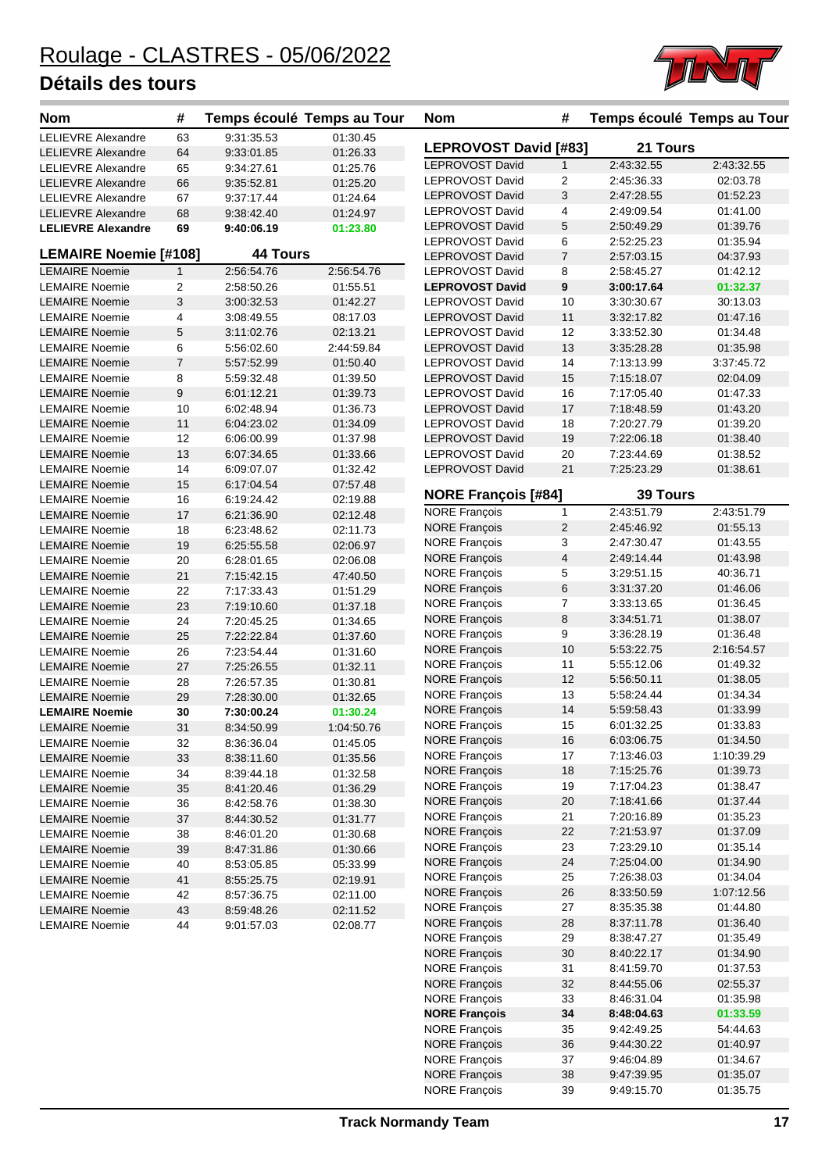

| <b>Nom</b>                   | #              | Temps écoulé Temps au Tour |            | <b>Nom</b>                                   | #              | Temps écoulé Temps au Tour |                      |
|------------------------------|----------------|----------------------------|------------|----------------------------------------------|----------------|----------------------------|----------------------|
| LELIEVRE Alexandre           | 63             | 9:31:35.53                 | 01:30.45   |                                              |                | 21 Tours                   |                      |
| <b>LELIEVRE Alexandre</b>    | 64             | 9:33:01.85                 | 01:26.33   | LEPROVOST David [#83]                        |                |                            |                      |
| <b>LELIEVRE Alexandre</b>    | 65             | 9:34:27.61                 | 01:25.76   | LEPROVOST David                              | $\mathbf{1}$   | 2:43:32.55                 | 2:43:32.55           |
| <b>LELIEVRE Alexandre</b>    | 66             | 9:35:52.81                 | 01:25.20   | <b>LEPROVOST David</b>                       | 2              | 2:45:36.33                 | 02:03.78             |
| <b>LELIEVRE Alexandre</b>    | 67             | 9:37:17.44                 | 01:24.64   | <b>LEPROVOST David</b><br>LEPROVOST David    | 3              | 2:47:28.55                 | 01:52.23<br>01:41.00 |
| <b>LELIEVRE Alexandre</b>    | 68             | 9:38:42.40                 | 01:24.97   | LEPROVOST David                              | 4<br>5         | 2:49:09.54<br>2:50:49.29   | 01:39.76             |
| <b>LELIEVRE Alexandre</b>    | 69             | 9:40:06.19                 | 01:23.80   | <b>LEPROVOST David</b>                       | 6              | 2:52:25.23                 | 01:35.94             |
| <b>LEMAIRE Noemie [#108]</b> |                | <b>44 Tours</b>            |            | <b>LEPROVOST David</b>                       | $\overline{7}$ | 2:57:03.15                 | 04:37.93             |
| <b>LEMAIRE Noemie</b>        | $\mathbf{1}$   | 2:56:54.76                 | 2:56:54.76 | <b>LEPROVOST David</b>                       | 8              | 2:58:45.27                 | 01:42.12             |
| <b>LEMAIRE Noemie</b>        | 2              | 2:58:50.26                 | 01:55.51   | <b>LEPROVOST David</b>                       | 9              | 3:00:17.64                 | 01:32.37             |
| <b>LEMAIRE Noemie</b>        | 3              | 3:00:32.53                 | 01:42.27   | <b>LEPROVOST David</b>                       | 10             | 3:30:30.67                 | 30:13.03             |
| <b>LEMAIRE Noemie</b>        | 4              | 3:08:49.55                 | 08:17.03   | <b>LEPROVOST David</b>                       | 11             | 3:32:17.82                 | 01:47.16             |
| <b>LEMAIRE Noemie</b>        | 5              | 3:11:02.76                 | 02:13.21   | <b>LEPROVOST David</b>                       | 12             | 3:33:52.30                 | 01:34.48             |
| <b>LEMAIRE Noemie</b>        | 6              | 5:56:02.60                 | 2:44:59.84 | <b>LEPROVOST David</b>                       | 13             | 3:35:28.28                 | 01:35.98             |
| <b>LEMAIRE Noemie</b>        | $\overline{7}$ | 5:57:52.99                 | 01:50.40   | <b>LEPROVOST David</b>                       | 14             | 7:13:13.99                 | 3:37:45.72           |
| <b>LEMAIRE Noemie</b>        | 8              | 5:59:32.48                 | 01:39.50   | <b>LEPROVOST David</b>                       | 15             | 7:15:18.07                 | 02:04.09             |
| <b>LEMAIRE Noemie</b>        | 9              | 6:01:12.21                 | 01:39.73   | <b>LEPROVOST David</b>                       | 16             | 7:17:05.40                 | 01:47.33             |
| <b>LEMAIRE Noemie</b>        | 10             | 6:02:48.94                 | 01:36.73   | <b>LEPROVOST David</b>                       | 17             | 7:18:48.59                 | 01:43.20             |
| <b>LEMAIRE Noemie</b>        | 11             | 6:04:23.02                 | 01:34.09   | <b>LEPROVOST David</b>                       | 18             | 7:20:27.79                 | 01:39.20             |
| <b>LEMAIRE Noemie</b>        | 12             | 6:06:00.99                 | 01:37.98   | <b>LEPROVOST David</b>                       | 19             | 7:22:06.18                 | 01:38.40             |
| <b>LEMAIRE Noemie</b>        | 13             | 6:07:34.65                 | 01:33.66   | <b>LEPROVOST David</b>                       | 20             | 7:23:44.69                 | 01:38.52             |
| <b>LEMAIRE Noemie</b>        | 14             | 6:09:07.07                 | 01:32.42   | <b>LEPROVOST David</b>                       | 21             | 7:25:23.29                 | 01:38.61             |
| <b>LEMAIRE Noemie</b>        | 15             | 6:17:04.54                 | 07:57.48   |                                              |                |                            |                      |
| <b>LEMAIRE Noemie</b>        | 16             | 6:19:24.42                 | 02:19.88   | <b>NORE François [#84]</b>                   |                | <b>39 Tours</b>            |                      |
| <b>LEMAIRE Noemie</b>        | 17             | 6:21:36.90                 | 02:12.48   | <b>NORE François</b>                         | $\mathbf{1}$   | 2:43:51.79                 | 2:43:51.79           |
| <b>LEMAIRE Noemie</b>        | 18             | 6:23:48.62                 | 02:11.73   | <b>NORE François</b>                         | $\overline{c}$ | 2:45:46.92                 | 01:55.13             |
| <b>LEMAIRE Noemie</b>        | 19             | 6:25:55.58                 | 02:06.97   | <b>NORE François</b>                         | 3              | 2:47:30.47                 | 01:43.55             |
| <b>LEMAIRE Noemie</b>        | 20             | 6:28:01.65                 | 02:06.08   | <b>NORE François</b>                         | 4              | 2:49:14.44                 | 01:43.98             |
| <b>LEMAIRE Noemie</b>        | 21             | 7:15:42.15                 | 47:40.50   | <b>NORE François</b>                         | 5              | 3:29:51.15                 | 40:36.71             |
| <b>LEMAIRE Noemie</b>        | 22             | 7:17:33.43                 | 01:51.29   | <b>NORE François</b>                         | 6              | 3:31:37.20                 | 01:46.06             |
| <b>LEMAIRE Noemie</b>        | 23             | 7:19:10.60                 | 01:37.18   | <b>NORE François</b>                         | 7              | 3:33:13.65                 | 01:36.45             |
| <b>LEMAIRE Noemie</b>        | 24             | 7:20:45.25                 | 01:34.65   | <b>NORE François</b>                         | 8              | 3:34:51.71                 | 01:38.07             |
| <b>LEMAIRE Noemie</b>        | 25             | 7:22:22.84                 | 01:37.60   | <b>NORE François</b>                         | 9              | 3:36:28.19                 | 01:36.48             |
| <b>LEMAIRE Noemie</b>        | 26             | 7:23:54.44                 | 01:31.60   | <b>NORE François</b>                         | 10             | 5:53:22.75                 | 2:16:54.57           |
| <b>LEMAIRE Noemie</b>        | 27             | 7:25:26.55                 | 01:32.11   | <b>NORE Francois</b>                         | 11             | 5:55:12.06                 | 01:49.32             |
| <b>LEMAIRE Noemie</b>        | 28             | 7:26:57.35                 | 01:30.81   | <b>NORE François</b>                         | 12             | 5:56:50.11                 | 01:38.05             |
| <b>LEMAIRE Noemie</b>        | 29             | 7:28:30.00                 | 01:32.65   | <b>NORE François</b>                         | 13             | 5:58:24.44                 | 01:34.34             |
| <b>LEMAIRE Noemie</b>        | 30             | 7:30:00.24                 | 01:30.24   | <b>NORE François</b>                         | 14             | 5:59:58.43                 | 01:33.99             |
| <b>LEMAIRE Noemie</b>        | 31             | 8:34:50.99                 | 1:04:50.76 | <b>NORE François</b>                         | 15             | 6:01:32.25                 | 01:33.83             |
| <b>LEMAIRE Noemie</b>        | 32             | 8:36:36.04                 | 01:45.05   | <b>NORE François</b>                         | 16             | 6:03:06.75                 | 01:34.50             |
| <b>LEMAIRE Noemie</b>        | 33             | 8:38:11.60                 | 01:35.56   | <b>NORE François</b>                         | 17             | 7:13:46.03                 | 1:10:39.29           |
| <b>LEMAIRE Noemie</b>        | 34             | 8:39:44.18                 | 01:32.58   | <b>NORE François</b>                         | 18             | 7:15:25.76                 | 01:39.73             |
| <b>LEMAIRE Noemie</b>        | 35             | 8:41:20.46                 | 01:36.29   | <b>NORE François</b>                         | 19             | 7:17:04.23                 | 01:38.47             |
| <b>LEMAIRE Noemie</b>        | 36             | 8:42:58.76                 | 01:38.30   | <b>NORE François</b>                         | 20             | 7:18:41.66                 | 01:37.44             |
| <b>LEMAIRE Noemie</b>        | 37             | 8:44:30.52                 | 01:31.77   | <b>NORE François</b>                         | 21             | 7:20:16.89                 | 01:35.23             |
| <b>LEMAIRE Noemie</b>        | 38             | 8:46:01.20                 | 01:30.68   | <b>NORE François</b>                         | 22             | 7:21:53.97                 | 01:37.09             |
| <b>LEMAIRE Noemie</b>        | 39             | 8:47:31.86                 | 01:30.66   | <b>NORE François</b>                         | 23             | 7:23:29.10                 | 01:35.14             |
| <b>LEMAIRE Noemie</b>        | 40             | 8:53:05.85                 | 05:33.99   | <b>NORE François</b>                         | 24             | 7:25:04.00                 | 01:34.90             |
| <b>LEMAIRE Noemie</b>        | 41             | 8:55:25.75                 | 02:19.91   | <b>NORE François</b>                         | 25             | 7:26:38.03                 | 01:34.04             |
| <b>LEMAIRE Noemie</b>        | 42             | 8:57:36.75                 | 02:11.00   | <b>NORE François</b>                         | 26             | 8:33:50.59                 | 1:07:12.56           |
| <b>LEMAIRE Noemie</b>        | 43             | 8:59:48.26                 | 02:11.52   | <b>NORE François</b>                         | 27             | 8:35:35.38                 | 01:44.80             |
| <b>LEMAIRE Noemie</b>        | 44             | 9:01:57.03                 | 02:08.77   | <b>NORE François</b>                         | 28             | 8:37:11.78                 | 01:36.40             |
|                              |                |                            |            | <b>NORE François</b><br><b>NORE François</b> | 29<br>30       | 8:38:47.27                 | 01:35.49<br>01:34.90 |
|                              |                |                            |            | <b>NORE François</b>                         |                | 8:40:22.17                 |                      |
|                              |                |                            |            | <b>NORE François</b>                         | 31<br>32       | 8:41:59.70<br>8:44:55.06   | 01:37.53<br>02:55.37 |
|                              |                |                            |            | <b>NORE François</b>                         | 33             | 8:46:31.04                 | 01:35.98             |
|                              |                |                            |            | <b>NORE François</b>                         | 34             | 8:48:04.63                 | 01:33.59             |
|                              |                |                            |            | <b>NORE François</b>                         | 35             | 9:42:49.25                 | 54:44.63             |
|                              |                |                            |            | <b>NORE François</b>                         | 36             | 9:44:30.22                 | 01:40.97             |
|                              |                |                            |            |                                              |                |                            |                      |

NORE François 36

NORE François 37 9:46:04.89 01:34.67 NORE François 38 9:47:39.95 01:35.07 NORE François 39 9:49:15.70 01:35.75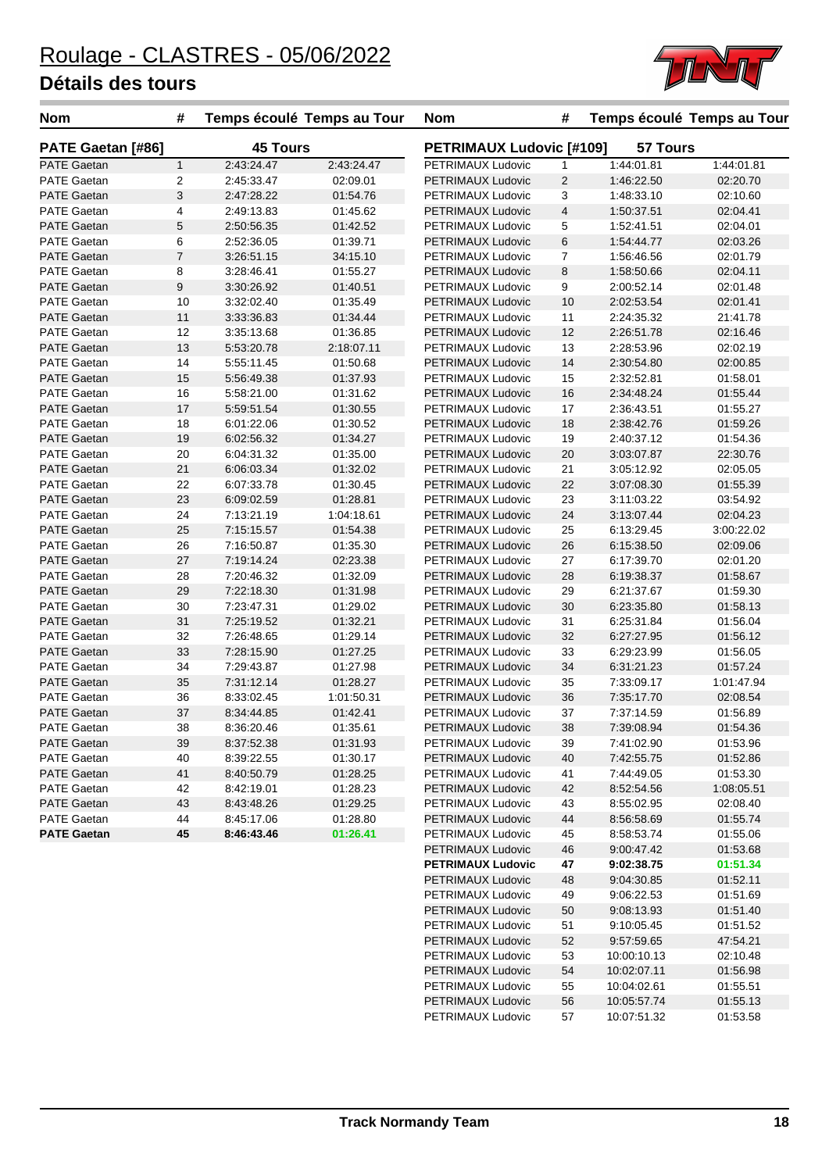

| <b>45 Tours</b><br><b>PETRIMAUX Ludovic [#109]</b><br><b>57 Tours</b><br>PATE Gaetan [#86]<br>PETRIMAUX Ludovic<br><b>PATE Gaetan</b><br>$\mathbf{1}$<br>2:43:24.47<br>2:43:24.47<br>$\mathbf{1}$<br>1:44:01.81<br>1:44:01.81<br>$\overline{c}$<br>$\overline{2}$<br><b>PATE Gaetan</b><br>2:45:33.47<br>02:09.01<br>PETRIMAUX Ludovic<br>1:46:22.50<br>02:20.70<br>$\sqrt{3}$<br>3<br><b>PATE Gaetan</b><br>2:47:28.22<br>01:54.76<br>PETRIMAUX Ludovic<br>1:48:33.10<br>02:10.60<br>$\overline{4}$<br>PATE Gaetan<br>4<br>2:49:13.83<br>01:45.62<br>PETRIMAUX Ludovic<br>1:50:37.51<br>02:04.41<br>5<br><b>PATE Gaetan</b><br>01:42.52<br>PETRIMAUX Ludovic<br>5<br>2:50:56.35<br>1:52:41.51<br>02:04.01<br>6<br>6<br><b>PATE Gaetan</b><br>01:39.71<br>PETRIMAUX Ludovic<br>1:54:44.77<br>02:03.26<br>2:52:36.05<br>$\overline{7}$<br>7<br><b>PATE Gaetan</b><br>3:26:51.15<br>34:15.10<br>PETRIMAUX Ludovic<br>02:01.79<br>1:56:46.56<br>8<br>8<br><b>PATE Gaetan</b><br>01:55.27<br>PETRIMAUX Ludovic<br>1:58:50.66<br>02:04.11<br>3:28:46.41<br>9<br><b>PATE Gaetan</b><br>01:40.51<br>PETRIMAUX Ludovic<br>9<br>2:00:52.14<br>02:01.48<br>3:30:26.92<br><b>PATE Gaetan</b><br>10<br>3:32:02.40<br>01:35.49<br>PETRIMAUX Ludovic<br>10<br>2:02:53.54<br>02:01.41<br>11<br><b>PATE Gaetan</b><br>01:34.44<br>PETRIMAUX Ludovic<br>11<br>2:24:35.32<br>21:41.78<br>3:33:36.83<br>12<br>PATE Gaetan<br>12<br>01:36.85<br>PETRIMAUX Ludovic<br>2:26:51.78<br>02:16.46<br>3:35:13.68<br>13<br>13<br><b>PATE Gaetan</b><br>5:53:20.78<br>2:18:07.11<br>02:02.19<br>PETRIMAUX Ludovic<br>2:28:53.96<br>14<br><b>PATE Gaetan</b><br>14<br>01:50.68<br>PETRIMAUX Ludovic<br>2:30:54.80<br>02:00.85<br>5:55:11.45<br><b>PATE Gaetan</b><br>15<br>01:37.93<br>PETRIMAUX Ludovic<br>15<br>2:32:52.81<br>01:58.01<br>5:56:49.38<br>16<br><b>PATE Gaetan</b><br>16<br>01:31.62<br>PETRIMAUX Ludovic<br>5:58:21.00<br>2:34:48.24<br>01:55.44<br>17<br><b>PATE Gaetan</b><br>5:59:51.54<br>01:30.55<br>PETRIMAUX Ludovic<br>17<br>2:36:43.51<br>01:55.27<br>18<br>PATE Gaetan<br>18<br>6:01:22.06<br>01:30.52<br>PETRIMAUX Ludovic<br>2:38:42.76<br>01:59.26<br>19<br>01:34.27<br>19<br><b>PATE Gaetan</b><br>6:02:56.32<br>PETRIMAUX Ludovic<br>01:54.36<br>2:40:37.12<br>20<br><b>PATE Gaetan</b><br>20<br>01:35.00<br>PETRIMAUX Ludovic<br>22:30.76<br>6:04:31.32<br>3:03:07.87<br><b>PATE Gaetan</b><br>21<br>01:32.02<br>PETRIMAUX Ludovic<br>21<br>02:05.05<br>6:06:03.34<br>3:05:12.92<br>22<br><b>PATE Gaetan</b><br>22<br>01:30.45<br>PETRIMAUX Ludovic<br>3:07:08.30<br>01:55.39<br>6:07:33.78<br>23<br>23<br><b>PATE Gaetan</b><br>6:09:02.59<br>01:28.81<br>PETRIMAUX Ludovic<br>03:54.92<br>3:11:03.22<br>24<br>24<br><b>PATE Gaetan</b><br>7:13:21.19<br>1:04:18.61<br>PETRIMAUX Ludovic<br>3:13:07.44<br>02:04.23<br>25<br><b>PATE Gaetan</b><br>01:54.38<br>PETRIMAUX Ludovic<br>25<br>6:13:29.45<br>3:00:22.02<br>7:15:15.57<br>26<br><b>PATE Gaetan</b><br>26<br>01:35.30<br>PETRIMAUX Ludovic<br>6:15:38.50<br>02:09.06<br>7:16:50.87<br><b>PATE Gaetan</b><br>27<br>02:23.38<br>27<br>7:19:14.24<br>PETRIMAUX Ludovic<br>6:17:39.70<br>02:01.20<br>28<br><b>PATE Gaetan</b><br>28<br>01:32.09<br>PETRIMAUX Ludovic<br>01:58.67<br>7:20:46.32<br>6:19:38.37<br>29<br>29<br><b>PATE Gaetan</b><br>7:22:18.30<br>01:31.98<br>PETRIMAUX Ludovic<br>01:59.30<br>6:21:37.67<br>30<br><b>PATE Gaetan</b><br>30<br>01:29.02<br>PETRIMAUX Ludovic<br>6:23:35.80<br>01:58.13<br>7:23:47.31<br>31<br><b>PATE Gaetan</b><br>7:25:19.52<br>01:32.21<br>PETRIMAUX Ludovic<br>31<br>6:25:31.84<br>01:56.04<br>32<br>PATE Gaetan<br>32<br>7:26:48.65<br>01:29.14<br>PETRIMAUX Ludovic<br>6:27:27.95<br>01:56.12<br><b>PATE Gaetan</b><br>33<br>01:27.25<br>PETRIMAUX Ludovic<br>33<br>7:28:15.90<br>6:29:23.99<br>01:56.05<br>34<br><b>PATE Gaetan</b><br>34<br>01:27.98<br>PETRIMAUX Ludovic<br>6:31:21.23<br>01:57.24<br>7:29:43.87<br>35<br><b>PATE Gaetan</b><br>7:31:12.14<br>01:28.27<br>PETRIMAUX Ludovic<br>35<br>7:33:09.17<br>1:01:47.94<br>36<br>PATE Gaetan<br>36<br>1:01:50.31<br>PETRIMAUX Ludovic<br>7:35:17.70<br>02:08.54<br>8:33:02.45<br>37<br><b>PATE Gaetan</b><br>01:42.41<br>PETRIMAUX Ludovic<br>37<br>7:37:14.59<br>01:56.89<br>8:34:44.85<br>38<br>38<br>PATE Gaetan<br>8:36:20.46<br>01:35.61<br>PETRIMAUX Ludovic<br>7:39:08.94<br>01:54.36<br>01:31.93<br>PETRIMAUX Ludovic<br><b>PATE Gaetan</b><br>39<br>8:37:52.38<br>39<br>7:41:02.90<br>01:53.96<br>PATE Gaetan<br>PETRIMAUX Ludovic<br>40<br>01:52.86<br>40<br>8:39:22.55<br>01:30.17<br>7:42:55.75<br><b>PATE Gaetan</b><br>41<br>01:28.25<br>8:40:50.79<br>PETRIMAUX Ludovic<br>41<br>7:44:49.05<br>01:53.30<br>PATE Gaetan<br>01:28.23<br>PETRIMAUX Ludovic<br>42<br>1:08:05.51<br>42<br>8:42:19.01<br>8.52.54.56<br><b>PATE Gaetan</b><br>43<br>01:29.25<br>PETRIMAUX Ludovic<br>8:43:48.26<br>43<br>8:55:02.95<br>02:08.40<br>PATE Gaetan<br>44<br>44<br>8:45:17.06<br>01:28.80<br>PETRIMAUX Ludovic<br>8.56.58.69<br>01:55.74<br><b>PATE Gaetan</b><br>45<br>01:26.41<br>8:46:43.46<br>PETRIMAUX Ludovic<br>45<br>8.58.53.74<br>01:55.06<br>PETRIMAUX Ludovic<br>01:53.68<br>46<br>9:00:47.42<br><b>PETRIMAUX Ludovic</b><br>47<br>9:02:38.75<br>01:51.34<br>PETRIMAUX Ludovic<br>48<br>9:04:30.85<br>01:52.11 | <b>Nom</b> | # | Temps écoulé Temps au Tour |  | <b>Nom</b>        | #  |            | Temps écoulé Temps au Tour |
|---------------------------------------------------------------------------------------------------------------------------------------------------------------------------------------------------------------------------------------------------------------------------------------------------------------------------------------------------------------------------------------------------------------------------------------------------------------------------------------------------------------------------------------------------------------------------------------------------------------------------------------------------------------------------------------------------------------------------------------------------------------------------------------------------------------------------------------------------------------------------------------------------------------------------------------------------------------------------------------------------------------------------------------------------------------------------------------------------------------------------------------------------------------------------------------------------------------------------------------------------------------------------------------------------------------------------------------------------------------------------------------------------------------------------------------------------------------------------------------------------------------------------------------------------------------------------------------------------------------------------------------------------------------------------------------------------------------------------------------------------------------------------------------------------------------------------------------------------------------------------------------------------------------------------------------------------------------------------------------------------------------------------------------------------------------------------------------------------------------------------------------------------------------------------------------------------------------------------------------------------------------------------------------------------------------------------------------------------------------------------------------------------------------------------------------------------------------------------------------------------------------------------------------------------------------------------------------------------------------------------------------------------------------------------------------------------------------------------------------------------------------------------------------------------------------------------------------------------------------------------------------------------------------------------------------------------------------------------------------------------------------------------------------------------------------------------------------------------------------------------------------------------------------------------------------------------------------------------------------------------------------------------------------------------------------------------------------------------------------------------------------------------------------------------------------------------------------------------------------------------------------------------------------------------------------------------------------------------------------------------------------------------------------------------------------------------------------------------------------------------------------------------------------------------------------------------------------------------------------------------------------------------------------------------------------------------------------------------------------------------------------------------------------------------------------------------------------------------------------------------------------------------------------------------------------------------------------------------------------------------------------------------------------------------------------------------------------------------------------------------------------------------------------------------------------------------------------------------------------------------------------------------------------------------------------------------------------------------------------------------------------------------------------------------------------------------------------------------------------------------------------------------------------------------------------------------------------------------------------------------------------------------------------------------------------------------------------------------------------------------------------------------------------------------------------------------------------------------------------------------------------------------------------------------------------------------------------------------------------------------------------------------------------------------|------------|---|----------------------------|--|-------------------|----|------------|----------------------------|
|                                                                                                                                                                                                                                                                                                                                                                                                                                                                                                                                                                                                                                                                                                                                                                                                                                                                                                                                                                                                                                                                                                                                                                                                                                                                                                                                                                                                                                                                                                                                                                                                                                                                                                                                                                                                                                                                                                                                                                                                                                                                                                                                                                                                                                                                                                                                                                                                                                                                                                                                                                                                                                                                                                                                                                                                                                                                                                                                                                                                                                                                                                                                                                                                                                                                                                                                                                                                                                                                                                                                                                                                                                                                                                                                                                                                                                                                                                                                                                                                                                                                                                                                                                                                                                                                                                                                                                                                                                                                                                                                                                                                                                                                                                                                                                                                                                                                                                                                                                                                                                                                                                                                                                                                                                                                                                   |            |   |                            |  |                   |    |            |                            |
|                                                                                                                                                                                                                                                                                                                                                                                                                                                                                                                                                                                                                                                                                                                                                                                                                                                                                                                                                                                                                                                                                                                                                                                                                                                                                                                                                                                                                                                                                                                                                                                                                                                                                                                                                                                                                                                                                                                                                                                                                                                                                                                                                                                                                                                                                                                                                                                                                                                                                                                                                                                                                                                                                                                                                                                                                                                                                                                                                                                                                                                                                                                                                                                                                                                                                                                                                                                                                                                                                                                                                                                                                                                                                                                                                                                                                                                                                                                                                                                                                                                                                                                                                                                                                                                                                                                                                                                                                                                                                                                                                                                                                                                                                                                                                                                                                                                                                                                                                                                                                                                                                                                                                                                                                                                                                                   |            |   |                            |  |                   |    |            |                            |
|                                                                                                                                                                                                                                                                                                                                                                                                                                                                                                                                                                                                                                                                                                                                                                                                                                                                                                                                                                                                                                                                                                                                                                                                                                                                                                                                                                                                                                                                                                                                                                                                                                                                                                                                                                                                                                                                                                                                                                                                                                                                                                                                                                                                                                                                                                                                                                                                                                                                                                                                                                                                                                                                                                                                                                                                                                                                                                                                                                                                                                                                                                                                                                                                                                                                                                                                                                                                                                                                                                                                                                                                                                                                                                                                                                                                                                                                                                                                                                                                                                                                                                                                                                                                                                                                                                                                                                                                                                                                                                                                                                                                                                                                                                                                                                                                                                                                                                                                                                                                                                                                                                                                                                                                                                                                                                   |            |   |                            |  |                   |    |            |                            |
|                                                                                                                                                                                                                                                                                                                                                                                                                                                                                                                                                                                                                                                                                                                                                                                                                                                                                                                                                                                                                                                                                                                                                                                                                                                                                                                                                                                                                                                                                                                                                                                                                                                                                                                                                                                                                                                                                                                                                                                                                                                                                                                                                                                                                                                                                                                                                                                                                                                                                                                                                                                                                                                                                                                                                                                                                                                                                                                                                                                                                                                                                                                                                                                                                                                                                                                                                                                                                                                                                                                                                                                                                                                                                                                                                                                                                                                                                                                                                                                                                                                                                                                                                                                                                                                                                                                                                                                                                                                                                                                                                                                                                                                                                                                                                                                                                                                                                                                                                                                                                                                                                                                                                                                                                                                                                                   |            |   |                            |  |                   |    |            |                            |
|                                                                                                                                                                                                                                                                                                                                                                                                                                                                                                                                                                                                                                                                                                                                                                                                                                                                                                                                                                                                                                                                                                                                                                                                                                                                                                                                                                                                                                                                                                                                                                                                                                                                                                                                                                                                                                                                                                                                                                                                                                                                                                                                                                                                                                                                                                                                                                                                                                                                                                                                                                                                                                                                                                                                                                                                                                                                                                                                                                                                                                                                                                                                                                                                                                                                                                                                                                                                                                                                                                                                                                                                                                                                                                                                                                                                                                                                                                                                                                                                                                                                                                                                                                                                                                                                                                                                                                                                                                                                                                                                                                                                                                                                                                                                                                                                                                                                                                                                                                                                                                                                                                                                                                                                                                                                                                   |            |   |                            |  |                   |    |            |                            |
|                                                                                                                                                                                                                                                                                                                                                                                                                                                                                                                                                                                                                                                                                                                                                                                                                                                                                                                                                                                                                                                                                                                                                                                                                                                                                                                                                                                                                                                                                                                                                                                                                                                                                                                                                                                                                                                                                                                                                                                                                                                                                                                                                                                                                                                                                                                                                                                                                                                                                                                                                                                                                                                                                                                                                                                                                                                                                                                                                                                                                                                                                                                                                                                                                                                                                                                                                                                                                                                                                                                                                                                                                                                                                                                                                                                                                                                                                                                                                                                                                                                                                                                                                                                                                                                                                                                                                                                                                                                                                                                                                                                                                                                                                                                                                                                                                                                                                                                                                                                                                                                                                                                                                                                                                                                                                                   |            |   |                            |  |                   |    |            |                            |
|                                                                                                                                                                                                                                                                                                                                                                                                                                                                                                                                                                                                                                                                                                                                                                                                                                                                                                                                                                                                                                                                                                                                                                                                                                                                                                                                                                                                                                                                                                                                                                                                                                                                                                                                                                                                                                                                                                                                                                                                                                                                                                                                                                                                                                                                                                                                                                                                                                                                                                                                                                                                                                                                                                                                                                                                                                                                                                                                                                                                                                                                                                                                                                                                                                                                                                                                                                                                                                                                                                                                                                                                                                                                                                                                                                                                                                                                                                                                                                                                                                                                                                                                                                                                                                                                                                                                                                                                                                                                                                                                                                                                                                                                                                                                                                                                                                                                                                                                                                                                                                                                                                                                                                                                                                                                                                   |            |   |                            |  |                   |    |            |                            |
|                                                                                                                                                                                                                                                                                                                                                                                                                                                                                                                                                                                                                                                                                                                                                                                                                                                                                                                                                                                                                                                                                                                                                                                                                                                                                                                                                                                                                                                                                                                                                                                                                                                                                                                                                                                                                                                                                                                                                                                                                                                                                                                                                                                                                                                                                                                                                                                                                                                                                                                                                                                                                                                                                                                                                                                                                                                                                                                                                                                                                                                                                                                                                                                                                                                                                                                                                                                                                                                                                                                                                                                                                                                                                                                                                                                                                                                                                                                                                                                                                                                                                                                                                                                                                                                                                                                                                                                                                                                                                                                                                                                                                                                                                                                                                                                                                                                                                                                                                                                                                                                                                                                                                                                                                                                                                                   |            |   |                            |  |                   |    |            |                            |
|                                                                                                                                                                                                                                                                                                                                                                                                                                                                                                                                                                                                                                                                                                                                                                                                                                                                                                                                                                                                                                                                                                                                                                                                                                                                                                                                                                                                                                                                                                                                                                                                                                                                                                                                                                                                                                                                                                                                                                                                                                                                                                                                                                                                                                                                                                                                                                                                                                                                                                                                                                                                                                                                                                                                                                                                                                                                                                                                                                                                                                                                                                                                                                                                                                                                                                                                                                                                                                                                                                                                                                                                                                                                                                                                                                                                                                                                                                                                                                                                                                                                                                                                                                                                                                                                                                                                                                                                                                                                                                                                                                                                                                                                                                                                                                                                                                                                                                                                                                                                                                                                                                                                                                                                                                                                                                   |            |   |                            |  |                   |    |            |                            |
|                                                                                                                                                                                                                                                                                                                                                                                                                                                                                                                                                                                                                                                                                                                                                                                                                                                                                                                                                                                                                                                                                                                                                                                                                                                                                                                                                                                                                                                                                                                                                                                                                                                                                                                                                                                                                                                                                                                                                                                                                                                                                                                                                                                                                                                                                                                                                                                                                                                                                                                                                                                                                                                                                                                                                                                                                                                                                                                                                                                                                                                                                                                                                                                                                                                                                                                                                                                                                                                                                                                                                                                                                                                                                                                                                                                                                                                                                                                                                                                                                                                                                                                                                                                                                                                                                                                                                                                                                                                                                                                                                                                                                                                                                                                                                                                                                                                                                                                                                                                                                                                                                                                                                                                                                                                                                                   |            |   |                            |  |                   |    |            |                            |
|                                                                                                                                                                                                                                                                                                                                                                                                                                                                                                                                                                                                                                                                                                                                                                                                                                                                                                                                                                                                                                                                                                                                                                                                                                                                                                                                                                                                                                                                                                                                                                                                                                                                                                                                                                                                                                                                                                                                                                                                                                                                                                                                                                                                                                                                                                                                                                                                                                                                                                                                                                                                                                                                                                                                                                                                                                                                                                                                                                                                                                                                                                                                                                                                                                                                                                                                                                                                                                                                                                                                                                                                                                                                                                                                                                                                                                                                                                                                                                                                                                                                                                                                                                                                                                                                                                                                                                                                                                                                                                                                                                                                                                                                                                                                                                                                                                                                                                                                                                                                                                                                                                                                                                                                                                                                                                   |            |   |                            |  |                   |    |            |                            |
|                                                                                                                                                                                                                                                                                                                                                                                                                                                                                                                                                                                                                                                                                                                                                                                                                                                                                                                                                                                                                                                                                                                                                                                                                                                                                                                                                                                                                                                                                                                                                                                                                                                                                                                                                                                                                                                                                                                                                                                                                                                                                                                                                                                                                                                                                                                                                                                                                                                                                                                                                                                                                                                                                                                                                                                                                                                                                                                                                                                                                                                                                                                                                                                                                                                                                                                                                                                                                                                                                                                                                                                                                                                                                                                                                                                                                                                                                                                                                                                                                                                                                                                                                                                                                                                                                                                                                                                                                                                                                                                                                                                                                                                                                                                                                                                                                                                                                                                                                                                                                                                                                                                                                                                                                                                                                                   |            |   |                            |  |                   |    |            |                            |
|                                                                                                                                                                                                                                                                                                                                                                                                                                                                                                                                                                                                                                                                                                                                                                                                                                                                                                                                                                                                                                                                                                                                                                                                                                                                                                                                                                                                                                                                                                                                                                                                                                                                                                                                                                                                                                                                                                                                                                                                                                                                                                                                                                                                                                                                                                                                                                                                                                                                                                                                                                                                                                                                                                                                                                                                                                                                                                                                                                                                                                                                                                                                                                                                                                                                                                                                                                                                                                                                                                                                                                                                                                                                                                                                                                                                                                                                                                                                                                                                                                                                                                                                                                                                                                                                                                                                                                                                                                                                                                                                                                                                                                                                                                                                                                                                                                                                                                                                                                                                                                                                                                                                                                                                                                                                                                   |            |   |                            |  |                   |    |            |                            |
|                                                                                                                                                                                                                                                                                                                                                                                                                                                                                                                                                                                                                                                                                                                                                                                                                                                                                                                                                                                                                                                                                                                                                                                                                                                                                                                                                                                                                                                                                                                                                                                                                                                                                                                                                                                                                                                                                                                                                                                                                                                                                                                                                                                                                                                                                                                                                                                                                                                                                                                                                                                                                                                                                                                                                                                                                                                                                                                                                                                                                                                                                                                                                                                                                                                                                                                                                                                                                                                                                                                                                                                                                                                                                                                                                                                                                                                                                                                                                                                                                                                                                                                                                                                                                                                                                                                                                                                                                                                                                                                                                                                                                                                                                                                                                                                                                                                                                                                                                                                                                                                                                                                                                                                                                                                                                                   |            |   |                            |  |                   |    |            |                            |
|                                                                                                                                                                                                                                                                                                                                                                                                                                                                                                                                                                                                                                                                                                                                                                                                                                                                                                                                                                                                                                                                                                                                                                                                                                                                                                                                                                                                                                                                                                                                                                                                                                                                                                                                                                                                                                                                                                                                                                                                                                                                                                                                                                                                                                                                                                                                                                                                                                                                                                                                                                                                                                                                                                                                                                                                                                                                                                                                                                                                                                                                                                                                                                                                                                                                                                                                                                                                                                                                                                                                                                                                                                                                                                                                                                                                                                                                                                                                                                                                                                                                                                                                                                                                                                                                                                                                                                                                                                                                                                                                                                                                                                                                                                                                                                                                                                                                                                                                                                                                                                                                                                                                                                                                                                                                                                   |            |   |                            |  |                   |    |            |                            |
|                                                                                                                                                                                                                                                                                                                                                                                                                                                                                                                                                                                                                                                                                                                                                                                                                                                                                                                                                                                                                                                                                                                                                                                                                                                                                                                                                                                                                                                                                                                                                                                                                                                                                                                                                                                                                                                                                                                                                                                                                                                                                                                                                                                                                                                                                                                                                                                                                                                                                                                                                                                                                                                                                                                                                                                                                                                                                                                                                                                                                                                                                                                                                                                                                                                                                                                                                                                                                                                                                                                                                                                                                                                                                                                                                                                                                                                                                                                                                                                                                                                                                                                                                                                                                                                                                                                                                                                                                                                                                                                                                                                                                                                                                                                                                                                                                                                                                                                                                                                                                                                                                                                                                                                                                                                                                                   |            |   |                            |  |                   |    |            |                            |
|                                                                                                                                                                                                                                                                                                                                                                                                                                                                                                                                                                                                                                                                                                                                                                                                                                                                                                                                                                                                                                                                                                                                                                                                                                                                                                                                                                                                                                                                                                                                                                                                                                                                                                                                                                                                                                                                                                                                                                                                                                                                                                                                                                                                                                                                                                                                                                                                                                                                                                                                                                                                                                                                                                                                                                                                                                                                                                                                                                                                                                                                                                                                                                                                                                                                                                                                                                                                                                                                                                                                                                                                                                                                                                                                                                                                                                                                                                                                                                                                                                                                                                                                                                                                                                                                                                                                                                                                                                                                                                                                                                                                                                                                                                                                                                                                                                                                                                                                                                                                                                                                                                                                                                                                                                                                                                   |            |   |                            |  |                   |    |            |                            |
|                                                                                                                                                                                                                                                                                                                                                                                                                                                                                                                                                                                                                                                                                                                                                                                                                                                                                                                                                                                                                                                                                                                                                                                                                                                                                                                                                                                                                                                                                                                                                                                                                                                                                                                                                                                                                                                                                                                                                                                                                                                                                                                                                                                                                                                                                                                                                                                                                                                                                                                                                                                                                                                                                                                                                                                                                                                                                                                                                                                                                                                                                                                                                                                                                                                                                                                                                                                                                                                                                                                                                                                                                                                                                                                                                                                                                                                                                                                                                                                                                                                                                                                                                                                                                                                                                                                                                                                                                                                                                                                                                                                                                                                                                                                                                                                                                                                                                                                                                                                                                                                                                                                                                                                                                                                                                                   |            |   |                            |  |                   |    |            |                            |
|                                                                                                                                                                                                                                                                                                                                                                                                                                                                                                                                                                                                                                                                                                                                                                                                                                                                                                                                                                                                                                                                                                                                                                                                                                                                                                                                                                                                                                                                                                                                                                                                                                                                                                                                                                                                                                                                                                                                                                                                                                                                                                                                                                                                                                                                                                                                                                                                                                                                                                                                                                                                                                                                                                                                                                                                                                                                                                                                                                                                                                                                                                                                                                                                                                                                                                                                                                                                                                                                                                                                                                                                                                                                                                                                                                                                                                                                                                                                                                                                                                                                                                                                                                                                                                                                                                                                                                                                                                                                                                                                                                                                                                                                                                                                                                                                                                                                                                                                                                                                                                                                                                                                                                                                                                                                                                   |            |   |                            |  |                   |    |            |                            |
|                                                                                                                                                                                                                                                                                                                                                                                                                                                                                                                                                                                                                                                                                                                                                                                                                                                                                                                                                                                                                                                                                                                                                                                                                                                                                                                                                                                                                                                                                                                                                                                                                                                                                                                                                                                                                                                                                                                                                                                                                                                                                                                                                                                                                                                                                                                                                                                                                                                                                                                                                                                                                                                                                                                                                                                                                                                                                                                                                                                                                                                                                                                                                                                                                                                                                                                                                                                                                                                                                                                                                                                                                                                                                                                                                                                                                                                                                                                                                                                                                                                                                                                                                                                                                                                                                                                                                                                                                                                                                                                                                                                                                                                                                                                                                                                                                                                                                                                                                                                                                                                                                                                                                                                                                                                                                                   |            |   |                            |  |                   |    |            |                            |
|                                                                                                                                                                                                                                                                                                                                                                                                                                                                                                                                                                                                                                                                                                                                                                                                                                                                                                                                                                                                                                                                                                                                                                                                                                                                                                                                                                                                                                                                                                                                                                                                                                                                                                                                                                                                                                                                                                                                                                                                                                                                                                                                                                                                                                                                                                                                                                                                                                                                                                                                                                                                                                                                                                                                                                                                                                                                                                                                                                                                                                                                                                                                                                                                                                                                                                                                                                                                                                                                                                                                                                                                                                                                                                                                                                                                                                                                                                                                                                                                                                                                                                                                                                                                                                                                                                                                                                                                                                                                                                                                                                                                                                                                                                                                                                                                                                                                                                                                                                                                                                                                                                                                                                                                                                                                                                   |            |   |                            |  |                   |    |            |                            |
|                                                                                                                                                                                                                                                                                                                                                                                                                                                                                                                                                                                                                                                                                                                                                                                                                                                                                                                                                                                                                                                                                                                                                                                                                                                                                                                                                                                                                                                                                                                                                                                                                                                                                                                                                                                                                                                                                                                                                                                                                                                                                                                                                                                                                                                                                                                                                                                                                                                                                                                                                                                                                                                                                                                                                                                                                                                                                                                                                                                                                                                                                                                                                                                                                                                                                                                                                                                                                                                                                                                                                                                                                                                                                                                                                                                                                                                                                                                                                                                                                                                                                                                                                                                                                                                                                                                                                                                                                                                                                                                                                                                                                                                                                                                                                                                                                                                                                                                                                                                                                                                                                                                                                                                                                                                                                                   |            |   |                            |  |                   |    |            |                            |
|                                                                                                                                                                                                                                                                                                                                                                                                                                                                                                                                                                                                                                                                                                                                                                                                                                                                                                                                                                                                                                                                                                                                                                                                                                                                                                                                                                                                                                                                                                                                                                                                                                                                                                                                                                                                                                                                                                                                                                                                                                                                                                                                                                                                                                                                                                                                                                                                                                                                                                                                                                                                                                                                                                                                                                                                                                                                                                                                                                                                                                                                                                                                                                                                                                                                                                                                                                                                                                                                                                                                                                                                                                                                                                                                                                                                                                                                                                                                                                                                                                                                                                                                                                                                                                                                                                                                                                                                                                                                                                                                                                                                                                                                                                                                                                                                                                                                                                                                                                                                                                                                                                                                                                                                                                                                                                   |            |   |                            |  |                   |    |            |                            |
|                                                                                                                                                                                                                                                                                                                                                                                                                                                                                                                                                                                                                                                                                                                                                                                                                                                                                                                                                                                                                                                                                                                                                                                                                                                                                                                                                                                                                                                                                                                                                                                                                                                                                                                                                                                                                                                                                                                                                                                                                                                                                                                                                                                                                                                                                                                                                                                                                                                                                                                                                                                                                                                                                                                                                                                                                                                                                                                                                                                                                                                                                                                                                                                                                                                                                                                                                                                                                                                                                                                                                                                                                                                                                                                                                                                                                                                                                                                                                                                                                                                                                                                                                                                                                                                                                                                                                                                                                                                                                                                                                                                                                                                                                                                                                                                                                                                                                                                                                                                                                                                                                                                                                                                                                                                                                                   |            |   |                            |  |                   |    |            |                            |
|                                                                                                                                                                                                                                                                                                                                                                                                                                                                                                                                                                                                                                                                                                                                                                                                                                                                                                                                                                                                                                                                                                                                                                                                                                                                                                                                                                                                                                                                                                                                                                                                                                                                                                                                                                                                                                                                                                                                                                                                                                                                                                                                                                                                                                                                                                                                                                                                                                                                                                                                                                                                                                                                                                                                                                                                                                                                                                                                                                                                                                                                                                                                                                                                                                                                                                                                                                                                                                                                                                                                                                                                                                                                                                                                                                                                                                                                                                                                                                                                                                                                                                                                                                                                                                                                                                                                                                                                                                                                                                                                                                                                                                                                                                                                                                                                                                                                                                                                                                                                                                                                                                                                                                                                                                                                                                   |            |   |                            |  |                   |    |            |                            |
|                                                                                                                                                                                                                                                                                                                                                                                                                                                                                                                                                                                                                                                                                                                                                                                                                                                                                                                                                                                                                                                                                                                                                                                                                                                                                                                                                                                                                                                                                                                                                                                                                                                                                                                                                                                                                                                                                                                                                                                                                                                                                                                                                                                                                                                                                                                                                                                                                                                                                                                                                                                                                                                                                                                                                                                                                                                                                                                                                                                                                                                                                                                                                                                                                                                                                                                                                                                                                                                                                                                                                                                                                                                                                                                                                                                                                                                                                                                                                                                                                                                                                                                                                                                                                                                                                                                                                                                                                                                                                                                                                                                                                                                                                                                                                                                                                                                                                                                                                                                                                                                                                                                                                                                                                                                                                                   |            |   |                            |  |                   |    |            |                            |
|                                                                                                                                                                                                                                                                                                                                                                                                                                                                                                                                                                                                                                                                                                                                                                                                                                                                                                                                                                                                                                                                                                                                                                                                                                                                                                                                                                                                                                                                                                                                                                                                                                                                                                                                                                                                                                                                                                                                                                                                                                                                                                                                                                                                                                                                                                                                                                                                                                                                                                                                                                                                                                                                                                                                                                                                                                                                                                                                                                                                                                                                                                                                                                                                                                                                                                                                                                                                                                                                                                                                                                                                                                                                                                                                                                                                                                                                                                                                                                                                                                                                                                                                                                                                                                                                                                                                                                                                                                                                                                                                                                                                                                                                                                                                                                                                                                                                                                                                                                                                                                                                                                                                                                                                                                                                                                   |            |   |                            |  |                   |    |            |                            |
|                                                                                                                                                                                                                                                                                                                                                                                                                                                                                                                                                                                                                                                                                                                                                                                                                                                                                                                                                                                                                                                                                                                                                                                                                                                                                                                                                                                                                                                                                                                                                                                                                                                                                                                                                                                                                                                                                                                                                                                                                                                                                                                                                                                                                                                                                                                                                                                                                                                                                                                                                                                                                                                                                                                                                                                                                                                                                                                                                                                                                                                                                                                                                                                                                                                                                                                                                                                                                                                                                                                                                                                                                                                                                                                                                                                                                                                                                                                                                                                                                                                                                                                                                                                                                                                                                                                                                                                                                                                                                                                                                                                                                                                                                                                                                                                                                                                                                                                                                                                                                                                                                                                                                                                                                                                                                                   |            |   |                            |  |                   |    |            |                            |
|                                                                                                                                                                                                                                                                                                                                                                                                                                                                                                                                                                                                                                                                                                                                                                                                                                                                                                                                                                                                                                                                                                                                                                                                                                                                                                                                                                                                                                                                                                                                                                                                                                                                                                                                                                                                                                                                                                                                                                                                                                                                                                                                                                                                                                                                                                                                                                                                                                                                                                                                                                                                                                                                                                                                                                                                                                                                                                                                                                                                                                                                                                                                                                                                                                                                                                                                                                                                                                                                                                                                                                                                                                                                                                                                                                                                                                                                                                                                                                                                                                                                                                                                                                                                                                                                                                                                                                                                                                                                                                                                                                                                                                                                                                                                                                                                                                                                                                                                                                                                                                                                                                                                                                                                                                                                                                   |            |   |                            |  |                   |    |            |                            |
|                                                                                                                                                                                                                                                                                                                                                                                                                                                                                                                                                                                                                                                                                                                                                                                                                                                                                                                                                                                                                                                                                                                                                                                                                                                                                                                                                                                                                                                                                                                                                                                                                                                                                                                                                                                                                                                                                                                                                                                                                                                                                                                                                                                                                                                                                                                                                                                                                                                                                                                                                                                                                                                                                                                                                                                                                                                                                                                                                                                                                                                                                                                                                                                                                                                                                                                                                                                                                                                                                                                                                                                                                                                                                                                                                                                                                                                                                                                                                                                                                                                                                                                                                                                                                                                                                                                                                                                                                                                                                                                                                                                                                                                                                                                                                                                                                                                                                                                                                                                                                                                                                                                                                                                                                                                                                                   |            |   |                            |  |                   |    |            |                            |
|                                                                                                                                                                                                                                                                                                                                                                                                                                                                                                                                                                                                                                                                                                                                                                                                                                                                                                                                                                                                                                                                                                                                                                                                                                                                                                                                                                                                                                                                                                                                                                                                                                                                                                                                                                                                                                                                                                                                                                                                                                                                                                                                                                                                                                                                                                                                                                                                                                                                                                                                                                                                                                                                                                                                                                                                                                                                                                                                                                                                                                                                                                                                                                                                                                                                                                                                                                                                                                                                                                                                                                                                                                                                                                                                                                                                                                                                                                                                                                                                                                                                                                                                                                                                                                                                                                                                                                                                                                                                                                                                                                                                                                                                                                                                                                                                                                                                                                                                                                                                                                                                                                                                                                                                                                                                                                   |            |   |                            |  |                   |    |            |                            |
|                                                                                                                                                                                                                                                                                                                                                                                                                                                                                                                                                                                                                                                                                                                                                                                                                                                                                                                                                                                                                                                                                                                                                                                                                                                                                                                                                                                                                                                                                                                                                                                                                                                                                                                                                                                                                                                                                                                                                                                                                                                                                                                                                                                                                                                                                                                                                                                                                                                                                                                                                                                                                                                                                                                                                                                                                                                                                                                                                                                                                                                                                                                                                                                                                                                                                                                                                                                                                                                                                                                                                                                                                                                                                                                                                                                                                                                                                                                                                                                                                                                                                                                                                                                                                                                                                                                                                                                                                                                                                                                                                                                                                                                                                                                                                                                                                                                                                                                                                                                                                                                                                                                                                                                                                                                                                                   |            |   |                            |  |                   |    |            |                            |
|                                                                                                                                                                                                                                                                                                                                                                                                                                                                                                                                                                                                                                                                                                                                                                                                                                                                                                                                                                                                                                                                                                                                                                                                                                                                                                                                                                                                                                                                                                                                                                                                                                                                                                                                                                                                                                                                                                                                                                                                                                                                                                                                                                                                                                                                                                                                                                                                                                                                                                                                                                                                                                                                                                                                                                                                                                                                                                                                                                                                                                                                                                                                                                                                                                                                                                                                                                                                                                                                                                                                                                                                                                                                                                                                                                                                                                                                                                                                                                                                                                                                                                                                                                                                                                                                                                                                                                                                                                                                                                                                                                                                                                                                                                                                                                                                                                                                                                                                                                                                                                                                                                                                                                                                                                                                                                   |            |   |                            |  |                   |    |            |                            |
|                                                                                                                                                                                                                                                                                                                                                                                                                                                                                                                                                                                                                                                                                                                                                                                                                                                                                                                                                                                                                                                                                                                                                                                                                                                                                                                                                                                                                                                                                                                                                                                                                                                                                                                                                                                                                                                                                                                                                                                                                                                                                                                                                                                                                                                                                                                                                                                                                                                                                                                                                                                                                                                                                                                                                                                                                                                                                                                                                                                                                                                                                                                                                                                                                                                                                                                                                                                                                                                                                                                                                                                                                                                                                                                                                                                                                                                                                                                                                                                                                                                                                                                                                                                                                                                                                                                                                                                                                                                                                                                                                                                                                                                                                                                                                                                                                                                                                                                                                                                                                                                                                                                                                                                                                                                                                                   |            |   |                            |  |                   |    |            |                            |
|                                                                                                                                                                                                                                                                                                                                                                                                                                                                                                                                                                                                                                                                                                                                                                                                                                                                                                                                                                                                                                                                                                                                                                                                                                                                                                                                                                                                                                                                                                                                                                                                                                                                                                                                                                                                                                                                                                                                                                                                                                                                                                                                                                                                                                                                                                                                                                                                                                                                                                                                                                                                                                                                                                                                                                                                                                                                                                                                                                                                                                                                                                                                                                                                                                                                                                                                                                                                                                                                                                                                                                                                                                                                                                                                                                                                                                                                                                                                                                                                                                                                                                                                                                                                                                                                                                                                                                                                                                                                                                                                                                                                                                                                                                                                                                                                                                                                                                                                                                                                                                                                                                                                                                                                                                                                                                   |            |   |                            |  |                   |    |            |                            |
|                                                                                                                                                                                                                                                                                                                                                                                                                                                                                                                                                                                                                                                                                                                                                                                                                                                                                                                                                                                                                                                                                                                                                                                                                                                                                                                                                                                                                                                                                                                                                                                                                                                                                                                                                                                                                                                                                                                                                                                                                                                                                                                                                                                                                                                                                                                                                                                                                                                                                                                                                                                                                                                                                                                                                                                                                                                                                                                                                                                                                                                                                                                                                                                                                                                                                                                                                                                                                                                                                                                                                                                                                                                                                                                                                                                                                                                                                                                                                                                                                                                                                                                                                                                                                                                                                                                                                                                                                                                                                                                                                                                                                                                                                                                                                                                                                                                                                                                                                                                                                                                                                                                                                                                                                                                                                                   |            |   |                            |  |                   |    |            |                            |
|                                                                                                                                                                                                                                                                                                                                                                                                                                                                                                                                                                                                                                                                                                                                                                                                                                                                                                                                                                                                                                                                                                                                                                                                                                                                                                                                                                                                                                                                                                                                                                                                                                                                                                                                                                                                                                                                                                                                                                                                                                                                                                                                                                                                                                                                                                                                                                                                                                                                                                                                                                                                                                                                                                                                                                                                                                                                                                                                                                                                                                                                                                                                                                                                                                                                                                                                                                                                                                                                                                                                                                                                                                                                                                                                                                                                                                                                                                                                                                                                                                                                                                                                                                                                                                                                                                                                                                                                                                                                                                                                                                                                                                                                                                                                                                                                                                                                                                                                                                                                                                                                                                                                                                                                                                                                                                   |            |   |                            |  |                   |    |            |                            |
|                                                                                                                                                                                                                                                                                                                                                                                                                                                                                                                                                                                                                                                                                                                                                                                                                                                                                                                                                                                                                                                                                                                                                                                                                                                                                                                                                                                                                                                                                                                                                                                                                                                                                                                                                                                                                                                                                                                                                                                                                                                                                                                                                                                                                                                                                                                                                                                                                                                                                                                                                                                                                                                                                                                                                                                                                                                                                                                                                                                                                                                                                                                                                                                                                                                                                                                                                                                                                                                                                                                                                                                                                                                                                                                                                                                                                                                                                                                                                                                                                                                                                                                                                                                                                                                                                                                                                                                                                                                                                                                                                                                                                                                                                                                                                                                                                                                                                                                                                                                                                                                                                                                                                                                                                                                                                                   |            |   |                            |  |                   |    |            |                            |
|                                                                                                                                                                                                                                                                                                                                                                                                                                                                                                                                                                                                                                                                                                                                                                                                                                                                                                                                                                                                                                                                                                                                                                                                                                                                                                                                                                                                                                                                                                                                                                                                                                                                                                                                                                                                                                                                                                                                                                                                                                                                                                                                                                                                                                                                                                                                                                                                                                                                                                                                                                                                                                                                                                                                                                                                                                                                                                                                                                                                                                                                                                                                                                                                                                                                                                                                                                                                                                                                                                                                                                                                                                                                                                                                                                                                                                                                                                                                                                                                                                                                                                                                                                                                                                                                                                                                                                                                                                                                                                                                                                                                                                                                                                                                                                                                                                                                                                                                                                                                                                                                                                                                                                                                                                                                                                   |            |   |                            |  |                   |    |            |                            |
|                                                                                                                                                                                                                                                                                                                                                                                                                                                                                                                                                                                                                                                                                                                                                                                                                                                                                                                                                                                                                                                                                                                                                                                                                                                                                                                                                                                                                                                                                                                                                                                                                                                                                                                                                                                                                                                                                                                                                                                                                                                                                                                                                                                                                                                                                                                                                                                                                                                                                                                                                                                                                                                                                                                                                                                                                                                                                                                                                                                                                                                                                                                                                                                                                                                                                                                                                                                                                                                                                                                                                                                                                                                                                                                                                                                                                                                                                                                                                                                                                                                                                                                                                                                                                                                                                                                                                                                                                                                                                                                                                                                                                                                                                                                                                                                                                                                                                                                                                                                                                                                                                                                                                                                                                                                                                                   |            |   |                            |  |                   |    |            |                            |
|                                                                                                                                                                                                                                                                                                                                                                                                                                                                                                                                                                                                                                                                                                                                                                                                                                                                                                                                                                                                                                                                                                                                                                                                                                                                                                                                                                                                                                                                                                                                                                                                                                                                                                                                                                                                                                                                                                                                                                                                                                                                                                                                                                                                                                                                                                                                                                                                                                                                                                                                                                                                                                                                                                                                                                                                                                                                                                                                                                                                                                                                                                                                                                                                                                                                                                                                                                                                                                                                                                                                                                                                                                                                                                                                                                                                                                                                                                                                                                                                                                                                                                                                                                                                                                                                                                                                                                                                                                                                                                                                                                                                                                                                                                                                                                                                                                                                                                                                                                                                                                                                                                                                                                                                                                                                                                   |            |   |                            |  |                   |    |            |                            |
|                                                                                                                                                                                                                                                                                                                                                                                                                                                                                                                                                                                                                                                                                                                                                                                                                                                                                                                                                                                                                                                                                                                                                                                                                                                                                                                                                                                                                                                                                                                                                                                                                                                                                                                                                                                                                                                                                                                                                                                                                                                                                                                                                                                                                                                                                                                                                                                                                                                                                                                                                                                                                                                                                                                                                                                                                                                                                                                                                                                                                                                                                                                                                                                                                                                                                                                                                                                                                                                                                                                                                                                                                                                                                                                                                                                                                                                                                                                                                                                                                                                                                                                                                                                                                                                                                                                                                                                                                                                                                                                                                                                                                                                                                                                                                                                                                                                                                                                                                                                                                                                                                                                                                                                                                                                                                                   |            |   |                            |  |                   |    |            |                            |
|                                                                                                                                                                                                                                                                                                                                                                                                                                                                                                                                                                                                                                                                                                                                                                                                                                                                                                                                                                                                                                                                                                                                                                                                                                                                                                                                                                                                                                                                                                                                                                                                                                                                                                                                                                                                                                                                                                                                                                                                                                                                                                                                                                                                                                                                                                                                                                                                                                                                                                                                                                                                                                                                                                                                                                                                                                                                                                                                                                                                                                                                                                                                                                                                                                                                                                                                                                                                                                                                                                                                                                                                                                                                                                                                                                                                                                                                                                                                                                                                                                                                                                                                                                                                                                                                                                                                                                                                                                                                                                                                                                                                                                                                                                                                                                                                                                                                                                                                                                                                                                                                                                                                                                                                                                                                                                   |            |   |                            |  |                   |    |            |                            |
|                                                                                                                                                                                                                                                                                                                                                                                                                                                                                                                                                                                                                                                                                                                                                                                                                                                                                                                                                                                                                                                                                                                                                                                                                                                                                                                                                                                                                                                                                                                                                                                                                                                                                                                                                                                                                                                                                                                                                                                                                                                                                                                                                                                                                                                                                                                                                                                                                                                                                                                                                                                                                                                                                                                                                                                                                                                                                                                                                                                                                                                                                                                                                                                                                                                                                                                                                                                                                                                                                                                                                                                                                                                                                                                                                                                                                                                                                                                                                                                                                                                                                                                                                                                                                                                                                                                                                                                                                                                                                                                                                                                                                                                                                                                                                                                                                                                                                                                                                                                                                                                                                                                                                                                                                                                                                                   |            |   |                            |  |                   |    |            |                            |
|                                                                                                                                                                                                                                                                                                                                                                                                                                                                                                                                                                                                                                                                                                                                                                                                                                                                                                                                                                                                                                                                                                                                                                                                                                                                                                                                                                                                                                                                                                                                                                                                                                                                                                                                                                                                                                                                                                                                                                                                                                                                                                                                                                                                                                                                                                                                                                                                                                                                                                                                                                                                                                                                                                                                                                                                                                                                                                                                                                                                                                                                                                                                                                                                                                                                                                                                                                                                                                                                                                                                                                                                                                                                                                                                                                                                                                                                                                                                                                                                                                                                                                                                                                                                                                                                                                                                                                                                                                                                                                                                                                                                                                                                                                                                                                                                                                                                                                                                                                                                                                                                                                                                                                                                                                                                                                   |            |   |                            |  |                   |    |            |                            |
|                                                                                                                                                                                                                                                                                                                                                                                                                                                                                                                                                                                                                                                                                                                                                                                                                                                                                                                                                                                                                                                                                                                                                                                                                                                                                                                                                                                                                                                                                                                                                                                                                                                                                                                                                                                                                                                                                                                                                                                                                                                                                                                                                                                                                                                                                                                                                                                                                                                                                                                                                                                                                                                                                                                                                                                                                                                                                                                                                                                                                                                                                                                                                                                                                                                                                                                                                                                                                                                                                                                                                                                                                                                                                                                                                                                                                                                                                                                                                                                                                                                                                                                                                                                                                                                                                                                                                                                                                                                                                                                                                                                                                                                                                                                                                                                                                                                                                                                                                                                                                                                                                                                                                                                                                                                                                                   |            |   |                            |  |                   |    |            |                            |
|                                                                                                                                                                                                                                                                                                                                                                                                                                                                                                                                                                                                                                                                                                                                                                                                                                                                                                                                                                                                                                                                                                                                                                                                                                                                                                                                                                                                                                                                                                                                                                                                                                                                                                                                                                                                                                                                                                                                                                                                                                                                                                                                                                                                                                                                                                                                                                                                                                                                                                                                                                                                                                                                                                                                                                                                                                                                                                                                                                                                                                                                                                                                                                                                                                                                                                                                                                                                                                                                                                                                                                                                                                                                                                                                                                                                                                                                                                                                                                                                                                                                                                                                                                                                                                                                                                                                                                                                                                                                                                                                                                                                                                                                                                                                                                                                                                                                                                                                                                                                                                                                                                                                                                                                                                                                                                   |            |   |                            |  |                   |    |            |                            |
|                                                                                                                                                                                                                                                                                                                                                                                                                                                                                                                                                                                                                                                                                                                                                                                                                                                                                                                                                                                                                                                                                                                                                                                                                                                                                                                                                                                                                                                                                                                                                                                                                                                                                                                                                                                                                                                                                                                                                                                                                                                                                                                                                                                                                                                                                                                                                                                                                                                                                                                                                                                                                                                                                                                                                                                                                                                                                                                                                                                                                                                                                                                                                                                                                                                                                                                                                                                                                                                                                                                                                                                                                                                                                                                                                                                                                                                                                                                                                                                                                                                                                                                                                                                                                                                                                                                                                                                                                                                                                                                                                                                                                                                                                                                                                                                                                                                                                                                                                                                                                                                                                                                                                                                                                                                                                                   |            |   |                            |  |                   |    |            |                            |
|                                                                                                                                                                                                                                                                                                                                                                                                                                                                                                                                                                                                                                                                                                                                                                                                                                                                                                                                                                                                                                                                                                                                                                                                                                                                                                                                                                                                                                                                                                                                                                                                                                                                                                                                                                                                                                                                                                                                                                                                                                                                                                                                                                                                                                                                                                                                                                                                                                                                                                                                                                                                                                                                                                                                                                                                                                                                                                                                                                                                                                                                                                                                                                                                                                                                                                                                                                                                                                                                                                                                                                                                                                                                                                                                                                                                                                                                                                                                                                                                                                                                                                                                                                                                                                                                                                                                                                                                                                                                                                                                                                                                                                                                                                                                                                                                                                                                                                                                                                                                                                                                                                                                                                                                                                                                                                   |            |   |                            |  |                   |    |            |                            |
|                                                                                                                                                                                                                                                                                                                                                                                                                                                                                                                                                                                                                                                                                                                                                                                                                                                                                                                                                                                                                                                                                                                                                                                                                                                                                                                                                                                                                                                                                                                                                                                                                                                                                                                                                                                                                                                                                                                                                                                                                                                                                                                                                                                                                                                                                                                                                                                                                                                                                                                                                                                                                                                                                                                                                                                                                                                                                                                                                                                                                                                                                                                                                                                                                                                                                                                                                                                                                                                                                                                                                                                                                                                                                                                                                                                                                                                                                                                                                                                                                                                                                                                                                                                                                                                                                                                                                                                                                                                                                                                                                                                                                                                                                                                                                                                                                                                                                                                                                                                                                                                                                                                                                                                                                                                                                                   |            |   |                            |  | PETRIMAUX Ludovic | 49 | 9:06:22.53 | 01:51.69                   |

PETRIMAUX Ludovic 50 9:08:13.93 01:51.40 PETRIMAUX Ludovic 51 9:10:05.45 01:51.52 PETRIMAUX Ludovic 52 9:57:59.65 47:54.21 PETRIMAUX Ludovic 53 10:00:10.13 02:10.48 PETRIMAUX Ludovic 54 10:02:07.11 01:56.98 PETRIMAUX Ludovic 55 10:04:02.61 01:55.51 PETRIMAUX Ludovic 56 10:05:57.74 01:55.13 PETRIMAUX Ludovic 57 10:07:51.32 01:53.58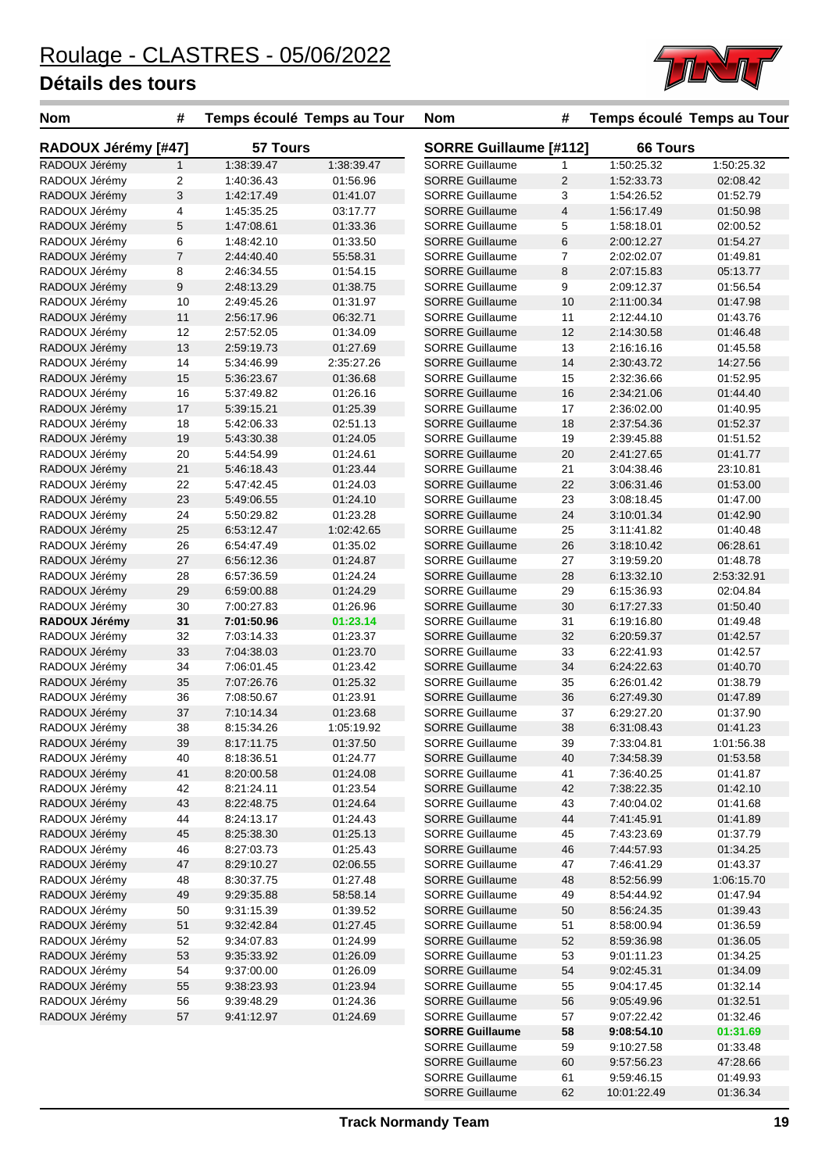

| <b>Nom</b>          | #                         | Temps écoulé Temps au Tour |            | <b>Nom</b>                    | #              |                 | Temps écoulé Temps au Tour |  |
|---------------------|---------------------------|----------------------------|------------|-------------------------------|----------------|-----------------|----------------------------|--|
| RADOUX Jérémy [#47] |                           | 57 Tours                   |            | <b>SORRE Guillaume [#112]</b> |                | <b>66 Tours</b> |                            |  |
| RADOUX Jérémy       | $\mathbf{1}$              | 1:38:39.47                 | 1:38:39.47 | <b>SORRE Guillaume</b>        | $\mathbf{1}$   | 1:50:25.32      | 1:50:25.32                 |  |
| RADOUX Jérémy       | $\overline{c}$            | 1:40:36.43                 | 01:56.96   | <b>SORRE Guillaume</b>        | $\overline{2}$ | 1:52:33.73      | 02:08.42                   |  |
| RADOUX Jérémy       | $\ensuremath{\mathsf{3}}$ | 1:42:17.49                 | 01:41.07   | <b>SORRE Guillaume</b>        | 3              | 1:54:26.52      | 01:52.79                   |  |
| RADOUX Jérémy       | 4                         | 1:45:35.25                 | 03:17.77   | <b>SORRE Guillaume</b>        | 4              | 1:56:17.49      | 01:50.98                   |  |
| RADOUX Jérémy       | 5                         | 1:47:08.61                 | 01:33.36   | <b>SORRE Guillaume</b>        | 5              | 1:58:18.01      | 02:00.52                   |  |
| RADOUX Jérémy       | 6                         | 1:48:42.10                 | 01:33.50   | <b>SORRE Guillaume</b>        | 6              | 2:00:12.27      | 01:54.27                   |  |
| RADOUX Jérémy       | $\overline{7}$            | 2:44:40.40                 | 55:58.31   | <b>SORRE Guillaume</b>        | 7              | 2:02:02.07      | 01:49.81                   |  |
| RADOUX Jérémy       | 8                         | 2:46:34.55                 | 01:54.15   | <b>SORRE Guillaume</b>        | 8              | 2:07:15.83      | 05:13.77                   |  |
| RADOUX Jérémy       | 9                         | 2:48:13.29                 | 01:38.75   | <b>SORRE Guillaume</b>        | 9              | 2:09:12.37      | 01:56.54                   |  |
| RADOUX Jérémy       | 10                        | 2:49:45.26                 | 01:31.97   | <b>SORRE Guillaume</b>        | 10             | 2:11:00.34      | 01:47.98                   |  |
| RADOUX Jérémy       | 11                        | 2:56:17.96                 | 06:32.71   | <b>SORRE Guillaume</b>        | 11             | 2:12:44.10      | 01:43.76                   |  |
| RADOUX Jérémy       | 12                        | 2:57:52.05                 | 01:34.09   | <b>SORRE Guillaume</b>        | 12             | 2:14:30.58      | 01:46.48                   |  |
| RADOUX Jérémy       | 13                        | 2:59:19.73                 | 01:27.69   | <b>SORRE Guillaume</b>        | 13             | 2:16:16.16      | 01:45.58                   |  |
| RADOUX Jérémy       | 14                        | 5:34:46.99                 | 2:35:27.26 | <b>SORRE Guillaume</b>        | 14             | 2:30:43.72      | 14:27.56                   |  |
| RADOUX Jérémy       | 15                        | 5:36:23.67                 | 01:36.68   | <b>SORRE Guillaume</b>        | 15             | 2:32:36.66      | 01:52.95                   |  |
| RADOUX Jérémy       | 16                        | 5:37:49.82                 | 01:26.16   | <b>SORRE Guillaume</b>        | 16             | 2:34:21.06      | 01:44.40                   |  |
| RADOUX Jérémy       | 17                        | 5:39:15.21                 | 01:25.39   | <b>SORRE Guillaume</b>        | 17             | 2:36:02.00      | 01:40.95                   |  |
| RADOUX Jérémy       | 18                        | 5:42:06.33                 | 02:51.13   | <b>SORRE Guillaume</b>        | 18             | 2:37:54.36      | 01:52.37                   |  |
| RADOUX Jérémy       | 19                        | 5:43:30.38                 | 01:24.05   | <b>SORRE Guillaume</b>        | 19             | 2:39:45.88      | 01:51.52                   |  |
| RADOUX Jérémy       | 20                        | 5:44:54.99                 | 01:24.61   | <b>SORRE Guillaume</b>        | 20             | 2:41:27.65      | 01:41.77                   |  |
| RADOUX Jérémy       | 21                        | 5:46:18.43                 | 01:23.44   | <b>SORRE Guillaume</b>        | 21             | 3:04:38.46      | 23:10.81                   |  |
| RADOUX Jérémy       | 22                        | 5:47:42.45                 | 01:24.03   | <b>SORRE Guillaume</b>        | 22             | 3:06:31.46      | 01:53.00                   |  |
| RADOUX Jérémy       | 23                        | 5:49:06.55                 | 01:24.10   | <b>SORRE Guillaume</b>        | 23             | 3:08:18.45      | 01:47.00                   |  |
| RADOUX Jérémy       | 24                        | 5:50:29.82                 | 01:23.28   | <b>SORRE Guillaume</b>        | 24             | 3:10:01.34      | 01:42.90                   |  |
| RADOUX Jérémy       | 25                        | 6:53:12.47                 | 1:02:42.65 | <b>SORRE Guillaume</b>        | 25             | 3:11:41.82      | 01:40.48                   |  |
| RADOUX Jérémy       | 26                        | 6:54:47.49                 | 01:35.02   | <b>SORRE Guillaume</b>        | 26             | 3:18:10.42      | 06:28.61                   |  |
| RADOUX Jérémy       | 27                        | 6:56:12.36                 | 01:24.87   | <b>SORRE Guillaume</b>        | 27             | 3:19:59.20      | 01:48.78                   |  |
| RADOUX Jérémy       | 28                        | 6:57:36.59                 | 01:24.24   | <b>SORRE Guillaume</b>        | 28             | 6:13:32.10      | 2:53:32.91                 |  |
| RADOUX Jérémy       | 29                        | 6:59:00.88                 | 01:24.29   | <b>SORRE Guillaume</b>        | 29             | 6:15:36.93      | 02:04.84                   |  |
| RADOUX Jérémy       | 30                        | 7:00:27.83                 | 01:26.96   | <b>SORRE Guillaume</b>        | 30             | 6:17:27.33      | 01:50.40                   |  |
| RADOUX Jérémy       | 31                        | 7:01:50.96                 | 01:23.14   | <b>SORRE Guillaume</b>        | 31             | 6:19:16.80      | 01:49.48                   |  |
| RADOUX Jérémy       | 32                        | 7:03:14.33                 | 01:23.37   | <b>SORRE Guillaume</b>        | 32             | 6:20:59.37      | 01:42.57                   |  |
| RADOUX Jérémy       | 33                        | 7:04:38.03                 | 01:23.70   | <b>SORRE Guillaume</b>        | 33             | 6:22:41.93      | 01:42.57                   |  |
| RADOUX Jérémy       | 34                        | 7:06:01.45                 | 01:23.42   | <b>SORRE Guillaume</b>        | 34             | 6:24:22.63      | 01:40.70                   |  |
| RADOUX Jérémy       | 35                        | 7:07:26.76                 | 01:25.32   | <b>SORRE Guillaume</b>        | 35             | 6:26:01.42      | 01:38.79                   |  |
| RADOUX Jérémy       | 36                        | 7:08:50.67                 | 01:23.91   | <b>SORRE Guillaume</b>        | 36             | 6:27:49.30      | 01:47.89                   |  |
| RADOUX Jérémy       | 37                        | 7:10:14.34                 | 01:23.68   | <b>SORRE Guillaume</b>        | 37             | 6:29:27.20      | 01:37.90                   |  |
| RADOUX Jérémy       | 38                        | 8:15:34.26                 | 1:05:19.92 | <b>SORRE Guillaume</b>        | 38             | 6:31:08.43      | 01:41.23                   |  |
| RADOUX Jérémy       | 39                        | 8:17:11.75                 | 01:37.50   | <b>SORRE Guillaume</b>        | 39             | 7:33:04.81      | 1:01:56.38                 |  |
| RADOUX Jérémy       | 40                        | 8:18:36.51                 | 01:24.77   | <b>SORRE Guillaume</b>        | 40             | 7:34:58.39      | 01:53.58                   |  |
| RADOUX Jérémy       | 41                        | 8:20:00.58                 | 01:24.08   | <b>SORRE Guillaume</b>        | 41             | 7:36:40.25      | 01:41.87                   |  |
| RADOUX Jérémy       | 42                        | 8:21:24.11                 | 01:23.54   | <b>SORRE Guillaume</b>        | 42             | 7:38:22.35      | 01:42.10                   |  |
| RADOUX Jérémy       | 43                        | 8:22:48.75                 | 01:24.64   | <b>SORRE Guillaume</b>        | 43             | 7:40:04.02      | 01:41.68                   |  |
| RADOUX Jérémy       | 44                        | 8:24:13.17                 | 01:24.43   | <b>SORRE Guillaume</b>        | 44             | 7:41:45.91      | 01:41.89                   |  |
| RADOUX Jérémy       | 45                        | 8:25:38.30                 | 01:25.13   | <b>SORRE Guillaume</b>        | 45             | 7:43:23.69      | 01:37.79                   |  |
| RADOUX Jérémy       | 46                        | 8:27:03.73                 | 01:25.43   | <b>SORRE Guillaume</b>        | 46             | 7:44:57.93      | 01:34.25                   |  |
| RADOUX Jérémy       | 47                        | 8:29:10.27                 | 02:06.55   | <b>SORRE Guillaume</b>        | 47             | 7:46:41.29      | 01:43.37                   |  |
| RADOUX Jérémy       | 48                        | 8:30:37.75                 | 01:27.48   | <b>SORRE Guillaume</b>        | 48             | 8:52:56.99      | 1:06:15.70                 |  |
| RADOUX Jérémy       | 49                        | 9:29:35.88                 | 58:58.14   | <b>SORRE Guillaume</b>        | 49             | 8:54:44.92      | 01:47.94                   |  |
| RADOUX Jérémy       | 50                        | 9:31:15.39                 | 01:39.52   | <b>SORRE Guillaume</b>        | 50             | 8:56:24.35      | 01:39.43                   |  |
| RADOUX Jérémy       | 51                        | 9:32:42.84                 | 01:27.45   | <b>SORRE Guillaume</b>        | 51             | 8:58:00.94      | 01:36.59                   |  |
| RADOUX Jérémy       | 52                        | 9:34:07.83                 | 01:24.99   | <b>SORRE Guillaume</b>        | 52             | 8:59:36.98      | 01:36.05                   |  |
| RADOUX Jérémy       | 53                        | 9:35:33.92                 | 01:26.09   | <b>SORRE Guillaume</b>        | 53             | 9:01:11.23      | 01:34.25                   |  |
| RADOUX Jérémy       | 54                        | 9:37:00.00                 | 01:26.09   | <b>SORRE Guillaume</b>        | 54             | 9:02:45.31      | 01:34.09                   |  |
| RADOUX Jérémy       | 55                        | 9:38:23.93                 | 01:23.94   | <b>SORRE Guillaume</b>        | 55             | 9:04:17.45      | 01:32.14                   |  |
| RADOUX Jérémy       | 56                        | 9:39:48.29                 | 01:24.36   | <b>SORRE Guillaume</b>        | 56             | 9:05:49.96      | 01:32.51                   |  |
| RADOUX Jérémy       | 57                        | 9:41:12.97                 | 01:24.69   | <b>SORRE Guillaume</b>        | 57             | 9:07:22.42      | 01:32.46                   |  |
|                     |                           |                            |            | <b>SORRE Guillaume</b>        | 58             | 9:08:54.10      | 01:31.69                   |  |
|                     |                           |                            |            | <b>SORRE Guillaume</b>        | 59             | 9:10:27.58      | 01:33.48                   |  |
|                     |                           |                            |            | <b>SORRE Guillaume</b>        | 60             | 9:57:56.23      | 47:28.66                   |  |
|                     |                           |                            |            | <b>SORRE Guillaume</b>        | 61             | 9:59:46.15      | 01:49.93                   |  |

SORRE Guillaume 62 10:01:22.49 01:36.34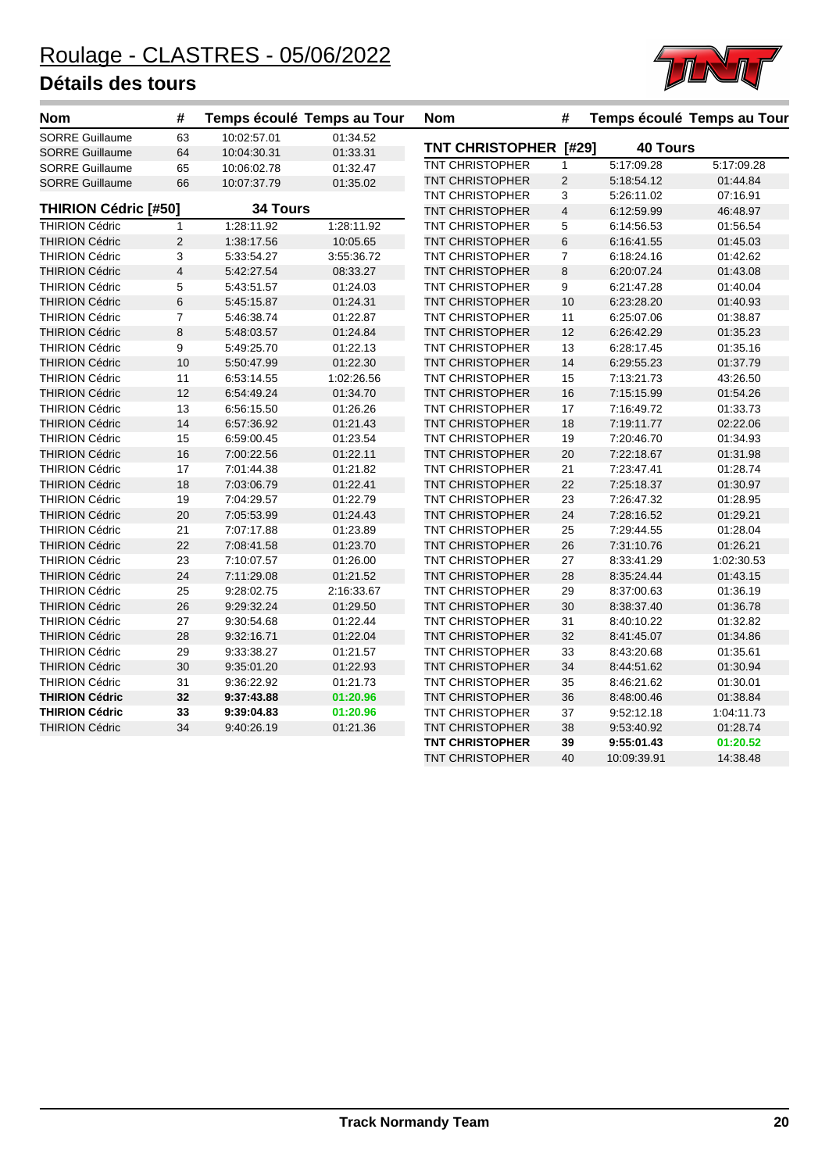

| Nom                         | #                       | Temps écoulé Temps au Tour |            | <b>Nom</b>             | #              |                 | Temps écoulé Temps au Tour |
|-----------------------------|-------------------------|----------------------------|------------|------------------------|----------------|-----------------|----------------------------|
| SORRE Guillaume             | 63                      | 10:02:57.01                | 01:34.52   |                        |                |                 |                            |
| <b>SORRE Guillaume</b>      | 64                      | 10:04:30.31                | 01:33.31   | TNT CHRISTOPHER [#29]  |                | <b>40 Tours</b> |                            |
| <b>SORRE Guillaume</b>      | 65                      | 10:06:02.78                | 01:32.47   | <b>TNT CHRISTOPHER</b> | $\mathbf{1}$   | 5:17:09.28      | 5:17:09.28                 |
| <b>SORRE Guillaume</b>      | 66                      | 10:07:37.79                | 01:35.02   | <b>TNT CHRISTOPHER</b> | $\overline{2}$ | 5:18:54.12      | 01:44.84                   |
|                             |                         |                            |            | <b>TNT CHRISTOPHER</b> | 3              | 5:26:11.02      | 07:16.91                   |
| <b>THIRION Cédric [#50]</b> |                         | <b>34 Tours</b>            |            | <b>TNT CHRISTOPHER</b> | $\overline{4}$ | 6:12:59.99      | 46:48.97                   |
| <b>THIRION Cédric</b>       | $\mathbf{1}$            | 1:28:11.92                 | 1:28:11.92 | <b>TNT CHRISTOPHER</b> | 5              | 6:14:56.53      | 01:56.54                   |
| <b>THIRION Cédric</b>       | $\overline{2}$          | 1:38:17.56                 | 10:05.65   | <b>TNT CHRISTOPHER</b> | $\,6$          | 6:16:41.55      | 01:45.03                   |
| <b>THIRION Cédric</b>       | 3                       | 5:33:54.27                 | 3:55:36.72 | <b>TNT CHRISTOPHER</b> | $\overline{7}$ | 6:18:24.16      | 01:42.62                   |
| <b>THIRION Cédric</b>       | $\overline{\mathbf{4}}$ | 5:42:27.54                 | 08:33.27   | <b>TNT CHRISTOPHER</b> | $\bf8$         | 6:20:07.24      | 01:43.08                   |
| <b>THIRION Cédric</b>       | 5                       | 5:43:51.57                 | 01:24.03   | <b>TNT CHRISTOPHER</b> | 9              | 6:21:47.28      | 01:40.04                   |
| <b>THIRION Cédric</b>       | $\,6$                   | 5:45:15.87                 | 01:24.31   | <b>TNT CHRISTOPHER</b> | 10             | 6:23:28.20      | 01:40.93                   |
| <b>THIRION Cédric</b>       | $\overline{7}$          | 5:46:38.74                 | 01:22.87   | <b>TNT CHRISTOPHER</b> | 11             | 6:25:07.06      | 01:38.87                   |
| <b>THIRION Cédric</b>       | 8                       | 5:48:03.57                 | 01:24.84   | TNT CHRISTOPHER        | 12             | 6:26:42.29      | 01:35.23                   |
| <b>THIRION Cédric</b>       | 9                       | 5:49:25.70                 | 01:22.13   | <b>TNT CHRISTOPHER</b> | 13             | 6:28:17.45      | 01:35.16                   |
| <b>THIRION Cédric</b>       | 10                      | 5:50:47.99                 | 01:22.30   | <b>TNT CHRISTOPHER</b> | 14             | 6:29:55.23      | 01:37.79                   |
| <b>THIRION Cédric</b>       | 11                      | 6:53:14.55                 | 1:02:26.56 | <b>TNT CHRISTOPHER</b> | 15             | 7:13:21.73      | 43:26.50                   |
| <b>THIRION Cédric</b>       | 12                      | 6:54:49.24                 | 01:34.70   | <b>TNT CHRISTOPHER</b> | 16             | 7:15:15.99      | 01:54.26                   |
| <b>THIRION Cédric</b>       | 13                      | 6:56:15.50                 | 01:26.26   | <b>TNT CHRISTOPHER</b> | 17             | 7:16:49.72      | 01:33.73                   |
| <b>THIRION Cédric</b>       | 14                      | 6:57:36.92                 | 01:21.43   | <b>TNT CHRISTOPHER</b> | 18             | 7:19:11.77      | 02:22.06                   |
| <b>THIRION Cédric</b>       | 15                      | 6:59:00.45                 | 01:23.54   | <b>TNT CHRISTOPHER</b> | 19             | 7:20:46.70      | 01:34.93                   |
| <b>THIRION Cédric</b>       | 16                      | 7:00:22.56                 | 01:22.11   | <b>TNT CHRISTOPHER</b> | 20             | 7:22:18.67      | 01:31.98                   |
| <b>THIRION Cédric</b>       | 17                      | 7:01:44.38                 | 01:21.82   | TNT CHRISTOPHER        | 21             | 7:23:47.41      | 01:28.74                   |
| <b>THIRION Cédric</b>       | 18                      | 7:03:06.79                 | 01:22.41   | <b>TNT CHRISTOPHER</b> | 22             | 7:25:18.37      | 01:30.97                   |
| <b>THIRION Cédric</b>       | 19                      | 7:04:29.57                 | 01:22.79   | <b>TNT CHRISTOPHER</b> | 23             | 7:26:47.32      | 01:28.95                   |
| <b>THIRION Cédric</b>       | 20                      | 7:05:53.99                 | 01:24.43   | <b>TNT CHRISTOPHER</b> | 24             | 7:28:16.52      | 01:29.21                   |
| <b>THIRION Cédric</b>       | 21                      | 7:07:17.88                 | 01:23.89   | TNT CHRISTOPHER        | 25             | 7:29:44.55      | 01:28.04                   |
| <b>THIRION Cédric</b>       | 22                      | 7:08:41.58                 | 01:23.70   | <b>TNT CHRISTOPHER</b> | 26             | 7:31:10.76      | 01:26.21                   |
| <b>THIRION Cédric</b>       | 23                      | 7:10:07.57                 | 01:26.00   | <b>TNT CHRISTOPHER</b> | 27             | 8:33:41.29      | 1:02:30.53                 |
| <b>THIRION Cédric</b>       | 24                      | 7:11:29.08                 | 01:21.52   | <b>TNT CHRISTOPHER</b> | 28             | 8:35:24.44      | 01:43.15                   |
| <b>THIRION Cédric</b>       | 25                      | 9:28:02.75                 | 2:16:33.67 | TNT CHRISTOPHER        | 29             | 8:37:00.63      | 01:36.19                   |
| <b>THIRION Cédric</b>       | 26                      | 9:29:32.24                 | 01:29.50   | TNT CHRISTOPHER        | 30             | 8:38:37.40      | 01:36.78                   |
| <b>THIRION Cédric</b>       | 27                      | 9:30:54.68                 | 01:22.44   | <b>TNT CHRISTOPHER</b> | 31             | 8:40:10.22      | 01:32.82                   |
| <b>THIRION Cédric</b>       | 28                      | 9:32:16.71                 | 01:22.04   | <b>TNT CHRISTOPHER</b> | 32             | 8:41:45.07      | 01:34.86                   |
| <b>THIRION Cédric</b>       | 29                      | 9:33:38.27                 | 01:21.57   | <b>TNT CHRISTOPHER</b> | 33             | 8:43:20.68      | 01:35.61                   |
| <b>THIRION Cédric</b>       | 30                      | 9:35:01.20                 | 01:22.93   | <b>TNT CHRISTOPHER</b> | 34             | 8:44:51.62      | 01:30.94                   |
| <b>THIRION Cédric</b>       | 31                      | 9:36:22.92                 | 01:21.73   | <b>TNT CHRISTOPHER</b> | 35             | 8:46:21.62      | 01:30.01                   |
| <b>THIRION Cédric</b>       | 32                      | 9:37:43.88                 | 01:20.96   | <b>TNT CHRISTOPHER</b> | 36             | 8:48:00.46      | 01:38.84                   |
| <b>THIRION Cédric</b>       | 33                      | 9:39:04.83                 | 01:20.96   | TNT CHRISTOPHER        | 37             | 9:52:12.18      | 1:04:11.73                 |
| <b>THIRION Cédric</b>       | 34                      | 9:40:26.19                 | 01:21.36   | TNT CHRISTOPHER        | 38             | 9:53:40.92      | 01:28.74                   |
|                             |                         |                            |            | <b>TNT CHRISTOPHER</b> | 39             | 9:55:01.43      | 01:20.52                   |
|                             |                         |                            |            | <b>TNT CHRISTOPHER</b> | 40             | 10:09:39.91     | 14:38.48                   |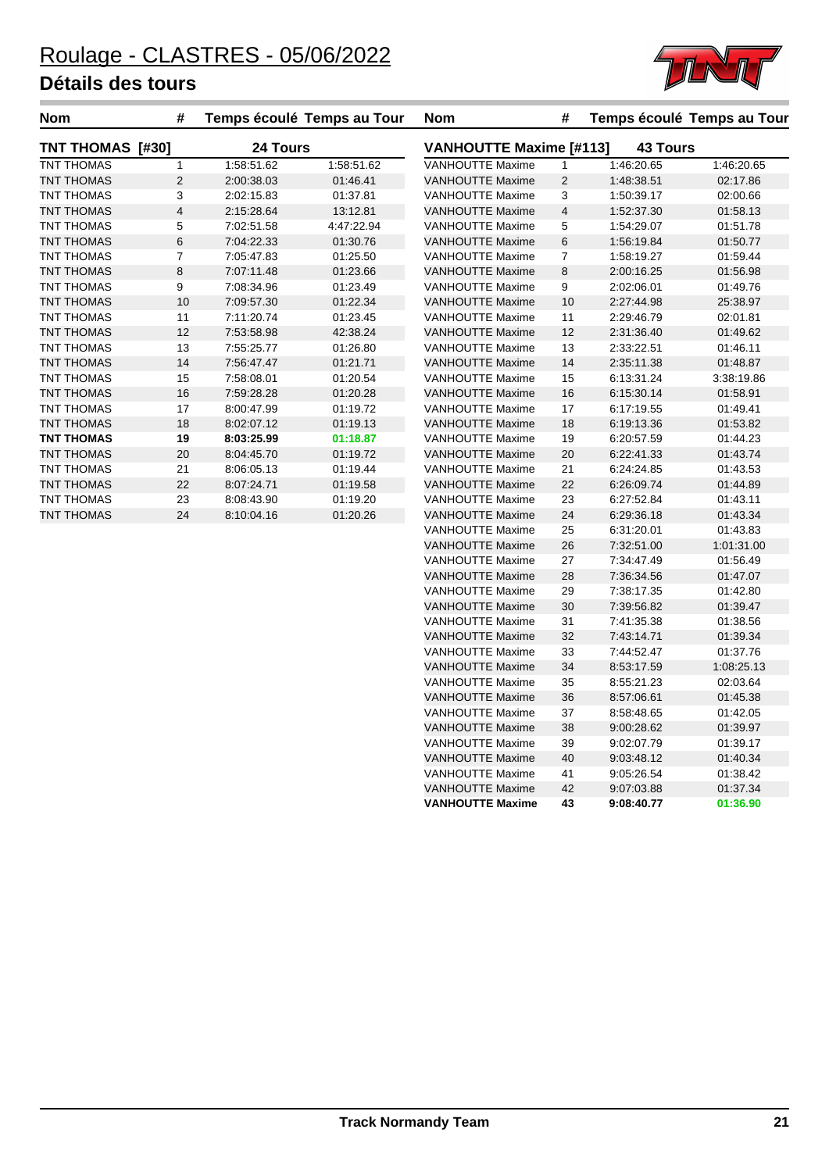

| <b>Nom</b>              | #              |            | Temps écoulé Temps au Tour | <b>Nom</b>                                        | #              |            | Temps écoulé Temps au Tour |
|-------------------------|----------------|------------|----------------------------|---------------------------------------------------|----------------|------------|----------------------------|
| <b>TNT THOMAS [#30]</b> |                | 24 Tours   |                            | <b>VANHOUTTE Maxime [#113]</b><br><b>43 Tours</b> |                |            |                            |
| TNT THOMAS              |                | 1:58:51.62 | 1:58:51.62                 | <b>VANHOUTTE Maxime</b>                           |                | 1:46:20.65 | 1:46:20.65                 |
| <b>TNT THOMAS</b>       | $\overline{2}$ | 2:00:38.03 | 01:46.41                   | <b>VANHOUTTE Maxime</b>                           | 2              | 1:48:38.51 | 02:17.86                   |
| <b>TNT THOMAS</b>       | 3              | 2:02:15.83 | 01:37.81                   | <b>VANHOUTTE Maxime</b>                           | 3              | 1:50:39.17 | 02:00.66                   |
| <b>TNT THOMAS</b>       | $\overline{4}$ | 2:15:28.64 | 13:12.81                   | <b>VANHOUTTE Maxime</b>                           | $\overline{4}$ | 1:52:37.30 | 01:58.13                   |
| <b>TNT THOMAS</b>       | 5              | 7:02:51.58 | 4:47:22.94                 | <b>VANHOUTTE Maxime</b>                           | 5              | 1:54:29.07 | 01:51.78                   |
| <b>TNT THOMAS</b>       | 6              | 7:04:22.33 | 01:30.76                   | <b>VANHOUTTE Maxime</b>                           | 6              | 1:56:19.84 | 01:50.77                   |
| TNT THOMAS              | 7              | 7:05:47.83 | 01:25.50                   | <b>VANHOUTTE Maxime</b>                           | $\overline{7}$ | 1:58:19.27 | 01:59.44                   |
| <b>TNT THOMAS</b>       | 8              | 7:07:11.48 | 01:23.66                   | <b>VANHOUTTE Maxime</b>                           | 8              | 2:00:16.25 | 01:56.98                   |
| <b>TNT THOMAS</b>       | 9              | 7:08:34.96 | 01:23.49                   | <b>VANHOUTTE Maxime</b>                           | 9              | 2:02:06.01 | 01:49.76                   |
| <b>TNT THOMAS</b>       | 10             | 7:09:57.30 | 01:22.34                   | <b>VANHOUTTE Maxime</b>                           | 10             | 2:27:44.98 | 25:38.97                   |
| <b>TNT THOMAS</b>       | 11             | 7:11:20.74 | 01:23.45                   | <b>VANHOUTTE Maxime</b>                           | 11             | 2:29:46.79 | 02:01.81                   |
| <b>TNT THOMAS</b>       | 12             | 7:53.58.98 | 42:38.24                   | <b>VANHOUTTE Maxime</b>                           | 12             | 2:31:36.40 | 01:49.62                   |
| <b>TNT THOMAS</b>       | 13             | 7:55:25.77 | 01:26.80                   | <b>VANHOUTTE Maxime</b>                           | 13             | 2:33:22.51 | 01:46.11                   |
| <b>TNT THOMAS</b>       | 14             | 7:56:47.47 | 01:21.71                   | <b>VANHOUTTE Maxime</b>                           | 14             | 2:35:11.38 | 01:48.87                   |
| TNT THOMAS              | 15             | 7:58:08.01 | 01:20.54                   | <b>VANHOUTTE Maxime</b>                           | 15             | 6:13:31.24 | 3:38:19.86                 |
| <b>TNT THOMAS</b>       | 16             | 7:59:28.28 | 01:20.28                   | <b>VANHOUTTE Maxime</b>                           | 16             | 6:15:30.14 | 01:58.91                   |
| <b>TNT THOMAS</b>       | 17             | 8:00:47.99 | 01:19.72                   | <b>VANHOUTTE Maxime</b>                           | 17             | 6:17:19.55 | 01:49.41                   |
| <b>TNT THOMAS</b>       | 18             | 8:02:07.12 | 01:19.13                   | <b>VANHOUTTE Maxime</b>                           | 18             | 6:19:13.36 | 01:53.82                   |
| <b>TNT THOMAS</b>       | 19             | 8:03:25.99 | 01:18.87                   | <b>VANHOUTTE Maxime</b>                           | 19             | 6:20:57.59 | 01:44.23                   |
| <b>TNT THOMAS</b>       | 20             | 8:04:45.70 | 01:19.72                   | <b>VANHOUTTE Maxime</b>                           | 20             | 6:22:41.33 | 01:43.74                   |
| TNT THOMAS              | 21             | 8:06:05.13 | 01:19.44                   | <b>VANHOUTTE Maxime</b>                           | 21             | 6:24:24.85 | 01:43.53                   |
| <b>TNT THOMAS</b>       | 22             | 8:07:24.71 | 01:19.58                   | <b>VANHOUTTE Maxime</b>                           | 22             | 6:26:09.74 | 01:44.89                   |
| <b>TNT THOMAS</b>       | 23             | 8:08:43.90 | 01:19.20                   | <b>VANHOUTTE Maxime</b>                           | 23             | 6:27:52.84 | 01:43.11                   |
| <b>TNT THOMAS</b>       | 24             | 8:10:04.16 | 01:20.26                   | <b>VANHOUTTE Maxime</b>                           | 24             | 6:29:36.18 | 01:43.34                   |
|                         |                |            |                            | VANHOUTTE Maxime                                  | 25             | 6.31.20.01 | 01:43.83                   |

| VANILOUTTE MANING       |    | 1. JZ. JI . JU |            |
|-------------------------|----|----------------|------------|
| <b>VANHOUTTE Maxime</b> | 5  | 1:54:29.07     | 01:51.78   |
| <b>VANHOUTTE Maxime</b> | 6  | 1:56:19.84     | 01:50.77   |
| <b>VANHOUTTE Maxime</b> | 7  | 1:58:19.27     | 01:59.44   |
| <b>VANHOUTTE Maxime</b> | 8  | 2:00:16.25     | 01:56.98   |
| <b>VANHOUTTE Maxime</b> | 9  | 2:02:06.01     | 01:49.76   |
| <b>VANHOUTTE Maxime</b> | 10 | 2:27:44.98     | 25:38.97   |
| <b>VANHOUTTE Maxime</b> | 11 | 2:29:46.79     | 02:01.81   |
| <b>VANHOUTTE Maxime</b> | 12 | 2:31:36.40     | 01:49.62   |
| VANHOUTTE Maxime        | 13 | 2:33:22.51     | 01:46.11   |
| <b>VANHOUTTE Maxime</b> | 14 | 2:35:11.38     | 01:48.87   |
| <b>VANHOUTTE Maxime</b> | 15 | 6:13:31.24     | 3:38:19.86 |
| <b>VANHOUTTE Maxime</b> | 16 | 6:15:30.14     | 01:58.91   |
| <b>VANHOUTTE Maxime</b> | 17 | 6:17:19.55     | 01:49.41   |
| <b>VANHOUTTE Maxime</b> | 18 | 6:19:13.36     | 01:53.82   |
| <b>VANHOUTTE Maxime</b> | 19 | 6:20:57.59     | 01:44.23   |
| <b>VANHOUTTE Maxime</b> | 20 | 6:22:41.33     | 01:43.74   |
| <b>VANHOUTTE Maxime</b> | 21 | 6:24:24.85     | 01:43.53   |
| <b>VANHOUTTE Maxime</b> | 22 | 6:26:09.74     | 01:44.89   |
| VANHOUTTE Maxime        | 23 | 6:27:52.84     | 01:43.11   |
| <b>VANHOUTTE Maxime</b> | 24 | 6:29:36.18     | 01:43.34   |
| <b>VANHOUTTE Maxime</b> | 25 | 6:31:20.01     | 01:43.83   |
| <b>VANHOUTTE Maxime</b> | 26 | 7:32:51.00     | 1:01:31.00 |
| <b>VANHOUTTE Maxime</b> | 27 | 7:34:47.49     | 01:56.49   |
| <b>VANHOUTTE Maxime</b> | 28 | 7:36:34.56     | 01:47.07   |
| VANHOUTTE Maxime        | 29 | 7:38:17.35     | 01:42.80   |
| <b>VANHOUTTE Maxime</b> | 30 | 7:39:56.82     | 01:39.47   |
| <b>VANHOUTTE Maxime</b> | 31 | 7:41:35.38     | 01:38.56   |
| <b>VANHOUTTE Maxime</b> | 32 | 7:43:14.71     | 01:39.34   |
| VANHOUTTE Maxime        | 33 | 7:44:52.47     | 01:37.76   |
| <b>VANHOUTTE Maxime</b> | 34 | 8:53:17.59     | 1:08:25.13 |
| <b>VANHOUTTE Maxime</b> | 35 | 8:55:21.23     | 02:03.64   |
| <b>VANHOUTTE Maxime</b> | 36 | 8:57:06.61     | 01:45.38   |
| <b>VANHOUTTE Maxime</b> | 37 | 8:58:48.65     | 01:42.05   |
| <b>VANHOUTTE Maxime</b> | 38 | 9:00:28.62     | 01:39.97   |
| <b>VANHOUTTE Maxime</b> | 39 | 9:02:07.79     | 01:39.17   |
| <b>VANHOUTTE Maxime</b> | 40 | 9:03:48.12     | 01:40.34   |
| <b>VANHOUTTE Maxime</b> | 41 | 9:05:26.54     | 01:38.42   |
| <b>VANHOUTTE Maxime</b> | 42 | 9:07:03.88     | 01:37.34   |
| <b>VANHOUTTE Maxime</b> | 43 | 9:08:40.77     | 01:36.90   |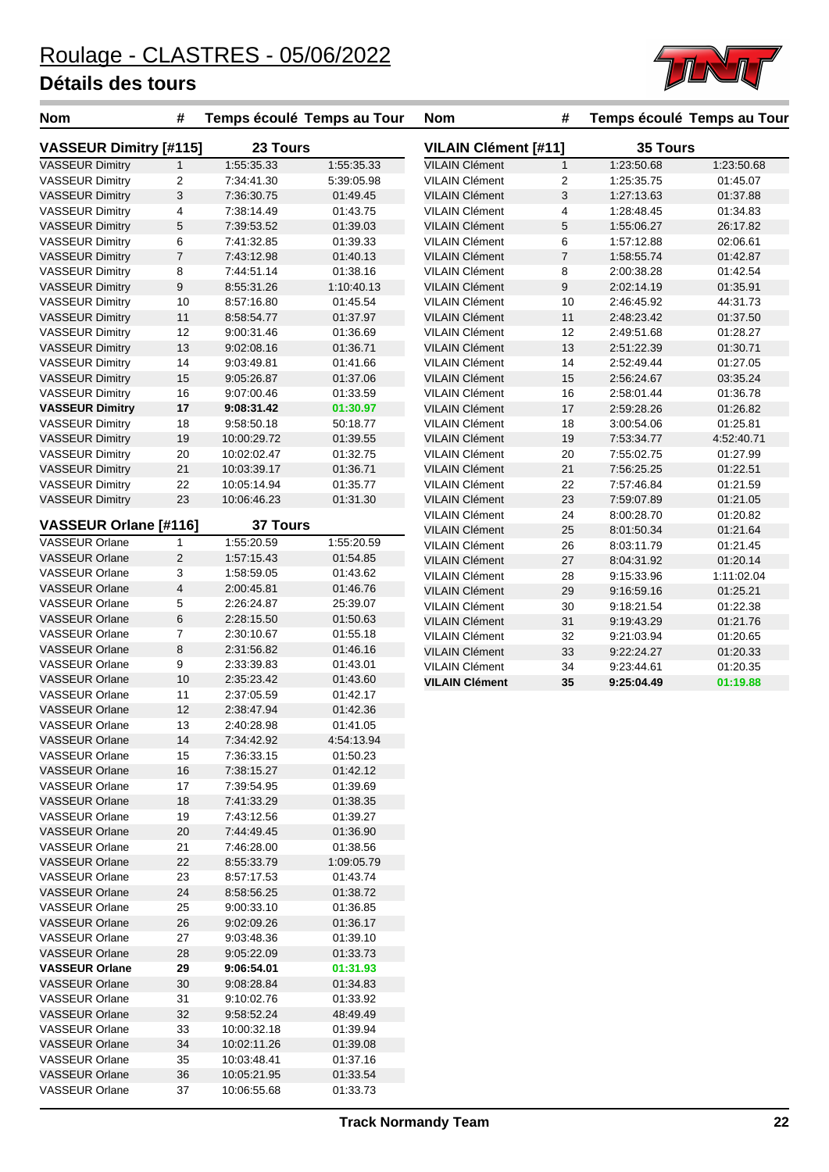

| <b>Nom</b>                    | #                |                 | Temps écoulé Temps au Tour | <b>Nom</b>                  | #                |            | Temps écoulé Temps au Tour |
|-------------------------------|------------------|-----------------|----------------------------|-----------------------------|------------------|------------|----------------------------|
| <b>VASSEUR Dimitry [#115]</b> |                  | 23 Tours        |                            | <b>VILAIN Clément [#11]</b> |                  | 35 Tours   |                            |
| <b>VASSEUR Dimitry</b>        | $\mathbf{1}$     | 1:55:35.33      | 1:55:35.33                 | <b>VILAIN Clément</b>       | $\mathbf{1}$     | 1:23:50.68 | 1:23:50.68                 |
| <b>VASSEUR Dimitry</b>        | $\overline{2}$   | 7:34:41.30      | 5:39:05.98                 | <b>VILAIN Clément</b>       | $\overline{2}$   | 1:25:35.75 | 01:45.07                   |
| <b>VASSEUR Dimitry</b>        | 3                | 7:36:30.75      | 01:49.45                   | VILAIN Clément              | 3                | 1:27:13.63 | 01:37.88                   |
| <b>VASSEUR Dimitry</b>        | 4                | 7:38:14.49      | 01:43.75                   | <b>VILAIN Clément</b>       | 4                | 1:28:48.45 | 01:34.83                   |
| <b>VASSEUR Dimitry</b>        | $\sqrt{5}$       | 7:39:53.52      | 01:39.03                   | <b>VILAIN Clément</b>       | 5                | 1:55:06.27 | 26:17.82                   |
| <b>VASSEUR Dimitry</b>        | 6                | 7:41:32.85      | 01:39.33                   | <b>VILAIN Clément</b>       | 6                | 1:57:12.88 | 02:06.61                   |
| <b>VASSEUR Dimitry</b>        | $\overline{7}$   | 7:43:12.98      | 01:40.13                   | <b>VILAIN Clément</b>       | $\overline{7}$   | 1:58:55.74 | 01:42.87                   |
| <b>VASSEUR Dimitry</b>        | 8                | 7:44:51.14      | 01:38.16                   | <b>VILAIN Clément</b>       | 8                | 2:00:38.28 | 01:42.54                   |
| <b>VASSEUR Dimitry</b>        | $\boldsymbol{9}$ | 8:55:31.26      | 1:10:40.13                 | <b>VILAIN Clément</b>       | $\boldsymbol{9}$ | 2:02:14.19 | 01:35.91                   |
| <b>VASSEUR Dimitry</b>        | 10               | 8:57:16.80      | 01:45.54                   | <b>VILAIN Clément</b>       | 10               | 2:46:45.92 | 44:31.73                   |
| <b>VASSEUR Dimitry</b>        | 11               | 8:58:54.77      | 01:37.97                   | <b>VILAIN Clément</b>       | 11               | 2:48:23.42 | 01:37.50                   |
| <b>VASSEUR Dimitry</b>        | 12               | 9:00:31.46      | 01:36.69                   | <b>VILAIN Clément</b>       | 12               | 2:49:51.68 | 01:28.27                   |
| <b>VASSEUR Dimitry</b>        | 13               | 9:02:08.16      | 01:36.71                   | <b>VILAIN Clément</b>       | 13               | 2:51:22.39 | 01:30.71                   |
| <b>VASSEUR Dimitry</b>        | 14               | 9:03:49.81      | 01:41.66                   | <b>VILAIN Clément</b>       | 14               | 2:52:49.44 | 01:27.05                   |
| <b>VASSEUR Dimitry</b>        | 15               | 9:05:26.87      | 01:37.06                   | <b>VILAIN Clément</b>       | 15               | 2:56:24.67 | 03:35.24                   |
| <b>VASSEUR Dimitry</b>        | 16               | 9:07:00.46      | 01:33.59                   | <b>VILAIN Clément</b>       | 16               | 2:58:01.44 | 01:36.78                   |
| <b>VASSEUR Dimitry</b>        | 17               | 9:08:31.42      | 01:30.97                   | <b>VILAIN Clément</b>       | 17               | 2:59:28.26 | 01:26.82                   |
| <b>VASSEUR Dimitry</b>        | 18               | 9:58:50.18      | 50:18.77                   | <b>VILAIN Clément</b>       | 18               | 3:00:54.06 | 01:25.81                   |
| <b>VASSEUR Dimitry</b>        | 19               | 10:00:29.72     | 01:39.55                   | <b>VILAIN Clément</b>       | 19               | 7:53:34.77 | 4:52:40.71                 |
| <b>VASSEUR Dimitry</b>        | 20               | 10:02:02.47     | 01:32.75                   | <b>VILAIN Clément</b>       | 20               | 7:55:02.75 | 01:27.99                   |
| <b>VASSEUR Dimitry</b>        | 21               | 10:03:39.17     | 01:36.71                   | <b>VILAIN Clément</b>       | 21               | 7:56:25.25 | 01:22.51                   |
| <b>VASSEUR Dimitry</b>        | 22               | 10:05:14.94     | 01:35.77                   | <b>VILAIN Clément</b>       | 22               | 7:57:46.84 | 01:21.59                   |
| <b>VASSEUR Dimitry</b>        | 23               | 10:06:46.23     | 01:31.30                   | <b>VILAIN Clément</b>       | 23               | 7:59:07.89 | 01:21.05                   |
|                               |                  |                 |                            | <b>VILAIN Clément</b>       | 24               | 8:00:28.70 | 01:20.82                   |
| VASSEUR Orlane [#116]         |                  | <b>37 Tours</b> |                            | <b>VILAIN Clément</b>       | 25               | 8:01:50.34 | 01:21.64                   |
| <b>VASSEUR Orlane</b>         | $\mathbf{1}$     | 1:55:20.59      | 1:55:20.59                 | <b>VILAIN Clément</b>       | 26               | 8:03:11.79 | 01:21.45                   |
| <b>VASSEUR Orlane</b>         | $\overline{2}$   | 1:57:15.43      | 01:54.85                   | <b>VILAIN Clément</b>       | 27               | 8:04:31.92 | 01:20.14                   |
| <b>VASSEUR Orlane</b>         | 3                | 1:58:59.05      | 01:43.62                   | <b>VILAIN Clément</b>       | 28               | 9:15:33.96 | 1:11:02.04                 |
| <b>VASSEUR Orlane</b>         | $\overline{4}$   | 2:00:45.81      | 01:46.76                   | <b>VILAIN Clément</b>       | 29               | 9:16:59.16 | 01:25.21                   |
| <b>VASSEUR Orlane</b>         | 5                | 2:26:24.87      | 25:39.07                   | <b>VILAIN Clément</b>       | 30               | 9:18:21.54 | 01:22.38                   |
| <b>VASSEUR Orlane</b>         | 6                | 2:28:15.50      | 01:50.63                   | <b>VILAIN Clément</b>       | 31               | 9:19:43.29 | 01:21.76                   |
| <b>VASSEUR Orlane</b>         | $\overline{7}$   | 2:30:10.67      | 01:55.18                   | <b>VILAIN Clément</b>       | 32               | 9:21:03.94 | 01:20.65                   |
| <b>VASSEUR Orlane</b>         | $\bf 8$          | 2:31:56.82      | 01:46.16                   | <b>VILAIN Clément</b>       | 33               | 9:22:24.27 | 01:20.33                   |
| <b>VASSEUR Orlane</b>         | 9                | 2:33:39.83      | 01:43.01                   | <b>VILAIN Clément</b>       | 34               | 9:23:44.61 | 01:20.35                   |
| <b>VASSEUR Orlane</b>         | 10               | 2:35:23.42      | 01:43.60                   | <b>VILAIN Clément</b>       | 35               | 9:25:04.49 | 01:19.88                   |
| <b>VASSEUR Orlane</b>         | 11               | 2:37:05.59      | 01:42.17                   |                             |                  |            |                            |
| <b>VASSEUR Orlane</b>         | 12               | 2:38:47.94      | 01:42.36                   |                             |                  |            |                            |
| <b>VASSEUR Orlane</b>         | 13               | 2:40:28.98      | 01:41.05                   |                             |                  |            |                            |
| <b>VASSEUR Orlane</b>         | 14               | 7:34:42.92      | 4:54:13.94                 |                             |                  |            |                            |
| <b>VASSEUR Orlane</b>         | 15               | 7:36:33.15      | 01:50.23                   |                             |                  |            |                            |
| <b>VASSEUR Orlane</b>         | 16               | 7:38:15.27      | 01:42.12                   |                             |                  |            |                            |
| <b>VASSEUR Orlane</b>         | 17               | 7:39:54.95      | 01:39.69                   |                             |                  |            |                            |
| <b>VASSEUR Orlane</b>         | 18               | 7:41:33.29      | 01:38.35                   |                             |                  |            |                            |
| <b>VASSEUR Orlane</b>         | 19               | 7:43:12.56      | 01:39.27                   |                             |                  |            |                            |
| <b>VASSEUR Orlane</b>         | 20               | 7:44:49.45      | 01:36.90                   |                             |                  |            |                            |
| <b>VASSEUR Orlane</b>         | 21               | 7:46:28.00      | 01:38.56                   |                             |                  |            |                            |
| <b>VASSEUR Orlane</b>         | 22               | 8:55:33.79      | 1:09:05.79                 |                             |                  |            |                            |
| <b>VASSEUR Orlane</b>         | 23               | 8:57:17.53      | 01:43.74                   |                             |                  |            |                            |
| <b>VASSEUR Orlane</b>         | 24               | 8:58:56.25      | 01:38.72                   |                             |                  |            |                            |
| <b>VASSEUR Orlane</b>         | 25               | 9:00:33.10      | 01:36.85                   |                             |                  |            |                            |
| <b>VASSEUR Orlane</b>         | 26               | 9:02:09.26      | 01:36.17                   |                             |                  |            |                            |
| <b>VASSEUR Orlane</b>         | 27               | 9:03:48.36      | 01:39.10                   |                             |                  |            |                            |
| <b>VASSEUR Orlane</b>         | 28               | 9:05:22.09      | 01:33.73                   |                             |                  |            |                            |
| <b>VASSEUR Orlane</b>         | 29               | 9:06:54.01      | 01:31.93                   |                             |                  |            |                            |
| <b>VASSEUR Orlane</b>         | 30               | 9:08:28.84      | 01:34.83                   |                             |                  |            |                            |
| <b>VASSEUR Orlane</b>         | 31               | 9:10:02.76      | 01:33.92                   |                             |                  |            |                            |
| <b>VASSEUR Orlane</b>         | 32               | 9:58:52.24      | 48:49.49                   |                             |                  |            |                            |
| <b>VASSEUR Orlane</b>         | 33               | 10:00:32.18     | 01:39.94                   |                             |                  |            |                            |
| <b>VASSEUR Orlane</b>         | 34               | 10:02:11.26     | 01:39.08                   |                             |                  |            |                            |
| <b>VASSEUR Orlane</b>         | 35               | 10:03:48.41     | 01:37.16                   |                             |                  |            |                            |
| <b>VASSEUR Orlane</b>         | 36               | 10:05:21.95     | 01:33.54                   |                             |                  |            |                            |
| <b>VASSEUR Orlane</b>         | 37               | 10:06:55.68     | 01:33.73                   |                             |                  |            |                            |